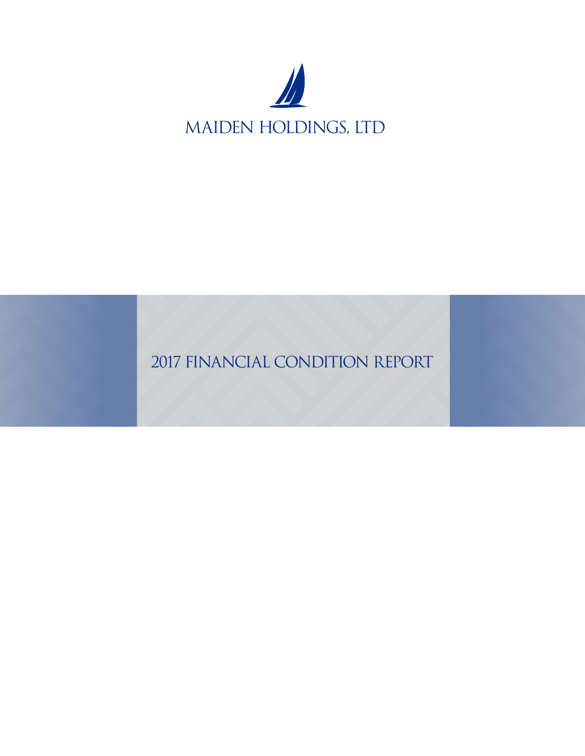

2017 FINANCIAL CONDITION REPORT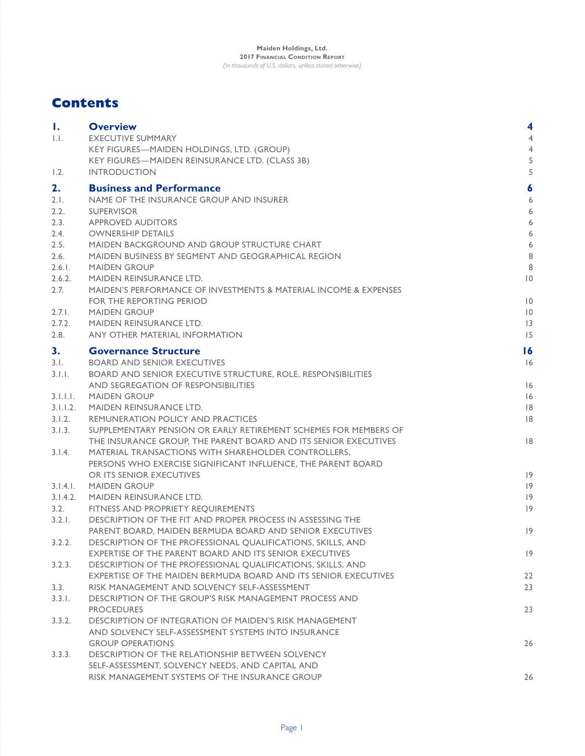# **Contents**

| Ι.       | <b>Overview</b>                                                                                                                     | 4                   |
|----------|-------------------------------------------------------------------------------------------------------------------------------------|---------------------|
| 1.1.     | <b>EXECUTIVE SUMMARY</b>                                                                                                            | $\overline{4}$      |
|          | KEY FIGURES-MAIDEN HOLDINGS, LTD. (GROUP)<br>KEY FIGURES-MAIDEN REINSURANCE LTD. (CLASS 3B)                                         | $\overline{4}$<br>5 |
| 1.2.     | <b>INTRODUCTION</b>                                                                                                                 | 5                   |
| 2.       | <b>Business and Performance</b>                                                                                                     | 6                   |
| 2.1.     | NAME OF THE INSURANCE GROUP AND INSURER                                                                                             | 6                   |
| 2.2.     | <b>SUPERVISOR</b>                                                                                                                   | 6                   |
| 2.3.     | <b>APPROVED AUDITORS</b>                                                                                                            | 6                   |
| 2.4.     | <b>OWNERSHIP DETAILS</b>                                                                                                            | 6                   |
| 2.5.     | MAIDEN BACKGROUND AND GROUP STRUCTURE CHART                                                                                         | 6                   |
| 2.6.     | MAIDEN BUSINESS BY SEGMENT AND GEOGRAPHICAL REGION                                                                                  | 8                   |
| 2.6.1.   | <b>MAIDEN GROUP</b>                                                                                                                 | 8                   |
| 2.6.2.   | <b>MAIDEN REINSURANCE LTD.</b>                                                                                                      | $\overline{10}$     |
| 2.7.     | <b>MAIDEN'S PERFORMANCE OF INVESTMENTS &amp; MATERIAL INCOME &amp; EXPENSES</b>                                                     |                     |
|          | FOR THE REPORTING PERIOD                                                                                                            | $\overline{10}$     |
| 2.7.1.   | <b>MAIDEN GROUP</b>                                                                                                                 | $\overline{10}$     |
| 2.7.2.   | <b>MAIDEN REINSURANCE LTD.</b>                                                                                                      | 13                  |
| 2.8.     | ANY OTHER MATERIAL INFORMATION                                                                                                      | 15                  |
| 3.       | <b>Governance Structure</b>                                                                                                         | 16                  |
| 3.1.     | <b>BOARD AND SENIOR EXECUTIVES</b>                                                                                                  | 6                   |
| 3.1.1.   | BOARD AND SENIOR EXECUTIVE STRUCTURE, ROLE, RESPONSIBILITIES                                                                        |                     |
|          | AND SEGREGATION OF RESPONSIBILITIES                                                                                                 | 16                  |
| 3.1.1.1. | <b>MAIDEN GROUP</b>                                                                                                                 | 16                  |
| 3.1.1.2. | <b>MAIDEN REINSURANCE LTD.</b>                                                                                                      | 8                   |
| 3.1.2.   | REMUNERATION POLICY AND PRACTICES                                                                                                   | 8                   |
| 3.1.3.   | SUPPLEMENTARY PENSION OR EARLY RETIREMENT SCHEMES FOR MEMBERS OF<br>THE INSURANCE GROUP, THE PARENT BOARD AND ITS SENIOR EXECUTIVES | 8                   |
| 3.1.4.   | MATERIAL TRANSACTIONS WITH SHAREHOLDER CONTROLLERS,<br>PERSONS WHO EXERCISE SIGNIFICANT INFLUENCE, THE PARENT BOARD                 |                     |
|          | OR ITS SENIOR EXECUTIVES                                                                                                            | 9                   |
| 3.1.4.1. | <b>MAIDEN GROUP</b>                                                                                                                 | 9                   |
| 3.1.4.2. | <b>MAIDEN REINSURANCE LTD.</b>                                                                                                      | 9                   |
| 3.2.     | FITNESS AND PROPRIETY REQUIREMENTS                                                                                                  | 9                   |
| 3.2.1.   | DESCRIPTION OF THE FIT AND PROPER PROCESS IN ASSESSING THE                                                                          |                     |
|          | PARENT BOARD, MAIDEN BERMUDA BOARD AND SENIOR EXECUTIVES                                                                            | 9                   |
| 3.2.2.   | DESCRIPTION OF THE PROFESSIONAL OUALIFICATIONS, SKILLS, AND                                                                         |                     |
|          | <b>EXPERTISE OF THE PARENT BOARD AND ITS SENIOR EXECUTIVES</b>                                                                      | 9                   |
| 3.2.3.   | DESCRIPTION OF THE PROFESSIONAL QUALIFICATIONS, SKILLS, AND                                                                         |                     |
|          | EXPERTISE OF THE MAIDEN BERMUDA BOARD AND ITS SENIOR EXECUTIVES                                                                     | 22                  |
| 3.3.     | RISK MANAGEMENT AND SOLVENCY SELF-ASSESSMENT                                                                                        | 23                  |
| 3.3.1.   | DESCRIPTION OF THE GROUP'S RISK MANAGEMENT PROCESS AND                                                                              |                     |
|          | <b>PROCEDURES</b>                                                                                                                   | 23                  |
| 3.3.2.   | DESCRIPTION OF INTEGRATION OF MAIDEN'S RISK MANAGEMENT                                                                              |                     |
|          | AND SOLVENCY SELF-ASSESSMENT SYSTEMS INTO INSURANCE                                                                                 |                     |
|          | <b>GROUP OPERATIONS</b>                                                                                                             | 26                  |
| 3.3.3.   | <b>DESCRIPTION OF THE RELATIONSHIP BETWEEN SOLVENCY</b>                                                                             |                     |
|          | SELF-ASSESSMENT, SOLVENCY NEEDS, AND CAPITAL AND                                                                                    |                     |
|          | RISK MANAGEMENT SYSTEMS OF THE INSURANCE GROUP                                                                                      | 26                  |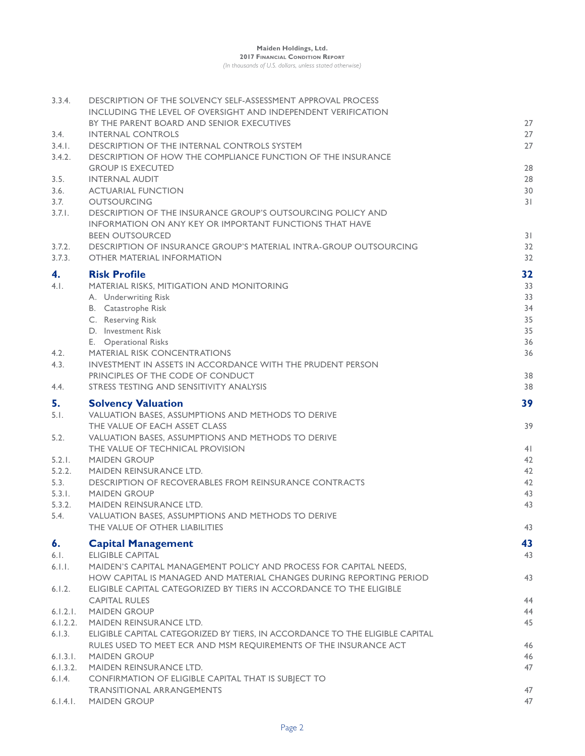| 3.3.4.           | DESCRIPTION OF THE SOLVENCY SELF-ASSESSMENT APPROVAL PROCESS<br>INCLUDING THE LEVEL OF OVERSIGHT AND INDEPENDENT VERIFICATION |                |
|------------------|-------------------------------------------------------------------------------------------------------------------------------|----------------|
|                  | BY THE PARENT BOARD AND SENIOR EXECUTIVES                                                                                     | 27             |
| 3.4.             | <b>INTERNAL CONTROLS</b>                                                                                                      | 27             |
| 3.4.1.           | DESCRIPTION OF THE INTERNAL CONTROLS SYSTEM                                                                                   | 27             |
| 3.4.2.           | DESCRIPTION OF HOW THE COMPLIANCE FUNCTION OF THE INSURANCE                                                                   |                |
|                  | <b>GROUP IS EXECUTED</b>                                                                                                      | 28             |
| 3.5.             | <b>INTERNAL AUDIT</b>                                                                                                         | 28<br>30       |
| 3.6.<br>3.7.     | <b>ACTUARIAL FUNCTION</b><br><b>OUTSOURCING</b>                                                                               | 31             |
| 3.7.1.           | DESCRIPTION OF THE INSURANCE GROUP'S OUTSOURCING POLICY AND                                                                   |                |
|                  | <b>INFORMATION ON ANY KEY OR IMPORTANT FUNCTIONS THAT HAVE</b>                                                                |                |
|                  | <b>BEEN OUTSOURCED</b>                                                                                                        | 31             |
| 3.7.2.           | DESCRIPTION OF INSURANCE GROUP'S MATERIAL INTRA-GROUP OUTSOURCING                                                             | 32             |
| 3.7.3.           | <b>OTHER MATERIAL INFORMATION</b>                                                                                             | 32             |
|                  |                                                                                                                               |                |
| 4.               | <b>Risk Profile</b>                                                                                                           | 32             |
| 4.1.             | MATERIAL RISKS, MITIGATION AND MONITORING                                                                                     | 33             |
|                  | A. Underwriting Risk                                                                                                          | 33             |
|                  | <b>B.</b> Catastrophe Risk                                                                                                    | 34             |
|                  | C. Reserving Risk                                                                                                             | 35             |
|                  | D. Investment Risk                                                                                                            | 35             |
| 4.2.             | E. Operational Risks<br><b>MATERIAL RISK CONCENTRATIONS</b>                                                                   | 36<br>36       |
| 4.3.             | <b>INVESTMENT IN ASSETS IN ACCORDANCE WITH THE PRUDENT PERSON</b>                                                             |                |
|                  | PRINCIPLES OF THE CODE OF CONDUCT                                                                                             | 38             |
| 4.4.             | STRESS TESTING AND SENSITIVITY ANALYSIS                                                                                       | 38             |
|                  |                                                                                                                               |                |
| 5.               | <b>Solvency Valuation</b>                                                                                                     | 39             |
| 5.1.             | VALUATION BASES, ASSUMPTIONS AND METHODS TO DERIVE                                                                            |                |
|                  | THE VALUE OF EACH ASSET CLASS                                                                                                 | 39             |
| 5.2.             | <b>VALUATION BASES, ASSUMPTIONS AND METHODS TO DERIVE</b>                                                                     |                |
|                  | THE VALUE OF TECHNICAL PROVISION                                                                                              | 4 <sub>1</sub> |
| 5.2.1.           | <b>MAIDEN GROUP</b>                                                                                                           | 42             |
| 5.2.2.           | <b>MAIDEN REINSURANCE LTD.</b>                                                                                                | 42             |
| 5.3.             | <b>DESCRIPTION OF RECOVERABLES FROM REINSURANCE CONTRACTS</b>                                                                 | 42<br>43       |
| 5.3.1.<br>5.3.2. | <b>MAIDEN GROUP</b><br><b>MAIDEN REINSURANCE LTD.</b>                                                                         | 43             |
| 5.4.             | VALUATION BASES, ASSUMPTIONS AND METHODS TO DERIVE                                                                            |                |
|                  | THE VALUE OF OTHER LIABILITIES                                                                                                | 43             |
|                  |                                                                                                                               |                |
| 6.               | <b>Capital Management</b>                                                                                                     | 43             |
| 6.1.             | <b>ELIGIBLE CAPITAL</b>                                                                                                       | 43             |
| 6.1.1.           | MAIDEN'S CAPITAL MANAGEMENT POLICY AND PROCESS FOR CAPITAL NEEDS,                                                             |                |
|                  | HOW CAPITAL IS MANAGED AND MATERIAL CHANGES DURING REPORTING PERIOD                                                           | 43             |
| 6.1.2.           | ELIGIBLE CAPITAL CATEGORIZED BY TIERS IN ACCORDANCE TO THE ELIGIBLE                                                           |                |
|                  | <b>CAPITAL RULES</b>                                                                                                          | 44             |
| 6.1.2.1.         | <b>MAIDEN GROUP</b>                                                                                                           | 44             |
| 6.1.2.2.         | MAIDEN REINSURANCE LTD.                                                                                                       | 45             |
| 6.1.3.           | ELIGIBLE CAPITAL CATEGORIZED BY TIERS, IN ACCORDANCE TO THE ELIGIBLE CAPITAL                                                  |                |
| 6.1.3.1.         | RULES USED TO MEET ECR AND MSM REQUIREMENTS OF THE INSURANCE ACT<br><b>MAIDEN GROUP</b>                                       | 46<br>46       |
| 6.1.3.2.         | MAIDEN REINSURANCE LTD.                                                                                                       | 47             |
| 6.1.4.           | CONFIRMATION OF ELIGIBLE CAPITAL THAT IS SUBJECT TO                                                                           |                |
|                  | <b>TRANSITIONAL ARRANGEMENTS</b>                                                                                              | 47             |
| 6.1.4.1.         | <b>MAIDEN GROUP</b>                                                                                                           | 47             |
|                  |                                                                                                                               |                |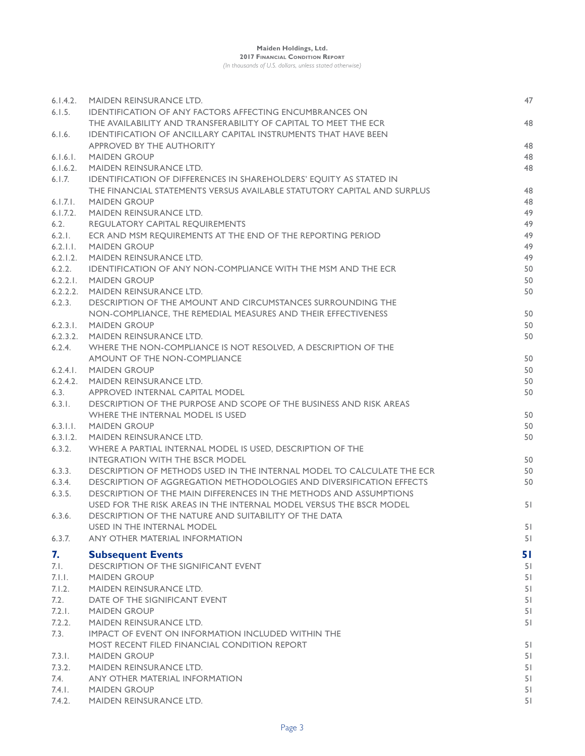*(In thousands of U.S. dollars, unless stated otherwise)*

| 6.1.4.2.             | <b>MAIDEN REINSURANCE LTD.</b>                                                                                                             | 47       |
|----------------------|--------------------------------------------------------------------------------------------------------------------------------------------|----------|
| 6.1.5.               | <b>IDENTIFICATION OF ANY FACTORS AFFECTING ENCUMBRANCES ON</b>                                                                             |          |
|                      | THE AVAILABILITY AND TRANSFERABILITY OF CAPITAL TO MEET THE ECR                                                                            | 48       |
| 6.1.6.               | <b>IDENTIFICATION OF ANCILLARY CAPITAL INSTRUMENTS THAT HAVE BEEN</b>                                                                      |          |
|                      | APPROVED BY THE AUTHORITY                                                                                                                  | 48<br>48 |
| 6.1.6.1.<br>6.1.6.2. | <b>MAIDEN GROUP</b><br>MAIDEN REINSURANCE LTD.                                                                                             | 48       |
| 6.1.7.               | IDENTIFICATION OF DIFFERENCES IN SHAREHOLDERS' EQUITY AS STATED IN                                                                         |          |
|                      | THE FINANCIAL STATEMENTS VERSUS AVAILABLE STATUTORY CAPITAL AND SURPLUS                                                                    | 48       |
| 6.1.7.1.             | <b>MAIDEN GROUP</b>                                                                                                                        | 48       |
|                      | 6.1.7.2. MAIDEN REINSURANCE LTD.                                                                                                           | 49       |
| 6.2.                 | <b>REGULATORY CAPITAL REOUIREMENTS</b>                                                                                                     | 49       |
| 6.2.1.               | ECR AND MSM REQUIREMENTS AT THE END OF THE REPORTING PERIOD                                                                                | 49       |
|                      | 6.2.1.1. MAIDEN GROUP                                                                                                                      | 49       |
| 6.2.1.2.             | MAIDEN REINSURANCE LTD.                                                                                                                    | 49       |
| 6.2.2.               | IDENTIFICATION OF ANY NON-COMPLIANCE WITH THE MSM AND THE ECR                                                                              | 50       |
| 6.2.2.1.             | <b>MAIDEN GROUP</b>                                                                                                                        | 50       |
| 6.2.2.2.             | MAIDEN REINSURANCE LTD.                                                                                                                    | 50       |
| 6.2.3.               | DESCRIPTION OF THE AMOUNT AND CIRCUMSTANCES SURROUNDING THE                                                                                |          |
|                      | NON-COMPLIANCE. THE REMEDIAL MEASURES AND THEIR EFFECTIVENESS                                                                              | 50       |
| 6.2.3.1.             | <b>MAIDEN GROUP</b>                                                                                                                        | 50       |
|                      | 6.2.3.2. MAIDEN REINSURANCE LTD.                                                                                                           | 50       |
| 6.2.4.               | WHERE THE NON-COMPLIANCE IS NOT RESOLVED, A DESCRIPTION OF THE                                                                             |          |
|                      | AMOUNT OF THE NON-COMPLIANCE                                                                                                               | 50       |
|                      | 6.2.4.1. MAIDEN GROUP                                                                                                                      | 50       |
| 6.2.4.2.             | MAIDEN REINSURANCE LTD.                                                                                                                    | 50       |
| 6.3.                 | APPROVED INTERNAL CAPITAL MODEL                                                                                                            | 50       |
| 6.3.1.               | DESCRIPTION OF THE PURPOSE AND SCOPE OF THE BUSINESS AND RISK AREAS                                                                        |          |
|                      | WHERE THE INTERNAL MODEL IS USED                                                                                                           | 50       |
| 6.3.1.1.             | <b>MAIDEN GROUP</b>                                                                                                                        | 50       |
| 6.3.1.2.             | MAIDEN REINSURANCE LTD.                                                                                                                    | 50       |
| 6.3.2.               | WHERE A PARTIAL INTERNAL MODEL IS USED, DESCRIPTION OF THE                                                                                 |          |
|                      | <b>INTEGRATION WITH THE BSCR MODEL</b>                                                                                                     | 50       |
| 6.3.3.               | DESCRIPTION OF METHODS USED IN THE INTERNAL MODEL TO CALCULATE THE ECR                                                                     | 50       |
| 6.3.4.<br>6.3.5.     | DESCRIPTION OF AGGREGATION METHODOLOGIES AND DIVERSIFICATION EFFECTS<br>DESCRIPTION OF THE MAIN DIFFERENCES IN THE METHODS AND ASSUMPTIONS | 50       |
|                      | USED FOR THE RISK AREAS IN THE INTERNAL MODEL VERSUS THE BSCR MODEL                                                                        | 51       |
| 6.3.6.               | DESCRIPTION OF THE NATURE AND SUITABILITY OF THE DATA                                                                                      |          |
|                      | USED IN THE INTERNAL MODEL                                                                                                                 | 51       |
| 6.3.7.               | ANY OTHER MATERIAL INFORMATION                                                                                                             | 51       |
|                      |                                                                                                                                            |          |
| 7.                   | <b>Subsequent Events</b>                                                                                                                   | 51       |
| 7.1.                 | DESCRIPTION OF THE SIGNIFICANT EVENT                                                                                                       | 51       |
| 7.1.1.               | <b>MAIDEN GROUP</b>                                                                                                                        | 51       |
| 7.1.2.               | <b>MAIDEN REINSURANCE LTD.</b>                                                                                                             | 51       |
| 7.2.                 | DATE OF THE SIGNIFICANT EVENT                                                                                                              | 51       |
| 7.2.1.<br>7.2.2.     | <b>MAIDEN GROUP</b><br>MAIDEN REINSURANCE LTD.                                                                                             | 51<br>51 |
| 7.3.                 | IMPACT OF EVENT ON INFORMATION INCLUDED WITHIN THE                                                                                         |          |
|                      | MOST RECENT FILED FINANCIAL CONDITION REPORT                                                                                               | 51       |
| 7.3.1.               | <b>MAIDEN GROUP</b>                                                                                                                        | 51       |
| 7.3.2.               | MAIDEN REINSURANCE LTD.                                                                                                                    | 51       |
| 7.4.                 | ANY OTHER MATERIAL INFORMATION                                                                                                             | 51       |
| 7.4.1.               | <b>MAIDEN GROUP</b>                                                                                                                        | 51       |
| 7.4.2.               | MAIDEN REINSURANCE LTD.                                                                                                                    | 51       |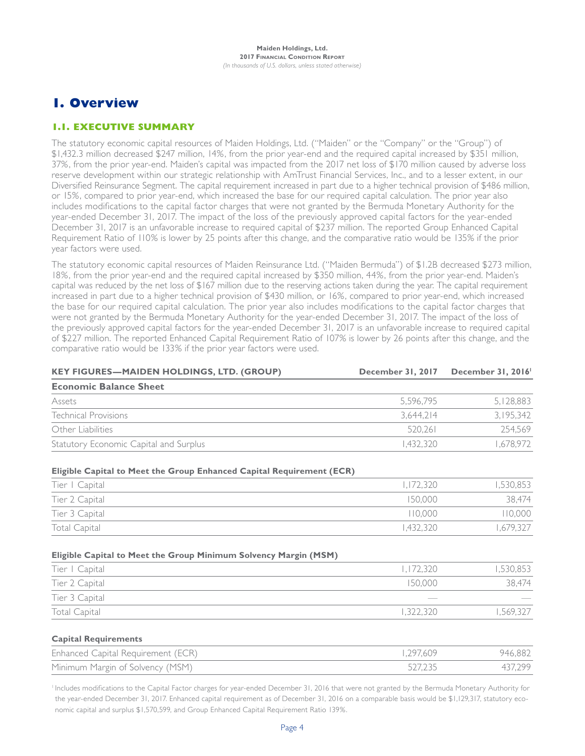## **1. Overview**

## **1.1. EXECUTIVE SUMMARY**

The statutory economic capital resources of Maiden Holdings, Ltd. ("Maiden" or the "Company" or the "Group") of \$1,432.3 million decreased \$247 million, 14%, from the prior year-end and the required capital increased by \$351 million, 37%, from the prior year-end. Maiden's capital was impacted from the 2017 net loss of \$170 million caused by adverse loss reserve development within our strategic relationship with AmTrust Financial Services, Inc., and to a lesser extent, in our Diversified Reinsurance Segment. The capital requirement increased in part due to a higher technical provision of \$486 million, or 15%, compared to prior year-end, which increased the base for our required capital calculation. The prior year also includes modifications to the capital factor charges that were not granted by the Bermuda Monetary Authority for the year-ended December 31, 2017. The impact of the loss of the previously approved capital factors for the year-ended December 31, 2017 is an unfavorable increase to required capital of \$237 million. The reported Group Enhanced Capital Requirement Ratio of 110% is lower by 25 points after this change, and the comparative ratio would be 135% if the prior year factors were used.

The statutory economic capital resources of Maiden Reinsurance Ltd. ("Maiden Bermuda") of \$1.2B decreased \$273 million, 18%, from the prior year-end and the required capital increased by \$350 million, 44%, from the prior year-end. Maiden's capital was reduced by the net loss of \$167 million due to the reserving actions taken during the year. The capital requirement increased in part due to a higher technical provision of \$430 million, or 16%, compared to prior year-end, which increased the base for our required capital calculation. The prior year also includes modifications to the capital factor charges that were not granted by the Bermuda Monetary Authority for the year-ended December 31, 2017. The impact of the loss of the previously approved capital factors for the year-ended December 31, 2017 is an unfavorable increase to required capital of \$227 million. The reported Enhanced Capital Requirement Ratio of 107% is lower by 26 points after this change, and the comparative ratio would be 133% if the prior year factors were used.

| <b>KEY FIGURES-MAIDEN HOLDINGS, LTD. (GROUP)</b>                      | December 31, 2017 | December 31, 2016 |
|-----------------------------------------------------------------------|-------------------|-------------------|
| <b>Economic Balance Sheet</b>                                         |                   |                   |
| Assets                                                                | 5,596,795         | 5, 128, 883       |
| <b>Technical Provisions</b>                                           | 3,644,214         | 3, 195, 342       |
| Other Liabilities                                                     | 520,261           | 254,569           |
| Statutory Economic Capital and Surplus                                | 1,432,320         | 1,678,972         |
| Eligible Capital to Meet the Group Enhanced Capital Requirement (ECR) |                   |                   |
| Tier   Capital                                                        | 1,172,320         | 1,530,853         |
| Tier 2 Capital                                                        | 150,000           | 38,474            |
| Tier 3 Capital                                                        | 110,000           | 110,000           |
| <b>Total Capital</b>                                                  | 1,432,320         | 1,679,327         |
| Eligible Capital to Meet the Group Minimum Solvency Margin (MSM)      |                   |                   |
| Tier   Capital                                                        | 1,172,320         | 1,530,853         |
| Tier 2 Capital                                                        | 150,000           | 38,474            |
| Tier 3 Capital                                                        |                   |                   |
| <b>Total Capital</b>                                                  | 1,322,320         | 1,569,327         |
| <b>Capital Requirements</b>                                           |                   |                   |
| Enhanced Capital Requirement (ECR)                                    | 1,297,609         | 946,882           |
| Minimum Margin of Solvency (MSM)                                      | 527,235           | 437,299           |

Includes modifications to the Capital Factor charges for year-ended December 31, 2016 that were not granted by the Bermuda Monetary Authority for the year-ended December 31, 2017. Enhanced capital requirement as of December 31, 2016 on a comparable basis would be \$1,129,317, statutory economic capital and surplus \$1,570,599, and Group Enhanced Capital Requirement Ratio 139%.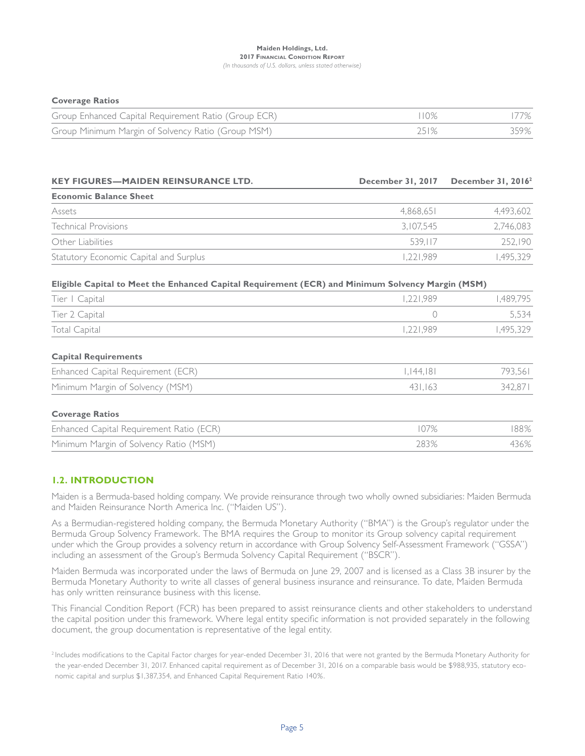| <b>Coverage Ratios</b> |  |
|------------------------|--|
|------------------------|--|

| Group Enhanced Capital Requirement Ratio (Group ECR) | $110\%$ | 77%  |
|------------------------------------------------------|---------|------|
| Group Minimum Margin of Solvency Ratio (Group MSM)   | 251%    | 359% |

| <b>KEY FIGURES-MAIDEN REINSURANCE LTD.</b>                                                        | December 31, 2017 | December 31, 2016 <sup>2</sup> |
|---------------------------------------------------------------------------------------------------|-------------------|--------------------------------|
| <b>Economic Balance Sheet</b>                                                                     |                   |                                |
| Assets                                                                                            | 4,868,651         | 4,493,602                      |
| <b>Technical Provisions</b>                                                                       | 3,107,545         | 2,746,083                      |
| Other Liabilities                                                                                 | 539,117           | 252,190                        |
| Statutory Economic Capital and Surplus                                                            | 1,221,989         | 1,495,329                      |
| Eligible Capital to Meet the Enhanced Capital Requirement (ECR) and Minimum Solvency Margin (MSM) |                   |                                |
| Tier   Capital                                                                                    | 1,221,989         | 1,489,795                      |
| Tier 2 Capital                                                                                    | $\Omega$          | 5,534                          |
| <b>Total Capital</b>                                                                              | 1,221,989         | 1,495,329                      |
| <b>Capital Requirements</b>                                                                       |                   |                                |
| Enhanced Capital Requirement (ECR)                                                                | 1,144,181         | 793,561                        |
| Minimum Margin of Solvency (MSM)                                                                  | 431,163           | 342,871                        |
| <b>Coverage Ratios</b>                                                                            |                   |                                |
| Enhanced Capital Requirement Ratio (ECR)                                                          | 107%              | 188%                           |
| Minimum Margin of Solvency Ratio (MSM)                                                            | 283%              | 436%                           |

## **1.2. INTRODUCTION**

Maiden is a Bermuda-based holding company. We provide reinsurance through two wholly owned subsidiaries: Maiden Bermuda and Maiden Reinsurance North America Inc. ("Maiden US").

As a Bermudian-registered holding company, the Bermuda Monetary Authority ("BMA") is the Group's regulator under the Bermuda Group Solvency Framework. The BMA requires the Group to monitor its Group solvency capital requirement under which the Group provides a solvency return in accordance with Group Solvency Self-Assessment Framework ("GSSA") including an assessment of the Group's Bermuda Solvency Capital Requirement ("BSCR").

Maiden Bermuda was incorporated under the laws of Bermuda on June 29, 2007 and is licensed as a Class 3B insurer by the Bermuda Monetary Authority to write all classes of general business insurance and reinsurance. To date, Maiden Bermuda has only written reinsurance business with this license.

This Financial Condition Report (FCR) has been prepared to assist reinsurance clients and other stakeholders to understand the capital position under this framework. Where legal entity specific information is not provided separately in the following document, the group documentation is representative of the legal entity.

<sup>&</sup>lt;sup>2</sup> Includes modifications to the Capital Factor charges for year-ended December 31, 2016 that were not granted by the Bermuda Monetary Authority for the year-ended December 31, 2017. Enhanced capital requirement as of December 31, 2016 on a comparable basis would be \$988,935, statutory economic capital and surplus \$1,387,354, and Enhanced Capital Requirement Ratio 140%.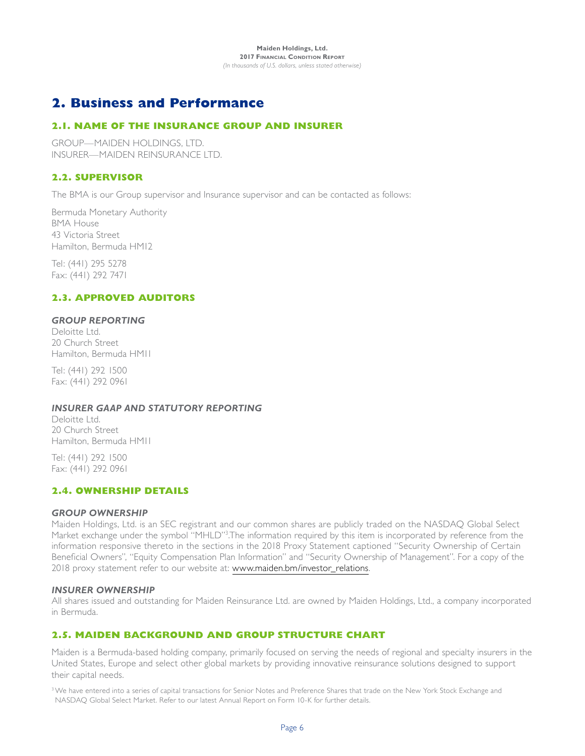# **2. Business and Performance**

## **2.1. NAME OF THE INSURANCE GROUP AND INSURER**

GROUP—MAIDEN HOLDINGS, LTD. INSURER—MAIDEN REINSURANCE LTD.

## **2.2. SUPERVISOR**

The BMA is our Group supervisor and Insurance supervisor and can be contacted as follows:

Bermuda Monetary Authority BMA House 43 Victoria Street Hamilton, Bermuda HM12

Tel: (441) 295 5278 Fax: (441) 292 7471

## **2.3. APPROVED AUDITORS**

## *GROUP REPORTING*

Deloitte Ltd. 20 Church Street Hamilton, Bermuda HM11

Tel: (441) 292 1500 Fax: (441) 292 0961

## *INSURER GAAP AND STATUTORY REPORTING*

Deloitte Ltd. 20 Church Street Hamilton, Bermuda HM11

Tel: (441) 292 1500 Fax: (441) 292 0961

## **2.4. OWNERSHIP DETAILS**

## *GROUP OWNERSHIP*

Maiden Holdings, Ltd. is an SEC registrant and our common shares are publicly traded on the NASDAQ Global Select Market exchange under the symbol "MHLD"<sup>3</sup>.The information required by this item is incorporated by reference from the information responsive thereto in the sections in the 2018 Proxy Statement captioned "Security Ownership of Certain Beneficial Owners", "Equity Compensation Plan Information" and "Security Ownership of Management". For a copy of the 2018 proxy statement refer to our website at: www.maiden.bm/investor\_relations.

## *INSURER OWNERSHIP*

All shares issued and outstanding for Maiden Reinsurance Ltd. are owned by Maiden Holdings, Ltd., a company incorporated in Bermuda.

## **2.5. MAIDEN BACKGROUND AND GROUP STRUCTURE CHART**

Maiden is a Bermuda-based holding company, primarily focused on serving the needs of regional and specialty insurers in the United States, Europe and select other global markets by providing innovative reinsurance solutions designed to support their capital needs.

<sup>3</sup> We have entered into a series of capital transactions for Senior Notes and Preference Shares that trade on the New York Stock Exchange and NASDAQ Global Select Market. Refer to our latest Annual Report on Form 10-K for further details.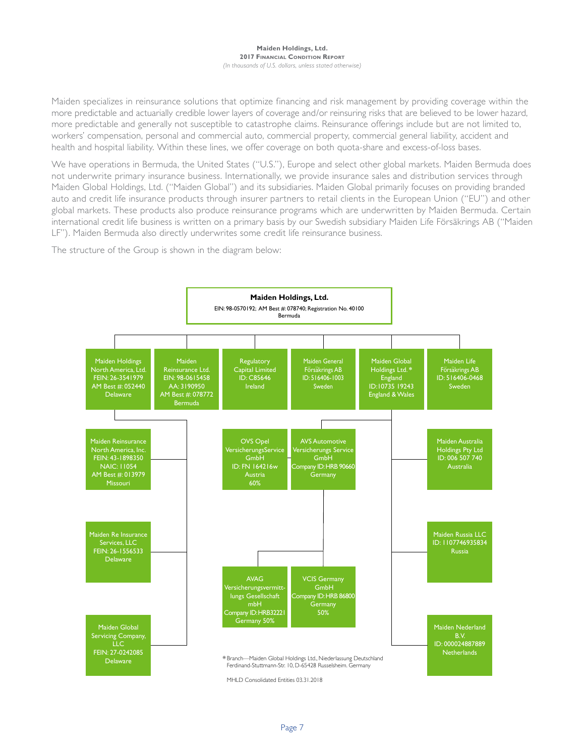Maiden specializes in reinsurance solutions that optimize financing and risk management by providing coverage within the more predictable and actuarially credible lower layers of coverage and/or reinsuring risks that are believed to be lower hazard, more predictable and generally not susceptible to catastrophe claims. Reinsurance offerings include but are not limited to, workers' compensation, personal and commercial auto, commercial property, commercial general liability, accident and health and hospital liability. Within these lines, we offer coverage on both quota-share and excess-of-loss bases.

We have operations in Bermuda, the United States ("U.S."), Europe and select other global markets. Maiden Bermuda does not underwrite primary insurance business. Internationally, we provide insurance sales and distribution services through Maiden Global Holdings, Ltd. ("Maiden Global") and its subsidiaries. Maiden Global primarily focuses on providing branded auto and credit life insurance products through insurer partners to retail clients in the European Union ("EU") and other global markets. These products also produce reinsurance programs which are underwritten by Maiden Bermuda. Certain international credit life business is written on a primary basis by our Swedish subsidiary Maiden Life Försäkrings AB ("Maiden LF"). Maiden Bermuda also directly underwrites some credit life reinsurance business.

The structure of the Group is shown in the diagram below:



MHLD Consolidated Entities 03.31.2018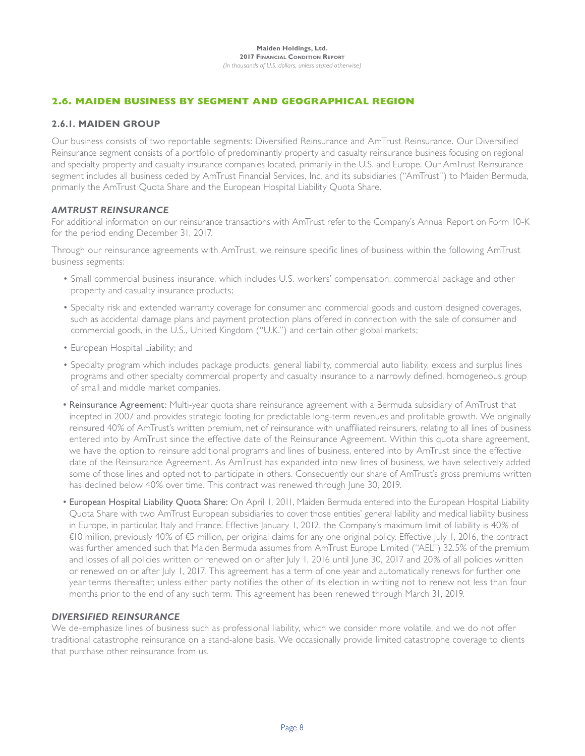## **2.6. MAIDEN BUSINESS BY SEGMENT AND GEOGRAPHICAL REGION**

## **2.6.1. MAIDEN GROUP**

Our business consists of two reportable segments: Diversified Reinsurance and AmTrust Reinsurance. Our Diversified Reinsurance segment consists of a portfolio of predominantly property and casualty reinsurance business focusing on regional and specialty property and casualty insurance companies located, primarily in the U.S. and Europe. Our AmTrust Reinsurance segment includes all business ceded by AmTrust Financial Services, Inc. and its subsidiaries ("AmTrust") to Maiden Bermuda, primarily the AmTrust Quota Share and the European Hospital Liability Quota Share.

## *AMTRUST REINSURANCE*

For additional information on our reinsurance transactions with AmTrust refer to the Company's Annual Report on Form 10-K for the period ending December 31, 2017.

Through our reinsurance agreements with AmTrust, we reinsure specific lines of business within the following AmTrust business segments:

- Small commercial business insurance, which includes U.S. workers' compensation, commercial package and other property and casualty insurance products;
- Specialty risk and extended warranty coverage for consumer and commercial goods and custom designed coverages, such as accidental damage plans and payment protection plans offered in connection with the sale of consumer and commercial goods, in the U.S., United Kingdom ("U.K.") and certain other global markets;
- European Hospital Liability; and
- Specialty program which includes package products, general liability, commercial auto liability, excess and surplus lines programs and other specialty commercial property and casualty insurance to a narrowly defined, homogeneous group of small and middle market companies.
- Reinsurance Agreement: Multi-year quota share reinsurance agreement with a Bermuda subsidiary of AmTrust that incepted in 2007 and provides strategic footing for predictable long-term revenues and profitable growth. We originally reinsured 40% of AmTrust's written premium, net of reinsurance with unaffiliated reinsurers, relating to all lines of business entered into by AmTrust since the effective date of the Reinsurance Agreement. Within this quota share agreement, we have the option to reinsure additional programs and lines of business, entered into by AmTrust since the effective date of the Reinsurance Agreement. As AmTrust has expanded into new lines of business, we have selectively added some of those lines and opted not to participate in others. Consequently our share of AmTrust's gross premiums written has declined below 40% over time. This contract was renewed through June 30, 2019.
- European Hospital Liability Quota Share: On April 1, 2011, Maiden Bermuda entered into the European Hospital Liability Quota Share with two AmTrust European subsidiaries to cover those entities' general liability and medical liability business in Europe, in particular, Italy and France. Effective January 1, 2012, the Company's maximum limit of liability is 40% of €10 million, previously 40% of €5 million, per original claims for any one original policy. Effective July 1, 2016, the contract was further amended such that Maiden Bermuda assumes from AmTrust Europe Limited ("AEL") 32.5% of the premium and losses of all policies written or renewed on or after July 1, 2016 until June 30, 2017 and 20% of all policies written or renewed on or after July 1, 2017. This agreement has a term of one year and automatically renews for further one year terms thereafter, unless either party notifies the other of its election in writing not to renew not less than four months prior to the end of any such term. This agreement has been renewed through March 31, 2019.

## *DIVERSIFIED REINSURANCE*

We de-emphasize lines of business such as professional liability, which we consider more volatile, and we do not offer traditional catastrophe reinsurance on a stand-alone basis. We occasionally provide limited catastrophe coverage to clients that purchase other reinsurance from us.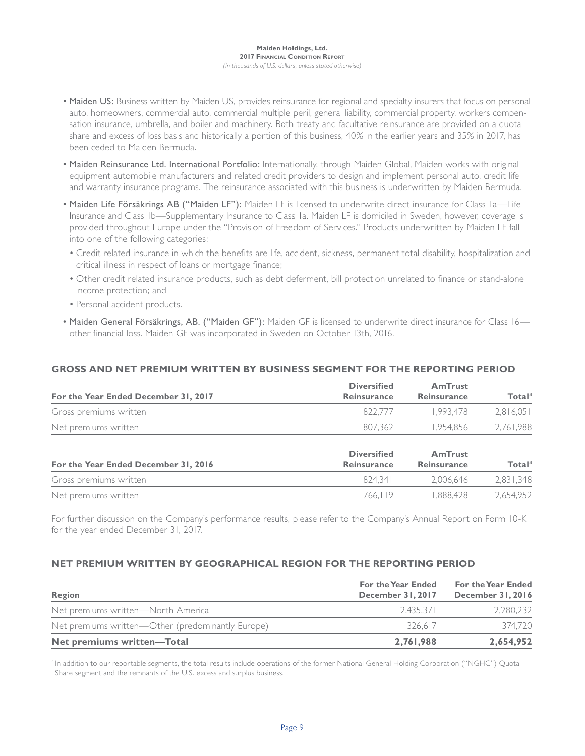- Maiden US: Business written by Maiden US, provides reinsurance for regional and specialty insurers that focus on personal auto, homeowners, commercial auto, commercial multiple peril, general liability, commercial property, workers compensation insurance, umbrella, and boiler and machinery. Both treaty and facultative reinsurance are provided on a quota share and excess of loss basis and historically a portion of this business, 40% in the earlier years and 35% in 2017, has been ceded to Maiden Bermuda.
- Maiden Reinsurance Ltd. International Portfolio: Internationally, through Maiden Global, Maiden works with original equipment automobile manufacturers and related credit providers to design and implement personal auto, credit life and warranty insurance programs. The reinsurance associated with this business is underwritten by Maiden Bermuda.
- Maiden Life Försäkrings AB ("Maiden LF"): Maiden LF is licensed to underwrite direct insurance for Class 1a—Life Insurance and Class 1b—Supplementary Insurance to Class 1a. Maiden LF is domiciled in Sweden, however, coverage is provided throughout Europe under the "Provision of Freedom of Services." Products underwritten by Maiden LF fall into one of the following categories:
- Credit related insurance in which the benefits are life, accident, sickness, permanent total disability, hospitalization and critical illness in respect of loans or mortgage finance;
- Other credit related insurance products, such as debt deferment, bill protection unrelated to finance or stand-alone income protection; and
- Personal accident products.
- Maiden General Försäkrings, AB. ("Maiden GF"): Maiden GF is licensed to underwrite direct insurance for Class 16 other financial loss. Maiden GF was incorporated in Sweden on October 13th, 2016.

## **GROSS AND NET PREMIUM WRITTEN BY BUSINESS SEGMENT FOR THE REPORTING PERIOD**

| For the Year Ended December 31, 2017 | <b>Diversified</b><br><b>Reinsurance</b> | <b>AmTrust</b><br><b>Reinsurance</b> | Total <sup>4</sup> |
|--------------------------------------|------------------------------------------|--------------------------------------|--------------------|
| Gross premiums written               | 822,777                                  | 1.993.478                            | 2,816,051          |
| Net premiums written                 | 807.362                                  | 1.954.856                            | 2,761,988          |
| For the Year Ended December 31, 2016 | <b>Diversified</b><br><b>Reinsurance</b> | <b>AmTrust</b><br><b>Reinsurance</b> | Total <sup>4</sup> |
| Gross premiums written               | 824.341                                  | 2,006,646                            | 2,831,348          |

For further discussion on the Company's performance results, please refer to the Company's Annual Report on Form 10-K for the year ended December 31, 2017.

Net premiums written 1988,000 and 1,888,428 1,888,428 2,654,952

## **NET PREMIUM WRITTEN BY GEOGRAPHICAL REGION FOR THE REPORTING PERIOD**

| Region                                            | For the Year Ended<br>December 31, 2017 | <b>For the Year Ended</b><br><b>December 31, 2016</b> |
|---------------------------------------------------|-----------------------------------------|-------------------------------------------------------|
| Net premiums written—North America                | 2.435.371                               | 2,280,232                                             |
| Net premiums written—Other (predominantly Europe) | 326.617                                 | 374.720                                               |
| Net premiums written-Total                        | 2,761,988                               | 2,654,952                                             |

4 In addition to our reportable segments, the total results include operations of the former National General Holding Corporation ("NGHC") Quota Share segment and the remnants of the U.S. excess and surplus business.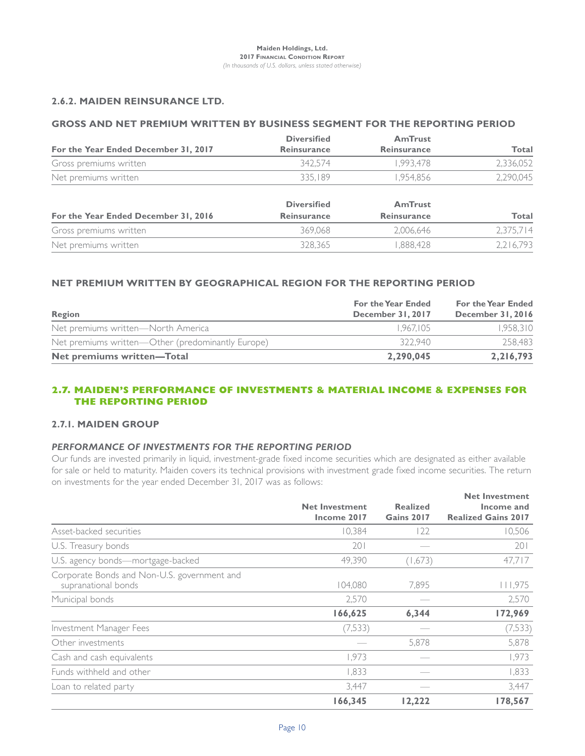## **2.6.2. MAIDEN REINSURANCE LTD.**

## **GROSS AND NET PREMIUM WRITTEN BY BUSINESS SEGMENT FOR THE REPORTING PERIOD**

|                                      | <b>Diversified</b> | AmTrust     |           |
|--------------------------------------|--------------------|-------------|-----------|
| For the Year Ended December 31, 2017 | <b>Reinsurance</b> | Reinsurance | Total     |
| Gross premiums written               | 342.574            | 1.993.478   | 2.336.052 |
| Net premiums written                 | 335.189            | 1.954.856   | 2,290,045 |

|                                      | <b>Diversified</b> | <b>AmTrust</b>     |           |
|--------------------------------------|--------------------|--------------------|-----------|
| For the Year Ended December 31, 2016 | <b>Reinsurance</b> | <b>Reinsurance</b> | Total     |
| Gross premiums written               | 369.068            | 2.006.646          | 2.375.714 |
| Net premiums written                 | 328.365            | 1.888.428          | 2.216.793 |

## **NET PREMIUM WRITTEN BY GEOGRAPHICAL REGION FOR THE REPORTING PERIOD**

| Region                                            | For the Year Ended<br>December 31, 2017 | For the Year Ended<br>December 31, 2016 |
|---------------------------------------------------|-----------------------------------------|-----------------------------------------|
| Net premiums written-North America                | 1.967.105                               | 1.958.310                               |
| Net premiums written-Other (predominantly Europe) | 322.940                                 | 258.483                                 |
| Net premiums written-Total                        | 2,290,045                               | 2,216,793                               |

## **2.7. MAIDEN'S PERFORMANCE OF INVESTMENTS & MATERIAL INCOME & EXPENSES FOR THE REPORTING PERIOD**

## **2.7.1. MAIDEN GROUP**

## *PERFORMANCE OF INVESTMENTS FOR THE REPORTING PERIOD*

Our funds are invested primarily in liquid, investment-grade fixed income securities which are designated as either available for sale or held to maturity. Maiden covers its technical provisions with investment grade fixed income securities. The return on investments for the year ended December 31, 2017 was as follows:

|                                                                    | <b>Net Investment</b><br>Income 2017 | <b>Realized</b><br><b>Gains 2017</b> | <b>Net Investment</b><br>Income and<br><b>Realized Gains 2017</b> |
|--------------------------------------------------------------------|--------------------------------------|--------------------------------------|-------------------------------------------------------------------|
| Asset-backed securities                                            | 10,384                               | 122                                  | 10,506                                                            |
| U.S. Treasury bonds                                                | 201                                  |                                      | 201                                                               |
| U.S. agency bonds-mortgage-backed                                  | 49,390                               | (1,673)                              | 47,717                                                            |
| Corporate Bonds and Non-U.S. government and<br>supranational bonds | 104.080                              | 7,895                                | 111,975                                                           |
| Municipal bonds                                                    | 2,570                                |                                      | 2,570                                                             |
|                                                                    | 166,625                              | 6,344                                | 172,969                                                           |
| Investment Manager Fees                                            | (7,533)                              |                                      | (7,533)                                                           |
| Other investments                                                  |                                      | 5,878                                | 5,878                                                             |
| Cash and cash equivalents                                          | 1,973                                |                                      | 1,973                                                             |
| Funds withheld and other                                           | 1,833                                |                                      | 1,833                                                             |
| Loan to related party                                              | 3,447                                |                                      | 3,447                                                             |
|                                                                    | 166,345                              | 12,222                               | 178,567                                                           |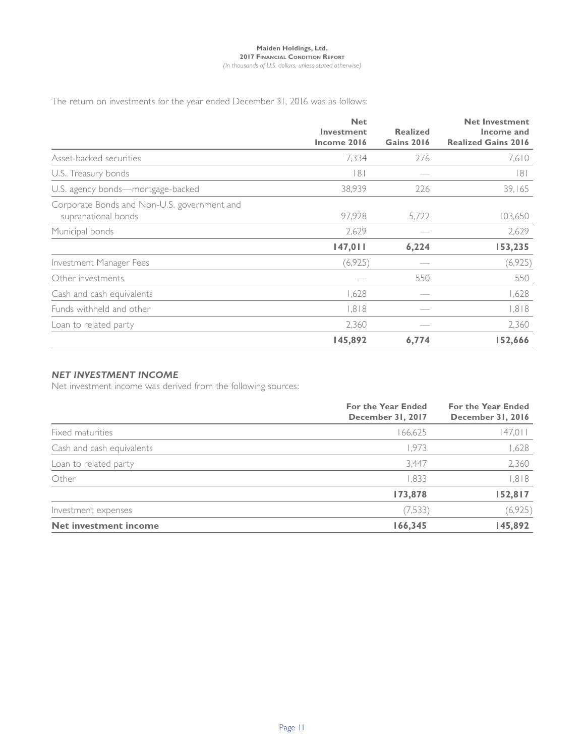The return on investments for the year ended December 31, 2016 was as follows:

|                                                                    | <b>Net</b><br>Investment<br>Income 2016 | <b>Realized</b><br><b>Gains 2016</b> | <b>Net Investment</b><br>Income and<br><b>Realized Gains 2016</b> |
|--------------------------------------------------------------------|-----------------------------------------|--------------------------------------|-------------------------------------------------------------------|
| Asset-backed securities                                            | 7,334                                   | 276                                  | 7,610                                                             |
| U.S. Treasury bonds                                                | 8                                       |                                      | 8                                                                 |
| U.S. agency bonds—mortgage-backed                                  | 38,939                                  | 226                                  | 39,165                                                            |
| Corporate Bonds and Non-U.S. government and<br>supranational bonds | 97,928                                  | 5,722                                | 103,650                                                           |
| Municipal bonds                                                    | 2,629                                   |                                      | 2,629                                                             |
|                                                                    | 147,011                                 | 6,224                                | 153,235                                                           |
| Investment Manager Fees                                            | (6, 925)                                |                                      | (6,925)                                                           |
| Other investments                                                  |                                         | 550                                  | 550                                                               |
| Cash and cash equivalents                                          | 1,628                                   |                                      | 1,628                                                             |
| Funds withheld and other                                           | 1,818                                   |                                      | 1,818                                                             |
| Loan to related party                                              | 2,360                                   |                                      | 2,360                                                             |
|                                                                    | 145,892                                 | 6,774                                | 152,666                                                           |

## *NET INVESTMENT INCOME*

Net investment income was derived from the following sources:

|                              | For the Year Ended<br>December 31, 2017 | For the Year Ended<br>December 31, 2016 |
|------------------------------|-----------------------------------------|-----------------------------------------|
| Fixed maturities             | 166,625                                 | 147,011                                 |
| Cash and cash equivalents    | 1.973                                   | 1,628                                   |
| Loan to related party        | 3.447                                   | 2,360                                   |
| Other                        | 1.833                                   | 1,818                                   |
|                              | 173,878                                 | 152,817                                 |
| Investment expenses          | (7,533)                                 | (6,925)                                 |
| <b>Net investment income</b> | 166,345                                 | 145,892                                 |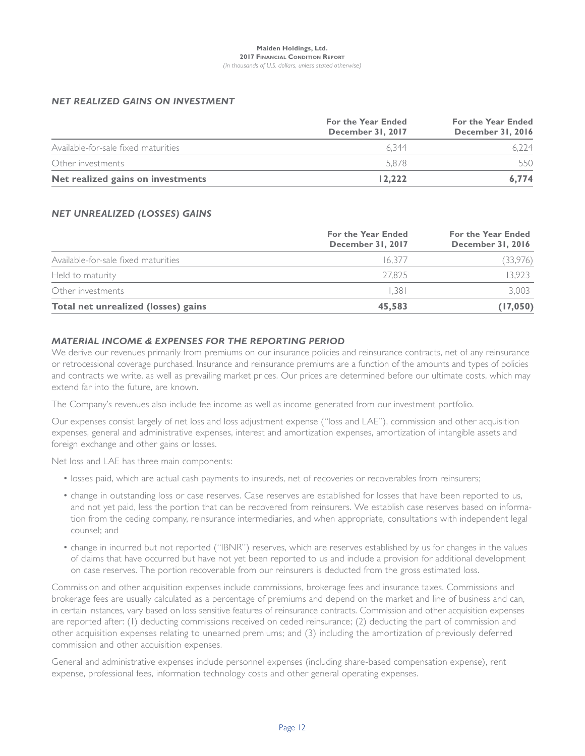## *NET REALIZED GAINS ON INVESTMENT*

|                                     | <b>For the Year Ended</b><br>December 31, 2017 | For the Year Ended<br>December 31, 2016 |
|-------------------------------------|------------------------------------------------|-----------------------------------------|
| Available-for-sale fixed maturities | 6.344                                          | 6.224                                   |
| Other investments                   | 5.878                                          | 550                                     |
| Net realized gains on investments   | 12.222                                         | 6.774                                   |

## *NET UNREALIZED (LOSSES) GAINS*

|                                     | <b>For the Year Ended</b><br>December 31, 2017 | <b>For the Year Ended</b><br>December 31, 2016 |
|-------------------------------------|------------------------------------------------|------------------------------------------------|
| Available-for-sale fixed maturities | 16.377                                         | (33,976)                                       |
| Held to maturity                    | 27.825                                         | 13.923                                         |
| Other investments                   | 1.381                                          | 3.003                                          |
| Total net unrealized (losses) gains | 45,583                                         | (17,050)                                       |

## *MATERIAL INCOME & EXPENSES FOR THE REPORTING PERIOD*

We derive our revenues primarily from premiums on our insurance policies and reinsurance contracts, net of any reinsurance or retrocessional coverage purchased. Insurance and reinsurance premiums are a function of the amounts and types of policies and contracts we write, as well as prevailing market prices. Our prices are determined before our ultimate costs, which may extend far into the future, are known.

The Company's revenues also include fee income as well as income generated from our investment portfolio.

Our expenses consist largely of net loss and loss adjustment expense ("loss and LAE"), commission and other acquisition expenses, general and administrative expenses, interest and amortization expenses, amortization of intangible assets and foreign exchange and other gains or losses.

Net loss and LAE has three main components:

- losses paid, which are actual cash payments to insureds, net of recoveries or recoverables from reinsurers;
- change in outstanding loss or case reserves. Case reserves are established for losses that have been reported to us, and not yet paid, less the portion that can be recovered from reinsurers. We establish case reserves based on information from the ceding company, reinsurance intermediaries, and when appropriate, consultations with independent legal counsel; and
- change in incurred but not reported ("IBNR") reserves, which are reserves established by us for changes in the values of claims that have occurred but have not yet been reported to us and include a provision for additional development on case reserves. The portion recoverable from our reinsurers is deducted from the gross estimated loss.

Commission and other acquisition expenses include commissions, brokerage fees and insurance taxes. Commissions and brokerage fees are usually calculated as a percentage of premiums and depend on the market and line of business and can, in certain instances, vary based on loss sensitive features of reinsurance contracts. Commission and other acquisition expenses are reported after: (1) deducting commissions received on ceded reinsurance; (2) deducting the part of commission and other acquisition expenses relating to unearned premiums; and (3) including the amortization of previously deferred commission and other acquisition expenses.

General and administrative expenses include personnel expenses (including share-based compensation expense), rent expense, professional fees, information technology costs and other general operating expenses.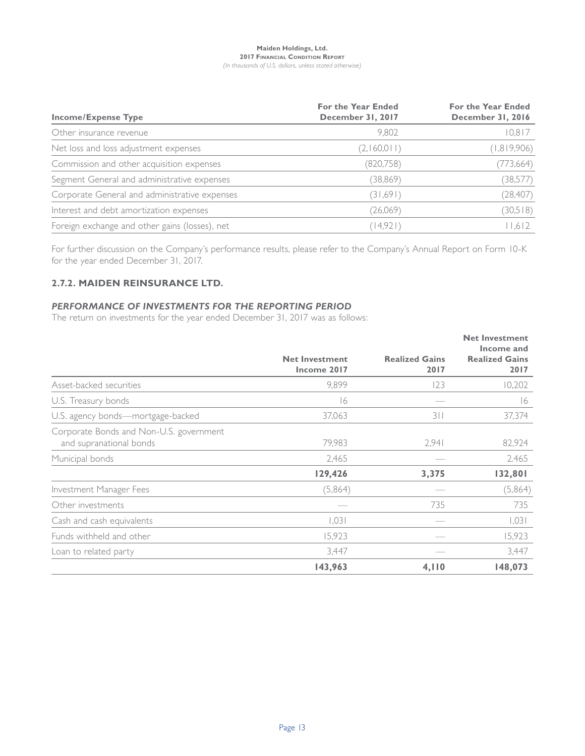| <b>Income/Expense Type</b>                     | For the Year Ended<br>December 31, 2017 | For the Year Ended<br>December 31, 2016 |
|------------------------------------------------|-----------------------------------------|-----------------------------------------|
| Other insurance revenue                        | 9,802                                   | 10,817                                  |
| Net loss and loss adjustment expenses          | (2,160,011)                             | (1,819,906)                             |
| Commission and other acquisition expenses      | (820, 758)                              | (773, 664)                              |
| Segment General and administrative expenses    | (38,869)                                | (38,577)                                |
| Corporate General and administrative expenses  | (31,691)                                | (28, 407)                               |
| Interest and debt amortization expenses        | (26,069)                                | (30,518)                                |
| Foreign exchange and other gains (losses), net | (14,921)                                | 11,612                                  |

For further discussion on the Company's performance results, please refer to the Company's Annual Report on Form 10-K for the year ended December 31, 2017.

## **2.7.2. MAIDEN REINSURANCE LTD.**

## *PERFORMANCE OF INVESTMENTS FOR THE REPORTING PERIOD*

The return on investments for the year ended December 31, 2017 was as follows:

|                                                                    | <b>Net Investment</b><br>Income 2017 | <b>Realized Gains</b><br>2017 | <b>Net Investment</b><br>Income and<br><b>Realized Gains</b><br>2017 |
|--------------------------------------------------------------------|--------------------------------------|-------------------------------|----------------------------------------------------------------------|
| Asset-backed securities                                            | 9.899                                | 123                           | 10,202                                                               |
| U.S. Treasury bonds                                                | 16                                   |                               | 16                                                                   |
| U.S. agency bonds-mortgage-backed                                  | 37,063                               | 311                           | 37,374                                                               |
| Corporate Bonds and Non-U.S. government<br>and supranational bonds | 79,983                               | 2,941                         | 82,924                                                               |
| Municipal bonds                                                    | 2,465                                |                               | 2.465                                                                |
|                                                                    | 129,426                              | 3,375                         | 132,801                                                              |
| Investment Manager Fees                                            | (5,864)                              |                               | (5,864)                                                              |
| Other investments                                                  |                                      | 735                           | 735                                                                  |
| Cash and cash equivalents                                          | 1,031                                |                               | 1,031                                                                |
| Funds withheld and other                                           | 15,923                               |                               | 15,923                                                               |
| Loan to related party                                              | 3,447                                |                               | 3,447                                                                |
|                                                                    | 143,963                              | 4,110                         | 148,073                                                              |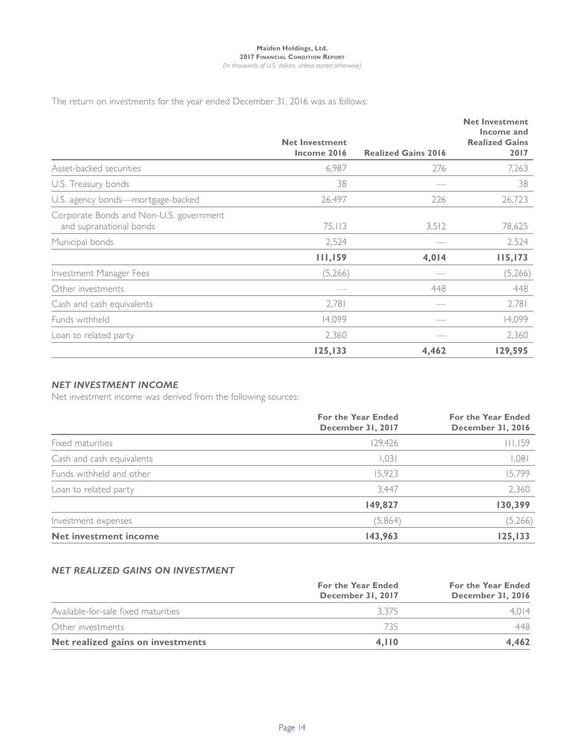The return on investments for the year ended December 31, 2016 was as follows:

|                                                                    | <b>Net Investment</b><br>Income 2016 | <b>Realized Gains 2016</b> | <b>Net Investment</b><br>Income and<br><b>Realized Gains</b><br>2017 |
|--------------------------------------------------------------------|--------------------------------------|----------------------------|----------------------------------------------------------------------|
| Asset-backed securities                                            | 6,987                                | 276                        | 7,263                                                                |
| U.S. Treasury bonds                                                | 38                                   |                            | 38                                                                   |
| U.S. agency bonds-mortgage-backed                                  | 26,497                               | 226                        | 26,723                                                               |
| Corporate Bonds and Non-U.S. government<br>and supranational bonds | 75,113                               | 3,512                      | 78,625                                                               |
| Municipal bonds                                                    | 2,524                                |                            | 2.524                                                                |
|                                                                    | 111,159                              | 4,014                      | 115,173                                                              |
| Investment Manager Fees                                            | (5,266)                              |                            | (5,266)                                                              |
| Other investments                                                  |                                      | 448                        | 448                                                                  |
| Cash and cash equivalents                                          | 2,781                                |                            | 2,781                                                                |
| Funds withheld                                                     | 14,099                               |                            | 14,099                                                               |
| Loan to related party                                              | 2,360                                |                            | 2,360                                                                |
|                                                                    | 125,133                              | 4,462                      | 129,595                                                              |

## *NET INVESTMENT INCOME*

Net investment income was derived from the following sources:

|                              | For the Year Ended<br>December 31, 2017 | For the Year Ended<br>December 31, 2016 |
|------------------------------|-----------------------------------------|-----------------------------------------|
| Fixed maturities             | 129.426                                 | 11,159                                  |
| Cash and cash equivalents    | 1.031                                   | 1,081                                   |
| Funds withheld and other     | 15,923                                  | 15,799                                  |
| Loan to related party        | 3,447                                   | 2,360                                   |
|                              | 149,827                                 | 130,399                                 |
| Investment expenses          | (5,864)                                 | (5,266)                                 |
| <b>Net investment income</b> | 143,963                                 | 125,133                                 |

## *NET REALIZED GAINS ON INVESTMENT*

|                                     | <b>For the Year Ended</b><br>December 31, 2017 | For the Year Ended<br>December 31, 2016 |
|-------------------------------------|------------------------------------------------|-----------------------------------------|
| Available-for-sale fixed maturities | 3375                                           | 4.014                                   |
| Other investments                   | 735                                            | 448                                     |
| Net realized gains on investments   | 4.110                                          | 4.462                                   |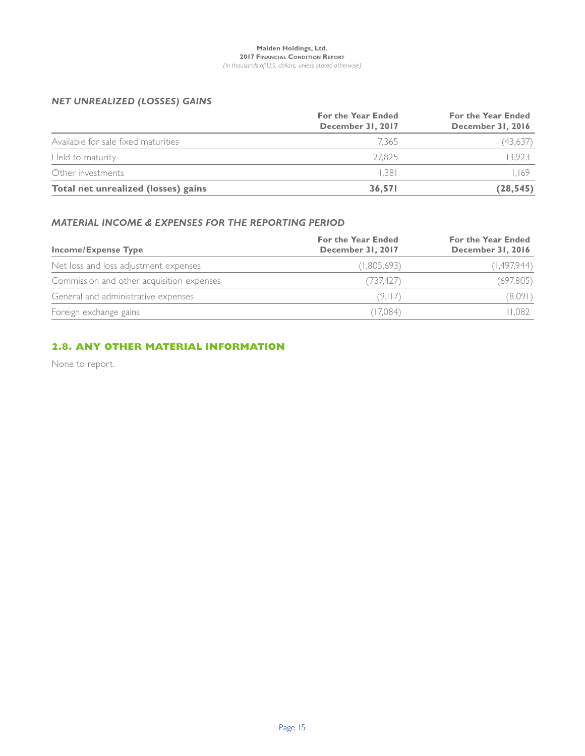## *NET UNREALIZED (LOSSES) GAINS*

|                                     | For the Year Ended<br>December 31, 2017 | <b>For the Year Ended</b><br>December 31, 2016 |
|-------------------------------------|-----------------------------------------|------------------------------------------------|
| Available for sale fixed maturities | 7,365                                   | (43,637)                                       |
| Held to maturity                    | 27.825                                  | 3.923                                          |
| Other investments                   | 1.381                                   | I.I69                                          |
| Total net unrealized (losses) gains | 36,571                                  | (28, 545)                                      |

## *MATERIAL INCOME & EXPENSES FOR THE REPORTING PERIOD*

| <b>Income/Expense Type</b>                | <b>For the Year Ended</b><br>December 31, 2017 | <b>For the Year Ended</b><br>December 31, 2016 |
|-------------------------------------------|------------------------------------------------|------------------------------------------------|
| Net loss and loss adjustment expenses     | (1,805,693)                                    | (1,497,944)                                    |
| Commission and other acquisition expenses | (737.427)                                      | (697,805)                                      |
| General and administrative expenses       | (9.117)                                        | (8,091)                                        |
| Foreign exchange gains                    | (17,084)                                       | 1.082                                          |

## **2.8. ANY OTHER MATERIAL INFORMATION**

None to report.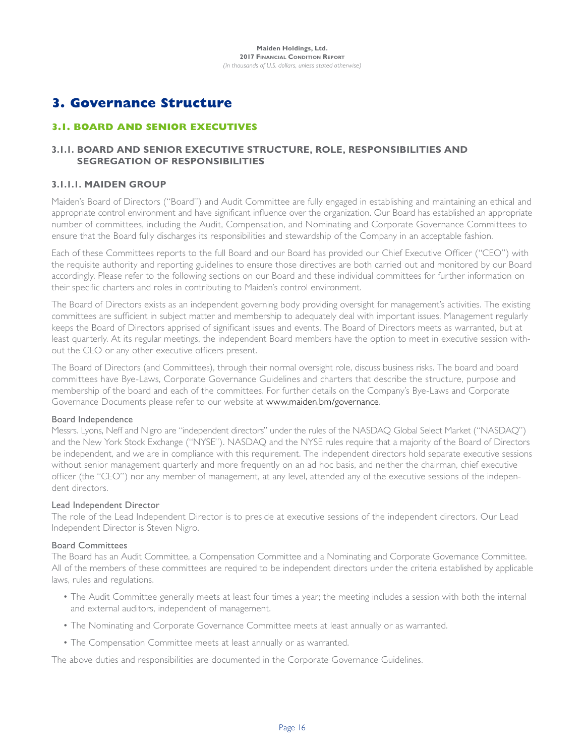# **3. Governance Structure**

## **3.1. BOARD AND SENIOR EXECUTIVES**

## **3.1.1. BOARD AND SENIOR EXECUTIVE STRUCTURE, ROLE, RESPONSIBILITIES AND SEGREGATION OF RESPONSIBILITIES**

## **3.1.1.1. MAIDEN GROUP**

Maiden's Board of Directors ("Board") and Audit Committee are fully engaged in establishing and maintaining an ethical and appropriate control environment and have significant influence over the organization. Our Board has established an appropriate number of committees, including the Audit, Compensation, and Nominating and Corporate Governance Committees to ensure that the Board fully discharges its responsibilities and stewardship of the Company in an acceptable fashion.

Each of these Committees reports to the full Board and our Board has provided our Chief Executive Officer ("CEO") with the requisite authority and reporting guidelines to ensure those directives are both carried out and monitored by our Board accordingly. Please refer to the following sections on our Board and these individual committees for further information on their specific charters and roles in contributing to Maiden's control environment.

The Board of Directors exists as an independent governing body providing oversight for management's activities. The existing committees are sufficient in subject matter and membership to adequately deal with important issues. Management regularly keeps the Board of Directors apprised of significant issues and events. The Board of Directors meets as warranted, but at least quarterly. At its regular meetings, the independent Board members have the option to meet in executive session without the CEO or any other executive officers present.

The Board of Directors (and Committees), through their normal oversight role, discuss business risks. The board and board committees have Bye-Laws, Corporate Governance Guidelines and charters that describe the structure, purpose and membership of the board and each of the committees. For further details on the Company's Bye-Laws and Corporate Governance Documents please refer to our website at www.maiden.bm/governance.

## Board Independence

Messrs. Lyons, Neff and Nigro are "independent directors" under the rules of the NASDAQ Global Select Market ("NASDAQ") and the New York Stock Exchange ("NYSE"). NASDAQ and the NYSE rules require that a majority of the Board of Directors be independent, and we are in compliance with this requirement. The independent directors hold separate executive sessions without senior management quarterly and more frequently on an ad hoc basis, and neither the chairman, chief executive officer (the "CEO") nor any member of management, at any level, attended any of the executive sessions of the independent directors.

#### Lead Independent Director

The role of the Lead Independent Director is to preside at executive sessions of the independent directors. Our Lead Independent Director is Steven Nigro.

## Board Committees

The Board has an Audit Committee, a Compensation Committee and a Nominating and Corporate Governance Committee. All of the members of these committees are required to be independent directors under the criteria established by applicable laws, rules and regulations.

- The Audit Committee generally meets at least four times a year; the meeting includes a session with both the internal and external auditors, independent of management.
- The Nominating and Corporate Governance Committee meets at least annually or as warranted.
- The Compensation Committee meets at least annually or as warranted.

The above duties and responsibilities are documented in the Corporate Governance Guidelines.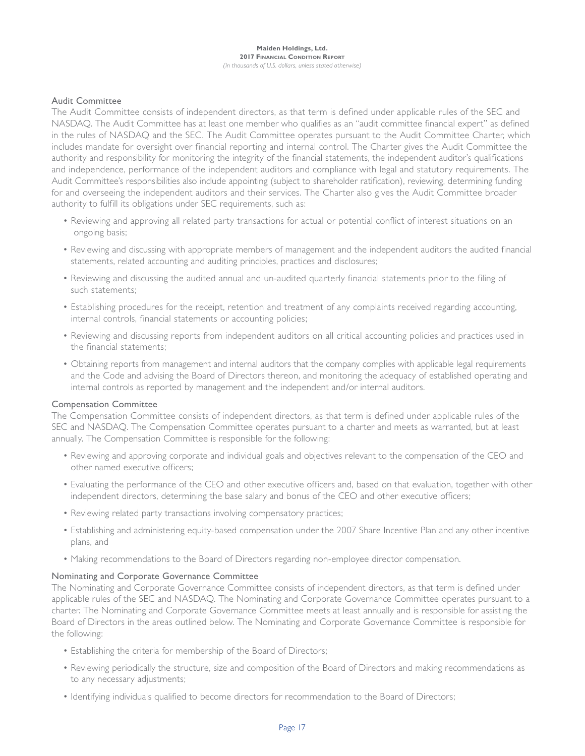#### Audit Committee

The Audit Committee consists of independent directors, as that term is defined under applicable rules of the SEC and NASDAQ. The Audit Committee has at least one member who qualifies as an "audit committee financial expert" as defined in the rules of NASDAQ and the SEC. The Audit Committee operates pursuant to the Audit Committee Charter, which includes mandate for oversight over financial reporting and internal control. The Charter gives the Audit Committee the authority and responsibility for monitoring the integrity of the financial statements, the independent auditor's qualifications and independence, performance of the independent auditors and compliance with legal and statutory requirements. The Audit Committee's responsibilities also include appointing (subject to shareholder ratification), reviewing, determining funding for and overseeing the independent auditors and their services. The Charter also gives the Audit Committee broader authority to fulfill its obligations under SEC requirements, such as:

- Reviewing and approving all related party transactions for actual or potential conflict of interest situations on an ongoing basis;
- Reviewing and discussing with appropriate members of management and the independent auditors the audited financial statements, related accounting and auditing principles, practices and disclosures;
- Reviewing and discussing the audited annual and un-audited quarterly financial statements prior to the filing of such statements;
- Establishing procedures for the receipt, retention and treatment of any complaints received regarding accounting, internal controls, financial statements or accounting policies;
- Reviewing and discussing reports from independent auditors on all critical accounting policies and practices used in the financial statements;
- Obtaining reports from management and internal auditors that the company complies with applicable legal requirements and the Code and advising the Board of Directors thereon, and monitoring the adequacy of established operating and internal controls as reported by management and the independent and/or internal auditors.

#### Compensation Committee

The Compensation Committee consists of independent directors, as that term is defined under applicable rules of the SEC and NASDAQ. The Compensation Committee operates pursuant to a charter and meets as warranted, but at least annually. The Compensation Committee is responsible for the following:

- Reviewing and approving corporate and individual goals and objectives relevant to the compensation of the CEO and other named executive officers;
- Evaluating the performance of the CEO and other executive officers and, based on that evaluation, together with other independent directors, determining the base salary and bonus of the CEO and other executive officers;
- Reviewing related party transactions involving compensatory practices;
- Establishing and administering equity-based compensation under the 2007 Share Incentive Plan and any other incentive plans, and
- Making recommendations to the Board of Directors regarding non-employee director compensation.

#### Nominating and Corporate Governance Committee

The Nominating and Corporate Governance Committee consists of independent directors, as that term is defined under applicable rules of the SEC and NASDAQ. The Nominating and Corporate Governance Committee operates pursuant to a charter. The Nominating and Corporate Governance Committee meets at least annually and is responsible for assisting the Board of Directors in the areas outlined below. The Nominating and Corporate Governance Committee is responsible for the following:

- Establishing the criteria for membership of the Board of Directors;
- Reviewing periodically the structure, size and composition of the Board of Directors and making recommendations as to any necessary adjustments;
- Identifying individuals qualified to become directors for recommendation to the Board of Directors;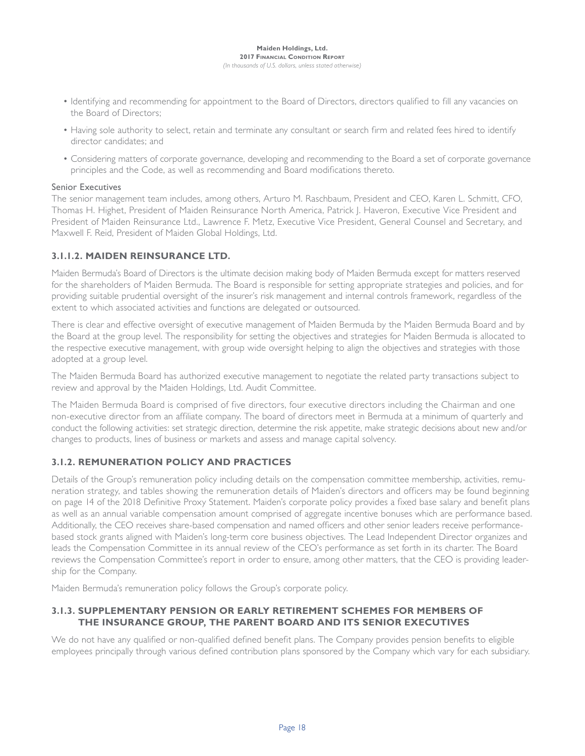- Identifying and recommending for appointment to the Board of Directors, directors qualified to fill any vacancies on the Board of Directors;
- Having sole authority to select, retain and terminate any consultant or search firm and related fees hired to identify director candidates; and
- Considering matters of corporate governance, developing and recommending to the Board a set of corporate governance principles and the Code, as well as recommending and Board modifications thereto.

## Senior Executives

The senior management team includes, among others, Arturo M. Raschbaum, President and CEO, Karen L. Schmitt, CFO, Thomas H. Highet, President of Maiden Reinsurance North America, Patrick J. Haveron, Executive Vice President and President of Maiden Reinsurance Ltd., Lawrence F. Metz, Executive Vice President, General Counsel and Secretary, and Maxwell F. Reid, President of Maiden Global Holdings, Ltd.

## **3.1.1.2. MAIDEN REINSURANCE LTD.**

Maiden Bermuda's Board of Directors is the ultimate decision making body of Maiden Bermuda except for matters reserved for the shareholders of Maiden Bermuda. The Board is responsible for setting appropriate strategies and policies, and for providing suitable prudential oversight of the insurer's risk management and internal controls framework, regardless of the extent to which associated activities and functions are delegated or outsourced.

There is clear and effective oversight of executive management of Maiden Bermuda by the Maiden Bermuda Board and by the Board at the group level. The responsibility for setting the objectives and strategies for Maiden Bermuda is allocated to the respective executive management, with group wide oversight helping to align the objectives and strategies with those adopted at a group level.

The Maiden Bermuda Board has authorized executive management to negotiate the related party transactions subject to review and approval by the Maiden Holdings, Ltd. Audit Committee.

The Maiden Bermuda Board is comprised of five directors, four executive directors including the Chairman and one non-executive director from an affiliate company. The board of directors meet in Bermuda at a minimum of quarterly and conduct the following activities: set strategic direction, determine the risk appetite, make strategic decisions about new and/or changes to products, lines of business or markets and assess and manage capital solvency.

## **3.1.2. REMUNERATION POLICY AND PRACTICES**

Details of the Group's remuneration policy including details on the compensation committee membership, activities, remuneration strategy, and tables showing the remuneration details of Maiden's directors and officers may be found beginning on page 14 of the 2018 Definitive Proxy Statement. Maiden's corporate policy provides a fixed base salary and benefit plans as well as an annual variable compensation amount comprised of aggregate incentive bonuses which are performance based. Additionally, the CEO receives share-based compensation and named officers and other senior leaders receive performancebased stock grants aligned with Maiden's long-term core business objectives. The Lead Independent Director organizes and leads the Compensation Committee in its annual review of the CEO's performance as set forth in its charter. The Board reviews the Compensation Committee's report in order to ensure, among other matters, that the CEO is providing leadership for the Company.

Maiden Bermuda's remuneration policy follows the Group's corporate policy.

## **3.1.3. SUPPLEMENTARY PENSION OR EARLY RETIREMENT SCHEMES FOR MEMBERS OF THE INSURANCE GROUP, THE PARENT BOARD AND ITS SENIOR EXECUTIVES**

We do not have any qualified or non-qualified defined benefit plans. The Company provides pension benefits to eligible employees principally through various defined contribution plans sponsored by the Company which vary for each subsidiary.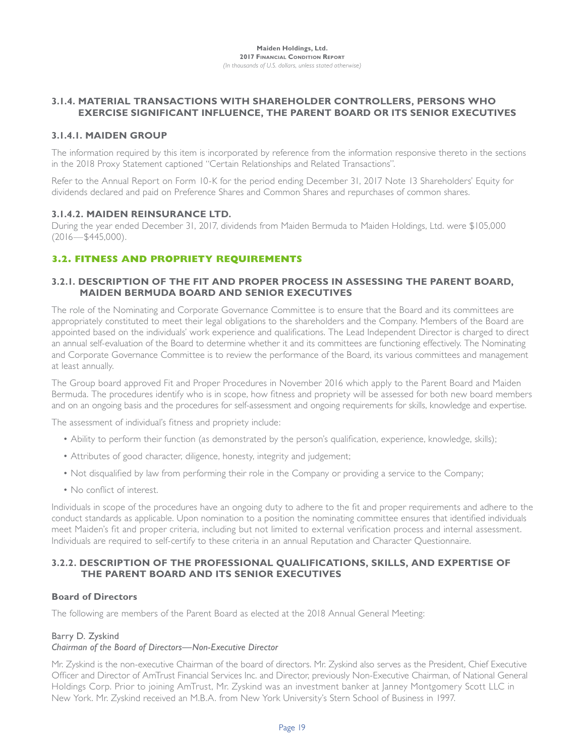## **3.1.4. MATERIAL TRANSACTIONS WITH SHAREHOLDER CONTROLLERS, PERSONS WHO EXERCISE SIGNIFICANT INFLUENCE, THE PARENT BOARD OR ITS SENIOR EXECUTIVES**

## **3.1.4.1. MAIDEN GROUP**

The information required by this item is incorporated by reference from the information responsive thereto in the sections in the 2018 Proxy Statement captioned "Certain Relationships and Related Transactions".

Refer to the Annual Report on Form 10-K for the period ending December 31, 2017 Note 13 Shareholders' Equity for dividends declared and paid on Preference Shares and Common Shares and repurchases of common shares.

## **3.1.4.2. MAIDEN REINSURANCE LTD.**

During the year ended December 31, 2017, dividends from Maiden Bermuda to Maiden Holdings, Ltd. were \$105,000 (2016—\$445,000).

## **3.2. FITNESS AND PROPRIETY REQUIREMENTS**

## **3.2.1. DESCRIPTION OF THE FIT AND PROPER PROCESS IN ASSESSING THE PARENT BOARD, MAIDEN BERMUDA BOARD AND SENIOR EXECUTIVES**

The role of the Nominating and Corporate Governance Committee is to ensure that the Board and its committees are appropriately constituted to meet their legal obligations to the shareholders and the Company. Members of the Board are appointed based on the individuals' work experience and qualifications. The Lead Independent Director is charged to direct an annual self-evaluation of the Board to determine whether it and its committees are functioning effectively. The Nominating and Corporate Governance Committee is to review the performance of the Board, its various committees and management at least annually.

The Group board approved Fit and Proper Procedures in November 2016 which apply to the Parent Board and Maiden Bermuda. The procedures identify who is in scope, how fitness and propriety will be assessed for both new board members and on an ongoing basis and the procedures for self-assessment and ongoing requirements for skills, knowledge and expertise.

The assessment of individual's fitness and propriety include:

- Ability to perform their function (as demonstrated by the person's qualification, experience, knowledge, skills);
- Attributes of good character, diligence, honesty, integrity and judgement;
- Not disqualified by law from performing their role in the Company or providing a service to the Company;
- No conflict of interest.

Individuals in scope of the procedures have an ongoing duty to adhere to the fit and proper requirements and adhere to the conduct standards as applicable. Upon nomination to a position the nominating committee ensures that identified individuals meet Maiden's fit and proper criteria, including but not limited to external verification process and internal assessment. Individuals are required to self-certify to these criteria in an annual Reputation and Character Questionnaire.

## **3.2.2. DESCRIPTION OF THE PROFESSIONAL QUALIFICATIONS, SKILLS, AND EXPERTISE OF THE PARENT BOARD AND ITS SENIOR EXECUTIVES**

## **Board of Directors**

The following are members of the Parent Board as elected at the 2018 Annual General Meeting:

## Barry D. Zyskind

#### *Chairman of the Board of Directors—Non-Executive Director*

Mr. Zyskind is the non-executive Chairman of the board of directors. Mr. Zyskind also serves as the President, Chief Executive Officer and Director of AmTrust Financial Services Inc. and Director, previously Non-Executive Chairman, of National General Holdings Corp. Prior to joining AmTrust, Mr. Zyskind was an investment banker at Janney Montgomery Scott LLC in New York. Mr. Zyskind received an M.B.A. from New York University's Stern School of Business in 1997.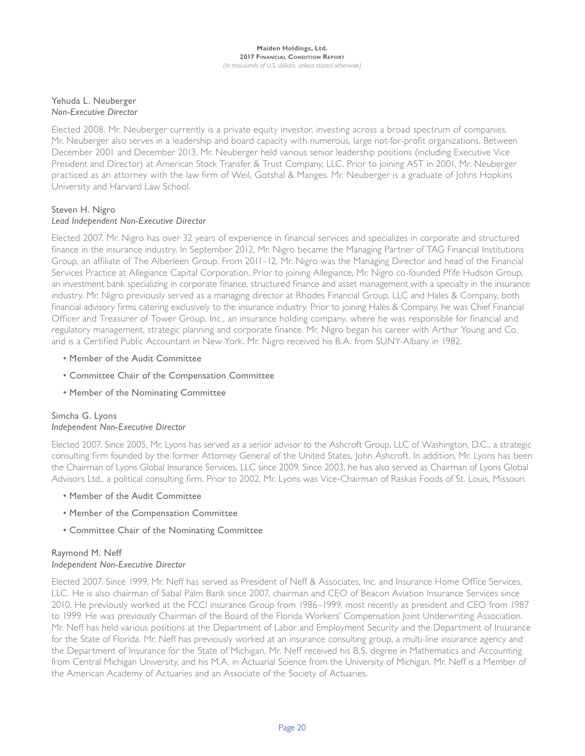## Yehuda L. Neuberger *Non-Executive Director*

Elected 2008. Mr. Neuberger currently is a private equity investor, investing across a broad spectrum of companies. Mr. Neuberger also serves in a leadership and board capacity with numerous, large not-for-profit organizations. Between December 2001 and December 2013, Mr. Neuberger held various senior leadership positions (including Executive Vice President and Director) at American Stock Transfer & Trust Company, LLC. Prior to joining AST in 2001, Mr. Neuberger practiced as an attorney with the law firm of Weil, Gotshal & Manges. Mr. Neuberger is a graduate of Johns Hopkins University and Harvard Law School.

## Steven H. Nigro *Lead Independent Non-Executive Director*

Elected 2007. Mr. Nigro has over 32 years of experience in financial services and specializes in corporate and structured finance in the insurance industry. In September 2012, Mr. Nigro became the Managing Partner of TAG Financial Institutions Group, an affiliate of The Alberleen Group. From 2011–12, Mr. Nigro was the Managing Director and head of the Financial Services Practice at Allegiance Capital Corporation. Prior to joining Allegiance, Mr. Nigro co-founded Pfife Hudson Group, an investment bank specializing in corporate finance, structured finance and asset management with a specialty in the insurance industry. Mr. Nigro previously served as a managing director at Rhodes Financial Group, LLC and Hales & Company, both financial advisory firms catering exclusively to the insurance industry. Prior to joining Hales & Company, he was Chief Financial Officer and Treasurer of Tower Group, Inc., an insurance holding company, where he was responsible for financial and regulatory management, strategic planning and corporate finance. Mr. Nigro began his career with Arthur Young and Co. and is a Certified Public Accountant in New York. Mr. Nigro received his B.A. from SUNY-Albany in 1982.

- Member of the Audit Committee
- Committee Chair of the Compensation Committee
- Member of the Nominating Committee

## Simcha G. Lyons *Independent Non-Executive Director*

Elected 2007. Since 2005, Mr. Lyons has served as a senior advisor to the Ashcroft Group, LLC of Washington, D.C., a strategic consulting firm founded by the former Attorney General of the United States, John Ashcroft. In addition, Mr. Lyons has been the Chairman of Lyons Global Insurance Services, LLC since 2009. Since 2003, he has also served as Chairman of Lyons Global Advisors Ltd., a political consulting firm. Prior to 2002, Mr. Lyons was Vice-Chairman of Raskas Foods of St. Louis, Missouri.

- Member of the Audit Committee
- Member of the Compensation Committee
- Committee Chair of the Nominating Committee

## Raymond M. Neff

## *Independent Non-Executive Director*

Elected 2007. Since 1999, Mr. Neff has served as President of Neff & Associates, Inc. and Insurance Home Office Services, LLC. He is also chairman of Sabal Palm Bank since 2007, chairman and CEO of Beacon Aviation Insurance Services since 2010. He previously worked at the FCCI insurance Group from 1986–1999, most recently as president and CEO from 1987 to 1999. He was previously Chairman of the Board of the Florida Workers' Compensation Joint Underwriting Association. Mr. Neff has held various positions at the Department of Labor and Employment Security and the Department of Insurance for the State of Florida. Mr. Neff has previously worked at an insurance consulting group, a multi-line insurance agency and the Department of Insurance for the State of Michigan. Mr. Neff received his B.S. degree in Mathematics and Accounting from Central Michigan University, and his M.A. in Actuarial Science from the University of Michigan. Mr. Neff is a Member of the American Academy of Actuaries and an Associate of the Society of Actuaries.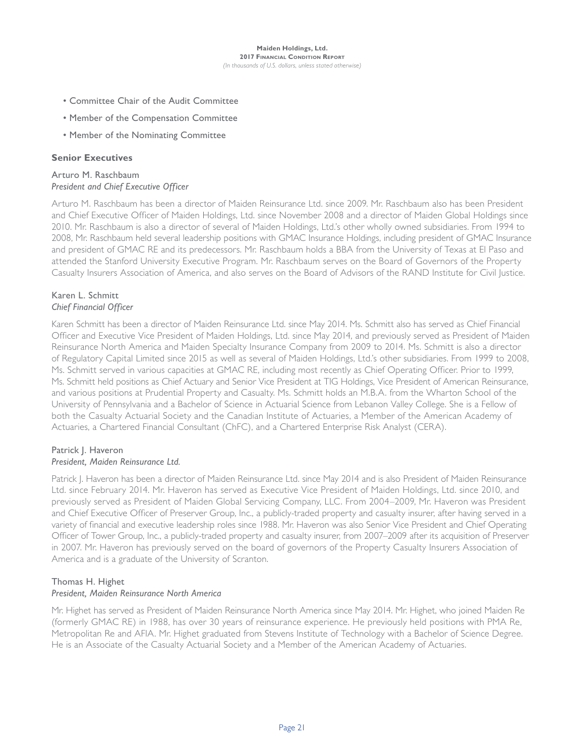- Committee Chair of the Audit Committee
- Member of the Compensation Committee
- Member of the Nominating Committee

## **Senior Executives**

## Arturo M. Raschbaum *President and Chief Executive Officer*

Arturo M. Raschbaum has been a director of Maiden Reinsurance Ltd. since 2009. Mr. Raschbaum also has been President and Chief Executive Officer of Maiden Holdings, Ltd. since November 2008 and a director of Maiden Global Holdings since 2010. Mr. Raschbaum is also a director of several of Maiden Holdings, Ltd.'s other wholly owned subsidiaries. From 1994 to 2008, Mr. Raschbaum held several leadership positions with GMAC Insurance Holdings, including president of GMAC Insurance and president of GMAC RE and its predecessors. Mr. Raschbaum holds a BBA from the University of Texas at El Paso and attended the Stanford University Executive Program. Mr. Raschbaum serves on the Board of Governors of the Property Casualty Insurers Association of America, and also serves on the Board of Advisors of the RAND Institute for Civil Justice.

## Karen L. Schmitt *Chief Financial Officer*

Karen Schmitt has been a director of Maiden Reinsurance Ltd. since May 2014. Ms. Schmitt also has served as Chief Financial Officer and Executive Vice President of Maiden Holdings, Ltd. since May 2014, and previously served as President of Maiden Reinsurance North America and Maiden Specialty Insurance Company from 2009 to 2014. Ms. Schmitt is also a director of Regulatory Capital Limited since 2015 as well as several of Maiden Holdings, Ltd.'s other subsidiaries. From 1999 to 2008, Ms. Schmitt served in various capacities at GMAC RE, including most recently as Chief Operating Officer. Prior to 1999, Ms. Schmitt held positions as Chief Actuary and Senior Vice President at TIG Holdings, Vice President of American Reinsurance, and various positions at Prudential Property and Casualty. Ms. Schmitt holds an M.B.A. from the Wharton School of the University of Pennsylvania and a Bachelor of Science in Actuarial Science from Lebanon Valley College. She is a Fellow of both the Casualty Actuarial Society and the Canadian Institute of Actuaries, a Member of the American Academy of Actuaries, a Chartered Financial Consultant (ChFC), and a Chartered Enterprise Risk Analyst (CERA).

## Patrick J. Haveron *President, Maiden Reinsurance Ltd.*

Patrick J. Haveron has been a director of Maiden Reinsurance Ltd. since May 2014 and is also President of Maiden Reinsurance Ltd. since February 2014. Mr. Haveron has served as Executive Vice President of Maiden Holdings, Ltd. since 2010, and previously served as President of Maiden Global Servicing Company, LLC. From 2004–2009, Mr. Haveron was President and Chief Executive Officer of Preserver Group, Inc., a publicly-traded property and casualty insurer, after having served in a variety of financial and executive leadership roles since 1988. Mr. Haveron was also Senior Vice President and Chief Operating Officer of Tower Group, Inc., a publicly-traded property and casualty insurer, from 2007–2009 after its acquisition of Preserver in 2007. Mr. Haveron has previously served on the board of governors of the Property Casualty Insurers Association of America and is a graduate of the University of Scranton.

## Thomas H. Highet

## *President, Maiden Reinsurance North America*

Mr. Highet has served as President of Maiden Reinsurance North America since May 2014. Mr. Highet, who joined Maiden Re (formerly GMAC RE) in 1988, has over 30 years of reinsurance experience. He previously held positions with PMA Re, Metropolitan Re and AFIA. Mr. Highet graduated from Stevens Institute of Technology with a Bachelor of Science Degree. He is an Associate of the Casualty Actuarial Society and a Member of the American Academy of Actuaries.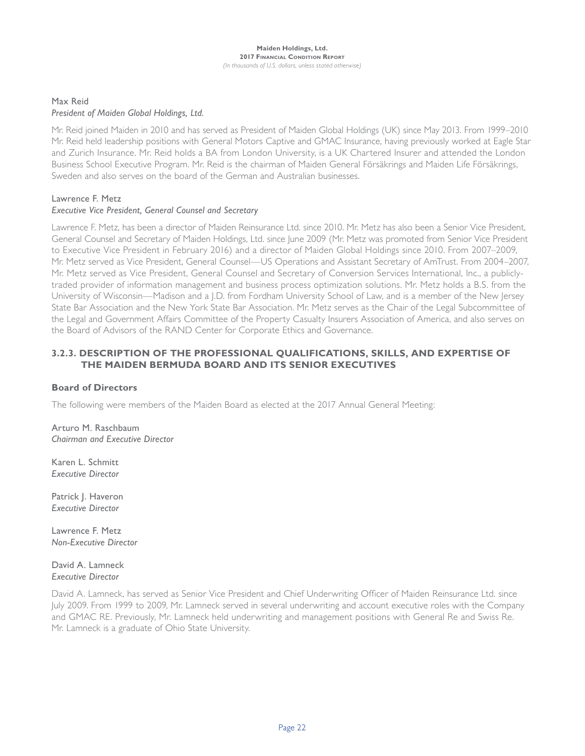## Max Reid *President of Maiden Global Holdings, Ltd.*

Mr. Reid joined Maiden in 2010 and has served as President of Maiden Global Holdings (UK) since May 2013. From 1999–2010 Mr. Reid held leadership positions with General Motors Captive and GMAC Insurance, having previously worked at Eagle Star and Zurich Insurance. Mr. Reid holds a BA from London University, is a UK Chartered Insurer and attended the London Business School Executive Program. Mr. Reid is the chairman of Maiden General Försäkrings and Maiden Life Försäkrings, Sweden and also serves on the board of the German and Australian businesses.

## Lawrence F. Metz

## *Executive Vice President, General Counsel and Secretary*

Lawrence F. Metz, has been a director of Maiden Reinsurance Ltd. since 2010. Mr. Metz has also been a Senior Vice President, General Counsel and Secretary of Maiden Holdings, Ltd. since June 2009 (Mr. Metz was promoted from Senior Vice President to Executive Vice President in February 2016) and a director of Maiden Global Holdings since 2010. From 2007–2009, Mr. Metz served as Vice President, General Counsel—US Operations and Assistant Secretary of AmTrust. From 2004–2007, Mr. Metz served as Vice President, General Counsel and Secretary of Conversion Services International, Inc., a publiclytraded provider of information management and business process optimization solutions. Mr. Metz holds a B.S. from the University of Wisconsin—Madison and a J.D. from Fordham University School of Law, and is a member of the New Jersey State Bar Association and the New York State Bar Association. Mr. Metz serves as the Chair of the Legal Subcommittee of the Legal and Government Affairs Committee of the Property Casualty Insurers Association of America, and also serves on the Board of Advisors of the RAND Center for Corporate Ethics and Governance.

## **3.2.3. DESCRIPTION OF THE PROFESSIONAL QUALIFICATIONS, SKILLS, AND EXPERTISE OF THE MAIDEN BERMUDA BOARD AND ITS SENIOR EXECUTIVES**

## **Board of Directors**

The following were members of the Maiden Board as elected at the 2017 Annual General Meeting:

Arturo M. Raschbaum *Chairman and Executive Director*

Karen L. Schmitt *Executive Director*

Patrick J. Haveron *Executive Director*

Lawrence F. Metz *Non-Executive Director*

David A. Lamneck *Executive Director*

David A. Lamneck, has served as Senior Vice President and Chief Underwriting Officer of Maiden Reinsurance Ltd. since July 2009. From 1999 to 2009, Mr. Lamneck served in several underwriting and account executive roles with the Company and GMAC RE. Previously, Mr. Lamneck held underwriting and management positions with General Re and Swiss Re. Mr. Lamneck is a graduate of Ohio State University.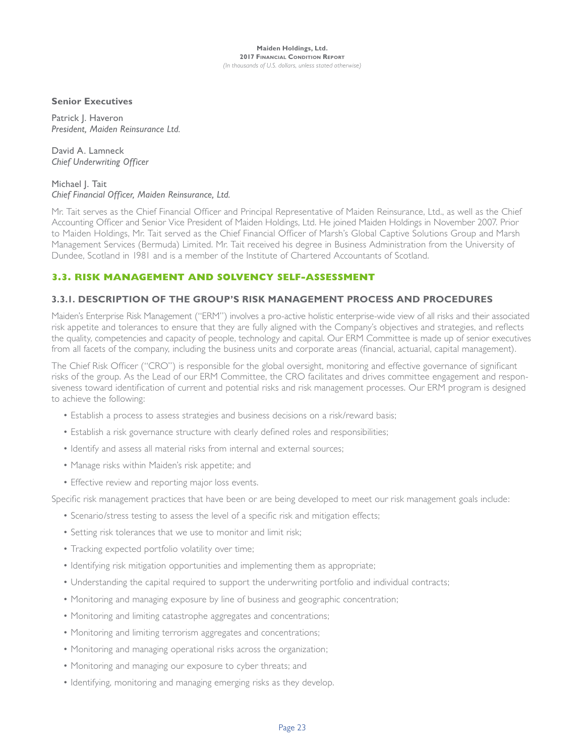## **Senior Executives**

Patrick I. Haveron *President, Maiden Reinsurance Ltd.*

David A. Lamneck *Chief Underwriting Officer*

## Michael J. Tait *Chief Financial Officer, Maiden Reinsurance, Ltd.*

Mr. Tait serves as the Chief Financial Officer and Principal Representative of Maiden Reinsurance, Ltd., as well as the Chief Accounting Officer and Senior Vice President of Maiden Holdings, Ltd. He joined Maiden Holdings in November 2007. Prior to Maiden Holdings, Mr. Tait served as the Chief Financial Officer of Marsh's Global Captive Solutions Group and Marsh Management Services (Bermuda) Limited. Mr. Tait received his degree in Business Administration from the University of Dundee, Scotland in 1981 and is a member of the Institute of Chartered Accountants of Scotland.

## **3.3. RISK MANAGEMENT AND SOLVENCY SELF-ASSESSMENT**

## **3.3.1. DESCRIPTION OF THE GROUP'S RISK MANAGEMENT PROCESS AND PROCEDURES**

Maiden's Enterprise Risk Management ("ERM") involves a pro-active holistic enterprise-wide view of all risks and their associated risk appetite and tolerances to ensure that they are fully aligned with the Company's objectives and strategies, and reflects the quality, competencies and capacity of people, technology and capital. Our ERM Committee is made up of senior executives from all facets of the company, including the business units and corporate areas (financial, actuarial, capital management).

The Chief Risk Officer ("CRO") is responsible for the global oversight, monitoring and effective governance of significant risks of the group. As the Lead of our ERM Committee, the CRO facilitates and drives committee engagement and responsiveness toward identification of current and potential risks and risk management processes. Our ERM program is designed to achieve the following:

- Establish a process to assess strategies and business decisions on a risk/reward basis;
- Establish a risk governance structure with clearly defined roles and responsibilities;
- Identify and assess all material risks from internal and external sources;
- Manage risks within Maiden's risk appetite; and
- Effective review and reporting major loss events.

Specific risk management practices that have been or are being developed to meet our risk management goals include:

- Scenario/stress testing to assess the level of a specific risk and mitigation effects;
- Setting risk tolerances that we use to monitor and limit risk;
- Tracking expected portfolio volatility over time;
- Identifying risk mitigation opportunities and implementing them as appropriate;
- Understanding the capital required to support the underwriting portfolio and individual contracts;
- Monitoring and managing exposure by line of business and geographic concentration;
- Monitoring and limiting catastrophe aggregates and concentrations;
- Monitoring and limiting terrorism aggregates and concentrations;
- Monitoring and managing operational risks across the organization;
- Monitoring and managing our exposure to cyber threats; and
- Identifying, monitoring and managing emerging risks as they develop.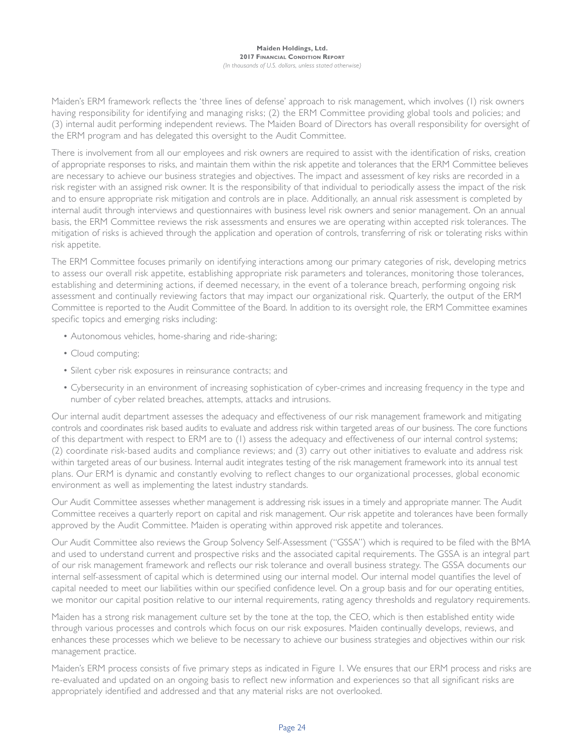Maiden's ERM framework reflects the 'three lines of defense' approach to risk management, which involves (1) risk owners having responsibility for identifying and managing risks; (2) the ERM Committee providing global tools and policies; and (3) internal audit performing independent reviews. The Maiden Board of Directors has overall responsibility for oversight of the ERM program and has delegated this oversight to the Audit Committee.

There is involvement from all our employees and risk owners are required to assist with the identification of risks, creation of appropriate responses to risks, and maintain them within the risk appetite and tolerances that the ERM Committee believes are necessary to achieve our business strategies and objectives. The impact and assessment of key risks are recorded in a risk register with an assigned risk owner. It is the responsibility of that individual to periodically assess the impact of the risk and to ensure appropriate risk mitigation and controls are in place. Additionally, an annual risk assessment is completed by internal audit through interviews and questionnaires with business level risk owners and senior management. On an annual basis, the ERM Committee reviews the risk assessments and ensures we are operating within accepted risk tolerances. The mitigation of risks is achieved through the application and operation of controls, transferring of risk or tolerating risks within risk appetite.

The ERM Committee focuses primarily on identifying interactions among our primary categories of risk, developing metrics to assess our overall risk appetite, establishing appropriate risk parameters and tolerances, monitoring those tolerances, establishing and determining actions, if deemed necessary, in the event of a tolerance breach, performing ongoing risk assessment and continually reviewing factors that may impact our organizational risk. Quarterly, the output of the ERM Committee is reported to the Audit Committee of the Board. In addition to its oversight role, the ERM Committee examines specific topics and emerging risks including:

- Autonomous vehicles, home-sharing and ride-sharing;
- Cloud computing;
- Silent cyber risk exposures in reinsurance contracts; and
- Cybersecurity in an environment of increasing sophistication of cyber-crimes and increasing frequency in the type and number of cyber related breaches, attempts, attacks and intrusions.

Our internal audit department assesses the adequacy and effectiveness of our risk management framework and mitigating controls and coordinates risk based audits to evaluate and address risk within targeted areas of our business. The core functions of this department with respect to ERM are to (1) assess the adequacy and effectiveness of our internal control systems; (2) coordinate risk-based audits and compliance reviews; and (3) carry out other initiatives to evaluate and address risk within targeted areas of our business. Internal audit integrates testing of the risk management framework into its annual test plans. Our ERM is dynamic and constantly evolving to reflect changes to our organizational processes, global economic environment as well as implementing the latest industry standards.

Our Audit Committee assesses whether management is addressing risk issues in a timely and appropriate manner. The Audit Committee receives a quarterly report on capital and risk management. Our risk appetite and tolerances have been formally approved by the Audit Committee. Maiden is operating within approved risk appetite and tolerances.

Our Audit Committee also reviews the Group Solvency Self-Assessment ("GSSA") which is required to be filed with the BMA and used to understand current and prospective risks and the associated capital requirements. The GSSA is an integral part of our risk management framework and reflects our risk tolerance and overall business strategy. The GSSA documents our internal self-assessment of capital which is determined using our internal model. Our internal model quantifies the level of capital needed to meet our liabilities within our specified confidence level. On a group basis and for our operating entities, we monitor our capital position relative to our internal requirements, rating agency thresholds and regulatory requirements.

Maiden has a strong risk management culture set by the tone at the top, the CEO, which is then established entity wide through various processes and controls which focus on our risk exposures. Maiden continually develops, reviews, and enhances these processes which we believe to be necessary to achieve our business strategies and objectives within our risk management practice.

Maiden's ERM process consists of five primary steps as indicated in Figure 1. We ensures that our ERM process and risks are re-evaluated and updated on an ongoing basis to reflect new information and experiences so that all significant risks are appropriately identified and addressed and that any material risks are not overlooked.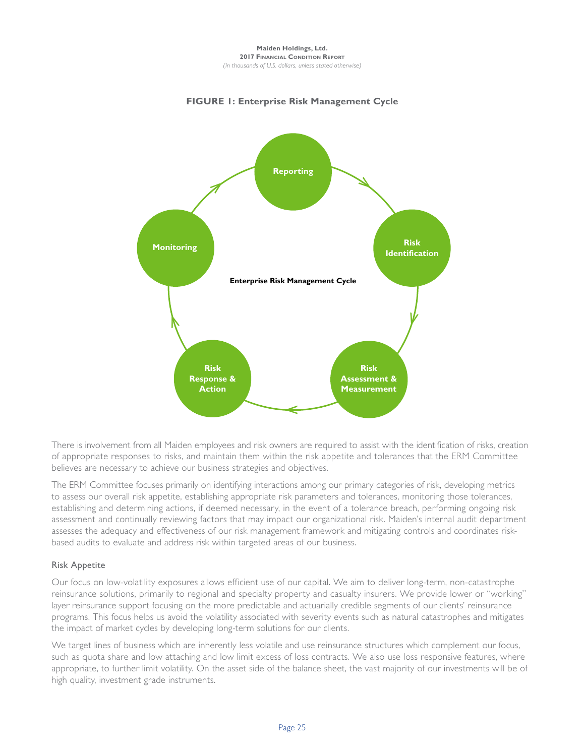

## **FIGURE 1: Enterprise Risk Management Cycle**

There is involvement from all Maiden employees and risk owners are required to assist with the identification of risks, creation of appropriate responses to risks, and maintain them within the risk appetite and tolerances that the ERM Committee believes are necessary to achieve our business strategies and objectives.

The ERM Committee focuses primarily on identifying interactions among our primary categories of risk, developing metrics to assess our overall risk appetite, establishing appropriate risk parameters and tolerances, monitoring those tolerances, establishing and determining actions, if deemed necessary, in the event of a tolerance breach, performing ongoing risk assessment and continually reviewing factors that may impact our organizational risk. Maiden's internal audit department assesses the adequacy and effectiveness of our risk management framework and mitigating controls and coordinates riskbased audits to evaluate and address risk within targeted areas of our business.

## Risk Appetite

Our focus on low-volatility exposures allows efficient use of our capital. We aim to deliver long-term, non-catastrophe reinsurance solutions, primarily to regional and specialty property and casualty insurers. We provide lower or "working" layer reinsurance support focusing on the more predictable and actuarially credible segments of our clients' reinsurance programs. This focus helps us avoid the volatility associated with severity events such as natural catastrophes and mitigates the impact of market cycles by developing long-term solutions for our clients.

We target lines of business which are inherently less volatile and use reinsurance structures which complement our focus, such as quota share and low attaching and low limit excess of loss contracts. We also use loss responsive features, where appropriate, to further limit volatility. On the asset side of the balance sheet, the vast majority of our investments will be of high quality, investment grade instruments.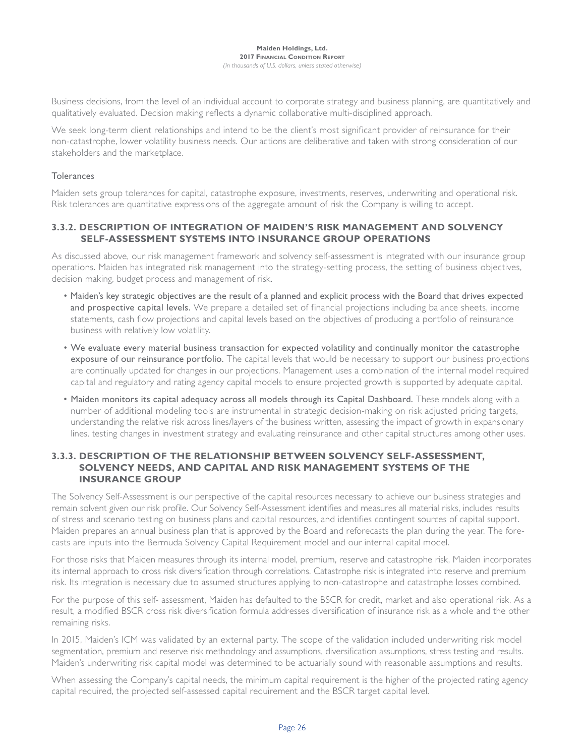Business decisions, from the level of an individual account to corporate strategy and business planning, are quantitatively and qualitatively evaluated. Decision making reflects a dynamic collaborative multi-disciplined approach.

We seek long-term client relationships and intend to be the client's most significant provider of reinsurance for their non-catastrophe, lower volatility business needs. Our actions are deliberative and taken with strong consideration of our stakeholders and the marketplace.

## **Tolerances**

Maiden sets group tolerances for capital, catastrophe exposure, investments, reserves, underwriting and operational risk. Risk tolerances are quantitative expressions of the aggregate amount of risk the Company is willing to accept.

## **3.3.2. DESCRIPTION OF INTEGRATION OF MAIDEN'S RISK MANAGEMENT AND SOLVENCY SELF-ASSESSMENT SYSTEMS INTO INSURANCE GROUP OPERATIONS**

As discussed above, our risk management framework and solvency self-assessment is integrated with our insurance group operations. Maiden has integrated risk management into the strategy-setting process, the setting of business objectives, decision making, budget process and management of risk.

- Maiden's key strategic objectives are the result of a planned and explicit process with the Board that drives expected and prospective capital levels. We prepare a detailed set of financial projections including balance sheets, income statements, cash flow projections and capital levels based on the objectives of producing a portfolio of reinsurance business with relatively low volatility.
- We evaluate every material business transaction for expected volatility and continually monitor the catastrophe exposure of our reinsurance portfolio. The capital levels that would be necessary to support our business projections are continually updated for changes in our projections. Management uses a combination of the internal model required capital and regulatory and rating agency capital models to ensure projected growth is supported by adequate capital.
- Maiden monitors its capital adequacy across all models through its Capital Dashboard. These models along with a number of additional modeling tools are instrumental in strategic decision-making on risk adjusted pricing targets, understanding the relative risk across lines/layers of the business written, assessing the impact of growth in expansionary lines, testing changes in investment strategy and evaluating reinsurance and other capital structures among other uses.

## **3.3.3. DESCRIPTION OF THE RELATIONSHIP BETWEEN SOLVENCY SELF-ASSESSMENT, SOLVENCY NEEDS, AND CAPITAL AND RISK MANAGEMENT SYSTEMS OF THE INSURANCE GROUP**

The Solvency Self-Assessment is our perspective of the capital resources necessary to achieve our business strategies and remain solvent given our risk profile. Our Solvency Self-Assessment identifies and measures all material risks, includes results of stress and scenario testing on business plans and capital resources, and identifies contingent sources of capital support. Maiden prepares an annual business plan that is approved by the Board and reforecasts the plan during the year. The forecasts are inputs into the Bermuda Solvency Capital Requirement model and our internal capital model.

For those risks that Maiden measures through its internal model, premium, reserve and catastrophe risk, Maiden incorporates its internal approach to cross risk diversification through correlations. Catastrophe risk is integrated into reserve and premium risk. Its integration is necessary due to assumed structures applying to non-catastrophe and catastrophe losses combined.

For the purpose of this self- assessment, Maiden has defaulted to the BSCR for credit, market and also operational risk. As a result, a modified BSCR cross risk diversification formula addresses diversification of insurance risk as a whole and the other remaining risks.

In 2015, Maiden's ICM was validated by an external party. The scope of the validation included underwriting risk model segmentation, premium and reserve risk methodology and assumptions, diversification assumptions, stress testing and results. Maiden's underwriting risk capital model was determined to be actuarially sound with reasonable assumptions and results.

When assessing the Company's capital needs, the minimum capital requirement is the higher of the projected rating agency capital required, the projected self-assessed capital requirement and the BSCR target capital level.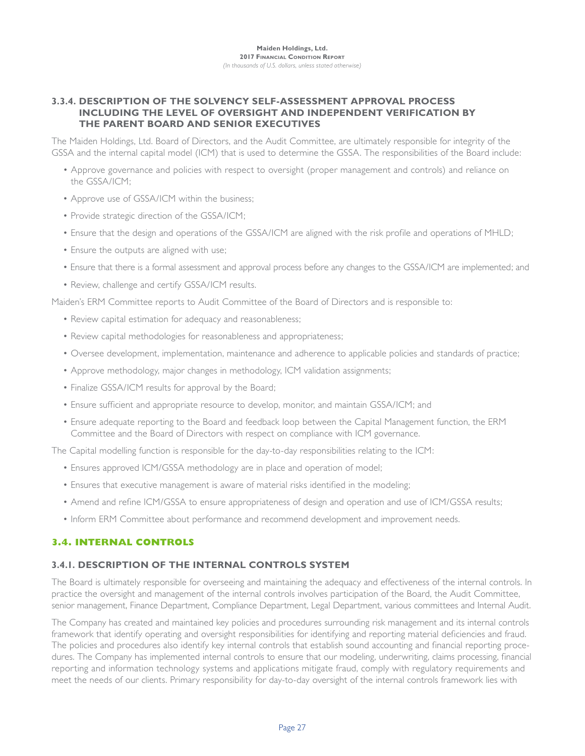## **3.3.4. DESCRIPTION OF THE SOLVENCY SELF-ASSESSMENT APPROVAL PROCESS INCLUDING THE LEVEL OF OVERSIGHT AND INDEPENDENT VERIFICATION BY THE PARENT BOARD AND SENIOR EXECUTIVES**

The Maiden Holdings, Ltd. Board of Directors, and the Audit Committee, are ultimately responsible for integrity of the GSSA and the internal capital model (ICM) that is used to determine the GSSA. The responsibilities of the Board include:

- Approve governance and policies with respect to oversight (proper management and controls) and reliance on the GSSA/ICM;
- Approve use of GSSA/ICM within the business;
- Provide strategic direction of the GSSA/ICM;
- Ensure that the design and operations of the GSSA/ICM are aligned with the risk profile and operations of MHLD;
- Ensure the outputs are aligned with use;
- Ensure that there is a formal assessment and approval process before any changes to the GSSA/ICM are implemented; and
- Review, challenge and certify GSSA/ICM results.

Maiden's ERM Committee reports to Audit Committee of the Board of Directors and is responsible to:

- Review capital estimation for adequacy and reasonableness;
- Review capital methodologies for reasonableness and appropriateness;
- Oversee development, implementation, maintenance and adherence to applicable policies and standards of practice;
- Approve methodology, major changes in methodology, ICM validation assignments;
- Finalize GSSA/ICM results for approval by the Board;
- Ensure sufficient and appropriate resource to develop, monitor, and maintain GSSA/ICM; and
- Ensure adequate reporting to the Board and feedback loop between the Capital Management function, the ERM Committee and the Board of Directors with respect on compliance with ICM governance.

The Capital modelling function is responsible for the day-to-day responsibilities relating to the ICM:

- Ensures approved ICM/GSSA methodology are in place and operation of model;
- Ensures that executive management is aware of material risks identified in the modeling;
- Amend and refine ICM/GSSA to ensure appropriateness of design and operation and use of ICM/GSSA results;
- Inform ERM Committee about performance and recommend development and improvement needs.

## **3.4. INTERNAL CONTROLS**

## **3.4.1. DESCRIPTION OF THE INTERNAL CONTROLS SYSTEM**

The Board is ultimately responsible for overseeing and maintaining the adequacy and effectiveness of the internal controls. In practice the oversight and management of the internal controls involves participation of the Board, the Audit Committee, senior management, Finance Department, Compliance Department, Legal Department, various committees and Internal Audit.

The Company has created and maintained key policies and procedures surrounding risk management and its internal controls framework that identify operating and oversight responsibilities for identifying and reporting material deficiencies and fraud. The policies and procedures also identify key internal controls that establish sound accounting and financial reporting procedures. The Company has implemented internal controls to ensure that our modeling, underwriting, claims processing, financial reporting and information technology systems and applications mitigate fraud, comply with regulatory requirements and meet the needs of our clients. Primary responsibility for day-to-day oversight of the internal controls framework lies with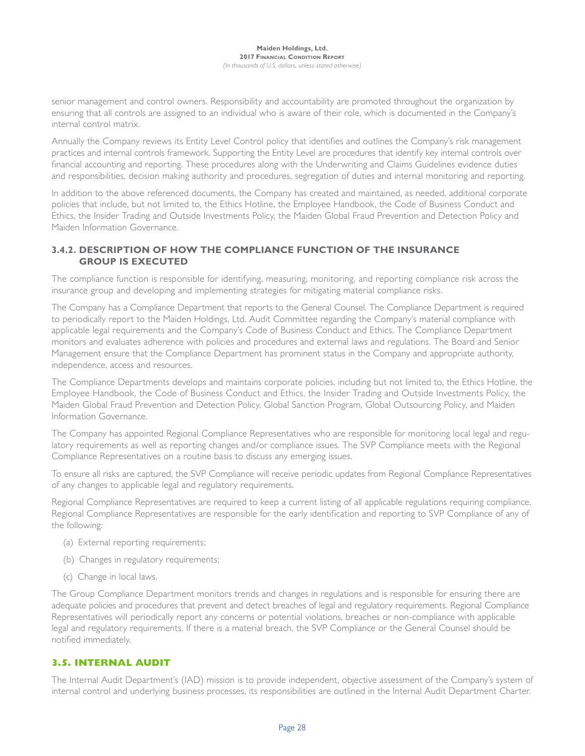senior management and control owners. Responsibility and accountability are promoted throughout the organization by ensuring that all controls are assigned to an individual who is aware of their role, which is documented in the Company's internal control matrix.

Annually the Company reviews its Entity Level Control policy that identifies and outlines the Company's risk management practices and internal controls framework. Supporting the Entity Level are procedures that identify key internal controls over financial accounting and reporting. These procedures along with the Underwriting and Claims Guidelines evidence duties and responsibilities, decision making authority and procedures, segregation of duties and internal monitoring and reporting.

In addition to the above referenced documents, the Company has created and maintained, as needed, additional corporate policies that include, but not limited to, the Ethics Hotline, the Employee Handbook, the Code of Business Conduct and Ethics, the Insider Trading and Outside Investments Policy, the Maiden Global Fraud Prevention and Detection Policy and Maiden Information Governance.

## **3.4.2. DESCRIPTION OF HOW THE COMPLIANCE FUNCTION OF THE INSURANCE GROUP IS EXECUTED**

The compliance function is responsible for identifying, measuring, monitoring, and reporting compliance risk across the insurance group and developing and implementing strategies for mitigating material compliance risks.

The Company has a Compliance Department that reports to the General Counsel. The Compliance Department is required to periodically report to the Maiden Holdings, Ltd. Audit Committee regarding the Company's material compliance with applicable legal requirements and the Company's Code of Business Conduct and Ethics. The Compliance Department monitors and evaluates adherence with policies and procedures and external laws and regulations. The Board and Senior Management ensure that the Compliance Department has prominent status in the Company and appropriate authority, independence, access and resources.

The Compliance Departments develops and maintains corporate policies, including but not limited to, the Ethics Hotline, the Employee Handbook, the Code of Business Conduct and Ethics, the Insider Trading and Outside Investments Policy, the Maiden Global Fraud Prevention and Detection Policy, Global Sanction Program, Global Outsourcing Policy, and Maiden Information Governance.

The Company has appointed Regional Compliance Representatives who are responsible for monitoring local legal and regulatory requirements as well as reporting changes and/or compliance issues. The SVP Compliance meets with the Regional Compliance Representatives on a routine basis to discuss any emerging issues.

To ensure all risks are captured, the SVP Compliance will receive periodic updates from Regional Compliance Representatives of any changes to applicable legal and regulatory requirements.

Regional Compliance Representatives are required to keep a current listing of all applicable regulations requiring compliance. Regional Compliance Representatives are responsible for the early identification and reporting to SVP Compliance of any of the following:

- (a) External reporting requirements;
- (b) Changes in regulatory requirements;
- (c) Change in local laws.

The Group Compliance Department monitors trends and changes in regulations and is responsible for ensuring there are adequate policies and procedures that prevent and detect breaches of legal and regulatory requirements. Regional Compliance Representatives will periodically report any concerns or potential violations, breaches or non-compliance with applicable legal and regulatory requirements. If there is a material breach, the SVP Compliance or the General Counsel should be notified immediately.

## **3.5. INTERNAL AUDIT**

The Internal Audit Department's (IAD) mission is to provide independent, objective assessment of the Company's system of internal control and underlying business processes, its responsibilities are outlined in the Internal Audit Department Charter.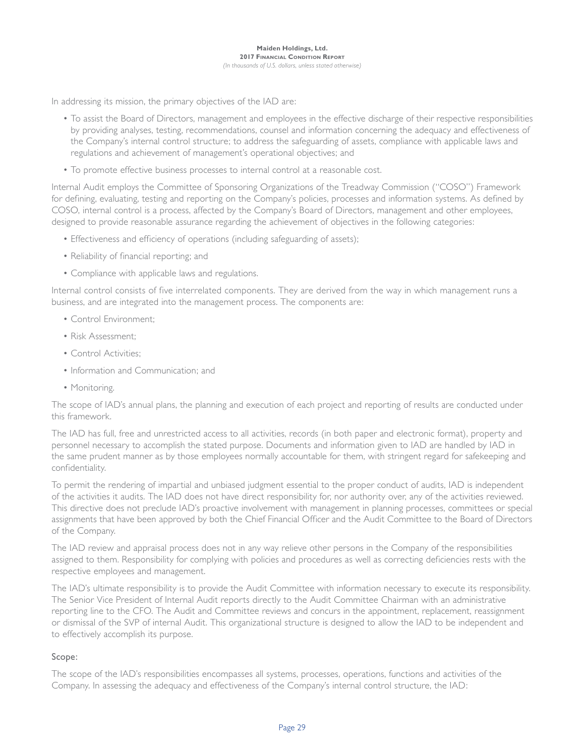In addressing its mission, the primary objectives of the IAD are:

- To assist the Board of Directors, management and employees in the effective discharge of their respective responsibilities by providing analyses, testing, recommendations, counsel and information concerning the adequacy and effectiveness of the Company's internal control structure; to address the safeguarding of assets, compliance with applicable laws and regulations and achievement of management's operational objectives; and
- To promote effective business processes to internal control at a reasonable cost.

Internal Audit employs the Committee of Sponsoring Organizations of the Treadway Commission ("COSO") Framework for defining, evaluating, testing and reporting on the Company's policies, processes and information systems. As defined by COSO, internal control is a process, affected by the Company's Board of Directors, management and other employees, designed to provide reasonable assurance regarding the achievement of objectives in the following categories:

- Effectiveness and efficiency of operations (including safeguarding of assets);
- Reliability of financial reporting; and
- Compliance with applicable laws and regulations.

Internal control consists of five interrelated components. They are derived from the way in which management runs a business, and are integrated into the management process. The components are:

- Control Environment;
- Risk Assessment;
- Control Activities;
- Information and Communication; and
- Monitoring.

The scope of IAD's annual plans, the planning and execution of each project and reporting of results are conducted under this framework.

The IAD has full, free and unrestricted access to all activities, records (in both paper and electronic format), property and personnel necessary to accomplish the stated purpose. Documents and information given to IAD are handled by IAD in the same prudent manner as by those employees normally accountable for them, with stringent regard for safekeeping and confidentiality.

To permit the rendering of impartial and unbiased judgment essential to the proper conduct of audits, IAD is independent of the activities it audits. The IAD does not have direct responsibility for, nor authority over, any of the activities reviewed. This directive does not preclude IAD's proactive involvement with management in planning processes, committees or special assignments that have been approved by both the Chief Financial Officer and the Audit Committee to the Board of Directors of the Company.

The IAD review and appraisal process does not in any way relieve other persons in the Company of the responsibilities assigned to them. Responsibility for complying with policies and procedures as well as correcting deficiencies rests with the respective employees and management.

The IAD's ultimate responsibility is to provide the Audit Committee with information necessary to execute its responsibility. The Senior Vice President of Internal Audit reports directly to the Audit Committee Chairman with an administrative reporting line to the CFO. The Audit and Committee reviews and concurs in the appointment, replacement, reassignment or dismissal of the SVP of internal Audit. This organizational structure is designed to allow the IAD to be independent and to effectively accomplish its purpose.

#### Scope:

The scope of the IAD's responsibilities encompasses all systems, processes, operations, functions and activities of the Company. In assessing the adequacy and effectiveness of the Company's internal control structure, the IAD: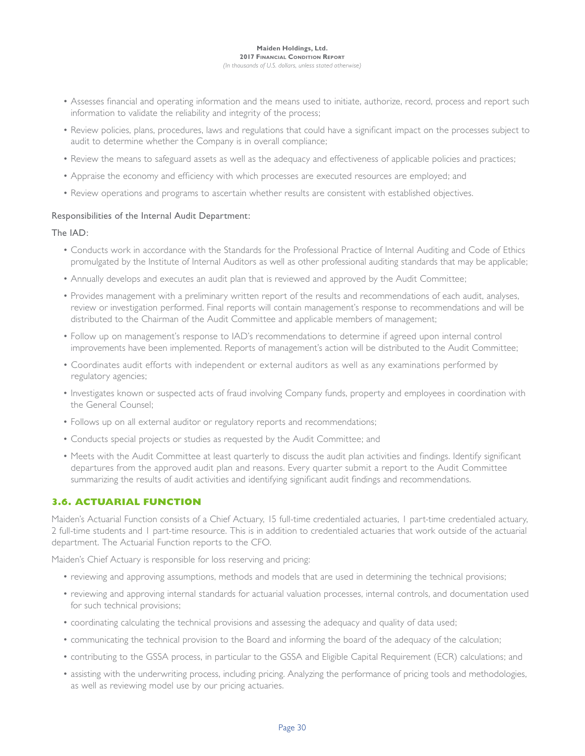- Assesses financial and operating information and the means used to initiate, authorize, record, process and report such information to validate the reliability and integrity of the process;
- Review policies, plans, procedures, laws and regulations that could have a significant impact on the processes subject to audit to determine whether the Company is in overall compliance;
- Review the means to safeguard assets as well as the adequacy and effectiveness of applicable policies and practices;
- Appraise the economy and efficiency with which processes are executed resources are employed; and
- Review operations and programs to ascertain whether results are consistent with established objectives.

## Responsibilities of the Internal Audit Department:

The IAD:

- Conducts work in accordance with the Standards for the Professional Practice of Internal Auditing and Code of Ethics promulgated by the Institute of Internal Auditors as well as other professional auditing standards that may be applicable;
- Annually develops and executes an audit plan that is reviewed and approved by the Audit Committee;
- Provides management with a preliminary written report of the results and recommendations of each audit, analyses, review or investigation performed. Final reports will contain management's response to recommendations and will be distributed to the Chairman of the Audit Committee and applicable members of management;
- Follow up on management's response to IAD's recommendations to determine if agreed upon internal control improvements have been implemented. Reports of management's action will be distributed to the Audit Committee;
- Coordinates audit efforts with independent or external auditors as well as any examinations performed by regulatory agencies;
- Investigates known or suspected acts of fraud involving Company funds, property and employees in coordination with the General Counsel;
- Follows up on all external auditor or regulatory reports and recommendations;
- Conducts special projects or studies as requested by the Audit Committee; and
- Meets with the Audit Committee at least quarterly to discuss the audit plan activities and findings. Identify significant departures from the approved audit plan and reasons. Every quarter submit a report to the Audit Committee summarizing the results of audit activities and identifying significant audit findings and recommendations.

## **3.6. ACTUARIAL FUNCTION**

Maiden's Actuarial Function consists of a Chief Actuary, 15 full-time credentialed actuaries, 1 part-time credentialed actuary, 2 full-time students and 1 part-time resource. This is in addition to credentialed actuaries that work outside of the actuarial department. The Actuarial Function reports to the CFO.

Maiden's Chief Actuary is responsible for loss reserving and pricing:

- reviewing and approving assumptions, methods and models that are used in determining the technical provisions;
- reviewing and approving internal standards for actuarial valuation processes, internal controls, and documentation used for such technical provisions;
- coordinating calculating the technical provisions and assessing the adequacy and quality of data used;
- communicating the technical provision to the Board and informing the board of the adequacy of the calculation;
- contributing to the GSSA process, in particular to the GSSA and Eligible Capital Requirement (ECR) calculations; and
- assisting with the underwriting process, including pricing. Analyzing the performance of pricing tools and methodologies, as well as reviewing model use by our pricing actuaries.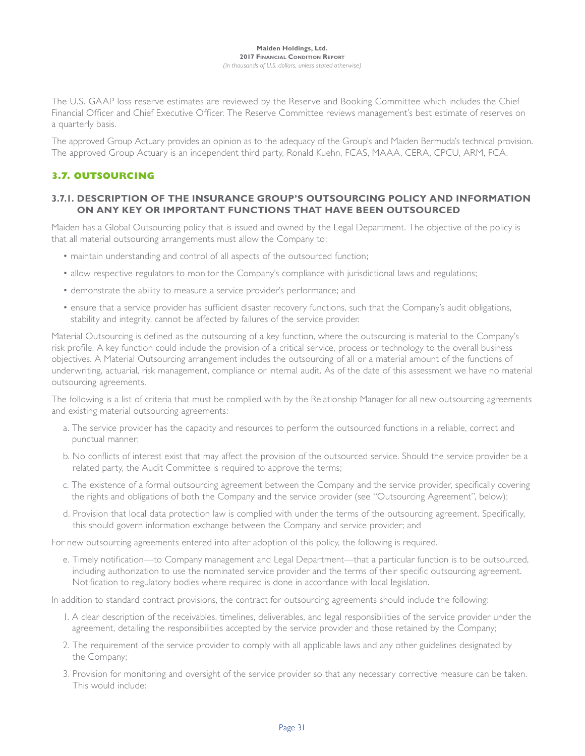The U.S. GAAP loss reserve estimates are reviewed by the Reserve and Booking Committee which includes the Chief Financial Officer and Chief Executive Officer. The Reserve Committee reviews management's best estimate of reserves on a quarterly basis.

The approved Group Actuary provides an opinion as to the adequacy of the Group's and Maiden Bermuda's technical provision. The approved Group Actuary is an independent third party, Ronald Kuehn, FCAS, MAAA, CERA, CPCU, ARM, FCA.

## **3.7. OUTSOURCING**

## **3.7.1. DESCRIPTION OF THE INSURANCE GROUP'S OUTSOURCING POLICY AND INFORMATION ON ANY KEY OR IMPORTANT FUNCTIONS THAT HAVE BEEN OUTSOURCED**

Maiden has a Global Outsourcing policy that is issued and owned by the Legal Department. The objective of the policy is that all material outsourcing arrangements must allow the Company to:

- maintain understanding and control of all aspects of the outsourced function;
- allow respective regulators to monitor the Company's compliance with jurisdictional laws and regulations;
- demonstrate the ability to measure a service provider's performance; and
- ensure that a service provider has sufficient disaster recovery functions, such that the Company's audit obligations, stability and integrity, cannot be affected by failures of the service provider.

Material Outsourcing is defined as the outsourcing of a key function, where the outsourcing is material to the Company's risk profile. A key function could include the provision of a critical service, process or technology to the overall business objectives. A Material Outsourcing arrangement includes the outsourcing of all or a material amount of the functions of underwriting, actuarial, risk management, compliance or internal audit. As of the date of this assessment we have no material outsourcing agreements.

The following is a list of criteria that must be complied with by the Relationship Manager for all new outsourcing agreements and existing material outsourcing agreements:

- a. The service provider has the capacity and resources to perform the outsourced functions in a reliable, correct and punctual manner;
- b. No conflicts of interest exist that may affect the provision of the outsourced service. Should the service provider be a related party, the Audit Committee is required to approve the terms;
- c. The existence of a formal outsourcing agreement between the Company and the service provider, specifically covering the rights and obligations of both the Company and the service provider (see "Outsourcing Agreement", below);
- d. Provision that local data protection law is complied with under the terms of the outsourcing agreement. Specifically, this should govern information exchange between the Company and service provider; and

For new outsourcing agreements entered into after adoption of this policy, the following is required.

e. Timely notification—to Company management and Legal Department—that a particular function is to be outsourced, including authorization to use the nominated service provider and the terms of their specific outsourcing agreement. Notification to regulatory bodies where required is done in accordance with local legislation.

In addition to standard contract provisions, the contract for outsourcing agreements should include the following:

- 1. A clear description of the receivables, timelines, deliverables, and legal responsibilities of the service provider under the agreement, detailing the responsibilities accepted by the service provider and those retained by the Company;
- 2. The requirement of the service provider to comply with all applicable laws and any other guidelines designated by the Company;
- 3. Provision for monitoring and oversight of the service provider so that any necessary corrective measure can be taken. This would include: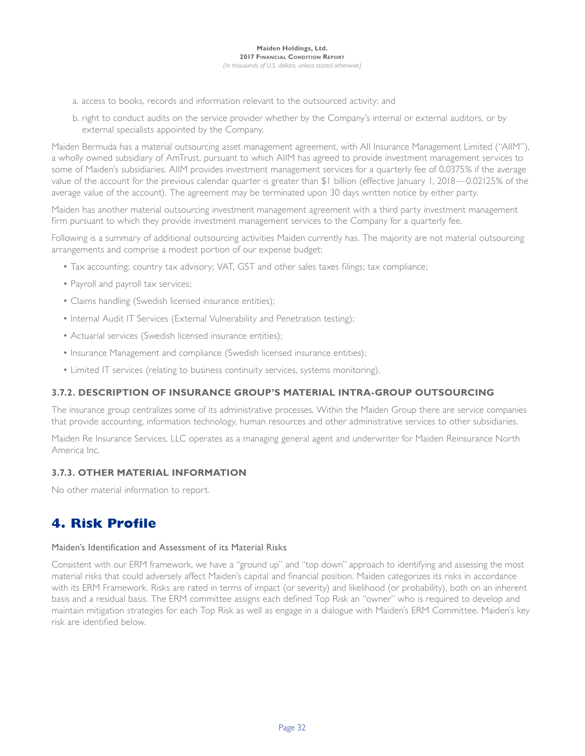- a. access to books, records and information relevant to the outsourced activity; and
- b. right to conduct audits on the service provider whether by the Company's internal or external auditors, or by external specialists appointed by the Company.

Maiden Bermuda has a material outsourcing asset management agreement, with AII Insurance Management Limited ("AIIM"), a wholly owned subsidiary of AmTrust, pursuant to which AIIM has agreed to provide investment management services to some of Maiden's subsidiaries. AIIM provides investment management services for a quarterly fee of 0.0375% if the average value of the account for the previous calendar quarter is greater than \$1 billion (effective January 1, 2018—0.02125% of the average value of the account). The agreement may be terminated upon 30 days written notice by either party.

Maiden has another material outsourcing investment management agreement with a third party investment management firm pursuant to which they provide investment management services to the Company for a quarterly fee.

Following is a summary of additional outsourcing activities Maiden currently has. The majority are not material outsourcing arrangements and comprise a modest portion of our expense budget:

- Tax accounting; country tax advisory; VAT, GST and other sales taxes filings; tax compliance;
- Payroll and payroll tax services;
- Claims handling (Swedish licensed insurance entities);
- Internal Audit IT Services (External Vulnerability and Penetration testing);
- Actuarial services (Swedish licensed insurance entities);
- Insurance Management and compliance (Swedish licensed insurance entities);
- Limited IT services (relating to business continuity services, systems monitoring).

## **3.7.2. DESCRIPTION OF INSURANCE GROUP'S MATERIAL INTRA-GROUP OUTSOURCING**

The insurance group centralizes some of its administrative processes. Within the Maiden Group there are service companies that provide accounting, information technology, human resources and other administrative services to other subsidiaries.

Maiden Re Insurance Services, LLC operates as a managing general agent and underwriter for Maiden Reinsurance North America Inc.

## **3.7.3. OTHER MATERIAL INFORMATION**

No other material information to report.

## **4. Risk Profile**

#### Maiden's Identification and Assessment of its Material Risks

Consistent with our ERM framework, we have a "ground up" and "top down" approach to identifying and assessing the most material risks that could adversely affect Maiden's capital and financial position. Maiden categorizes its risks in accordance with its ERM Framework. Risks are rated in terms of impact (or severity) and likelihood (or probability), both on an inherent basis and a residual basis. The ERM committee assigns each defined Top Risk an "owner" who is required to develop and maintain mitigation strategies for each Top Risk as well as engage in a dialogue with Maiden's ERM Committee. Maiden's key risk are identified below.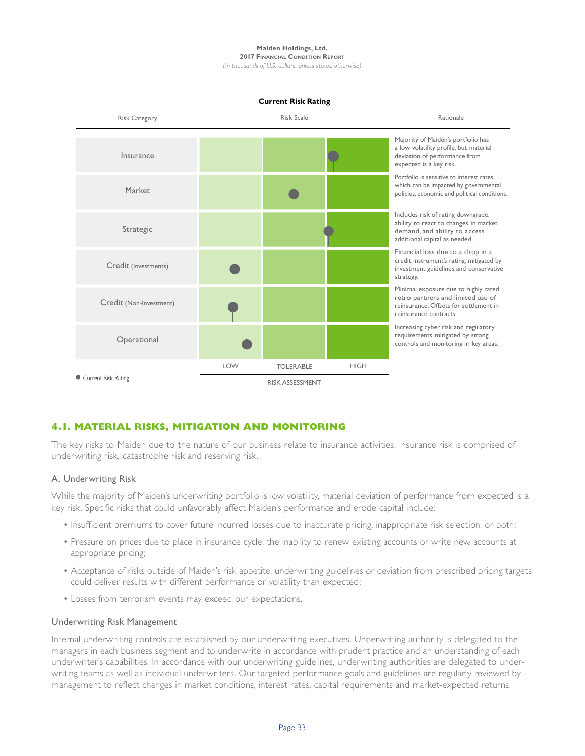## **Maiden Holdings, Ltd.**

**2017 Financial Condition Report** *(In thousands of U.S. dollars, unless stated otherwise)*

#### **Current Risk Rating**



## **4.1. MATERIAL RISKS, MITIGATION AND MONITORING**

The key risks to Maiden due to the nature of our business relate to insurance activities. Insurance risk is comprised of underwriting risk, catastrophe risk and reserving risk.

#### A. Underwriting Risk

While the majority of Maiden's underwriting portfolio is low volatility, material deviation of performance from expected is a key risk. Specific risks that could unfavorably affect Maiden's performance and erode capital include:

- Insufficient premiums to cover future incurred losses due to inaccurate pricing, inappropriate risk selection, or both;
- Pressure on prices due to place in insurance cycle, the inability to renew existing accounts or write new accounts at appropriate pricing;
- Acceptance of risks outside of Maiden's risk appetite, underwriting guidelines or deviation from prescribed pricing targets could deliver results with different performance or volatility than expected;
- Losses from terrorism events may exceed our expectations.

#### Underwriting Risk Management

Internal underwriting controls are established by our underwriting executives. Underwriting authority is delegated to the managers in each business segment and to underwrite in accordance with prudent practice and an understanding of each underwriter's capabilities. In accordance with our underwriting guidelines, underwriting authorities are delegated to underwriting teams as well as individual underwriters. Our targeted performance goals and guidelines are regularly reviewed by management to reflect changes in market conditions, interest rates, capital requirements and market-expected returns.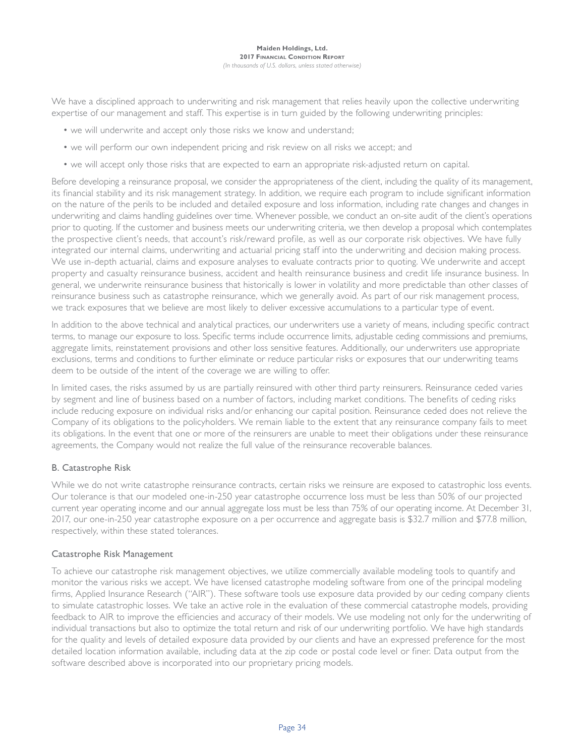We have a disciplined approach to underwriting and risk management that relies heavily upon the collective underwriting expertise of our management and staff. This expertise is in turn guided by the following underwriting principles:

- we will underwrite and accept only those risks we know and understand;
- we will perform our own independent pricing and risk review on all risks we accept; and
- we will accept only those risks that are expected to earn an appropriate risk-adjusted return on capital.

Before developing a reinsurance proposal, we consider the appropriateness of the client, including the quality of its management, its financial stability and its risk management strategy. In addition, we require each program to include significant information on the nature of the perils to be included and detailed exposure and loss information, including rate changes and changes in underwriting and claims handling guidelines over time. Whenever possible, we conduct an on-site audit of the client's operations prior to quoting. If the customer and business meets our underwriting criteria, we then develop a proposal which contemplates the prospective client's needs, that account's risk/reward profile, as well as our corporate risk objectives. We have fully integrated our internal claims, underwriting and actuarial pricing staff into the underwriting and decision making process. We use in-depth actuarial, claims and exposure analyses to evaluate contracts prior to quoting. We underwrite and accept property and casualty reinsurance business, accident and health reinsurance business and credit life insurance business. In general, we underwrite reinsurance business that historically is lower in volatility and more predictable than other classes of reinsurance business such as catastrophe reinsurance, which we generally avoid. As part of our risk management process, we track exposures that we believe are most likely to deliver excessive accumulations to a particular type of event.

In addition to the above technical and analytical practices, our underwriters use a variety of means, including specific contract terms, to manage our exposure to loss. Specific terms include occurrence limits, adjustable ceding commissions and premiums, aggregate limits, reinstatement provisions and other loss sensitive features. Additionally, our underwriters use appropriate exclusions, terms and conditions to further eliminate or reduce particular risks or exposures that our underwriting teams deem to be outside of the intent of the coverage we are willing to offer.

In limited cases, the risks assumed by us are partially reinsured with other third party reinsurers. Reinsurance ceded varies by segment and line of business based on a number of factors, including market conditions. The benefits of ceding risks include reducing exposure on individual risks and/or enhancing our capital position. Reinsurance ceded does not relieve the Company of its obligations to the policyholders. We remain liable to the extent that any reinsurance company fails to meet its obligations. In the event that one or more of the reinsurers are unable to meet their obligations under these reinsurance agreements, the Company would not realize the full value of the reinsurance recoverable balances.

## B. Catastrophe Risk

While we do not write catastrophe reinsurance contracts, certain risks we reinsure are exposed to catastrophic loss events. Our tolerance is that our modeled one-in-250 year catastrophe occurrence loss must be less than 50% of our projected current year operating income and our annual aggregate loss must be less than 75% of our operating income. At December 31, 2017, our one-in-250 year catastrophe exposure on a per occurrence and aggregate basis is \$32.7 million and \$77.8 million, respectively, within these stated tolerances.

## Catastrophe Risk Management

To achieve our catastrophe risk management objectives, we utilize commercially available modeling tools to quantify and monitor the various risks we accept. We have licensed catastrophe modeling software from one of the principal modeling firms, Applied Insurance Research ("AIR"). These software tools use exposure data provided by our ceding company clients to simulate catastrophic losses. We take an active role in the evaluation of these commercial catastrophe models, providing feedback to AIR to improve the efficiencies and accuracy of their models. We use modeling not only for the underwriting of individual transactions but also to optimize the total return and risk of our underwriting portfolio. We have high standards for the quality and levels of detailed exposure data provided by our clients and have an expressed preference for the most detailed location information available, including data at the zip code or postal code level or finer. Data output from the software described above is incorporated into our proprietary pricing models.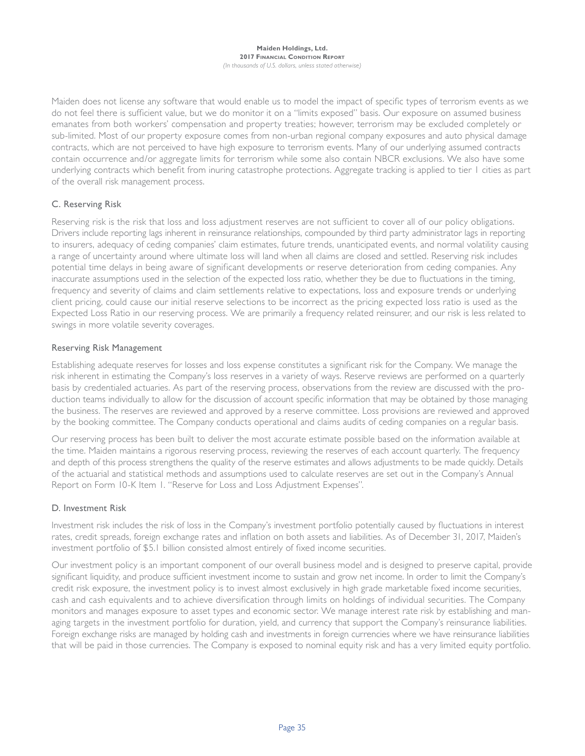Maiden does not license any software that would enable us to model the impact of specific types of terrorism events as we do not feel there is sufficient value, but we do monitor it on a "limits exposed" basis. Our exposure on assumed business emanates from both workers' compensation and property treaties; however, terrorism may be excluded completely or sub-limited. Most of our property exposure comes from non-urban regional company exposures and auto physical damage contracts, which are not perceived to have high exposure to terrorism events. Many of our underlying assumed contracts contain occurrence and/or aggregate limits for terrorism while some also contain NBCR exclusions. We also have some underlying contracts which benefit from inuring catastrophe protections. Aggregate tracking is applied to tier 1 cities as part of the overall risk management process.

## C. Reserving Risk

Reserving risk is the risk that loss and loss adjustment reserves are not sufficient to cover all of our policy obligations. Drivers include reporting lags inherent in reinsurance relationships, compounded by third party administrator lags in reporting to insurers, adequacy of ceding companies' claim estimates, future trends, unanticipated events, and normal volatility causing a range of uncertainty around where ultimate loss will land when all claims are closed and settled. Reserving risk includes potential time delays in being aware of significant developments or reserve deterioration from ceding companies. Any inaccurate assumptions used in the selection of the expected loss ratio, whether they be due to fluctuations in the timing, frequency and severity of claims and claim settlements relative to expectations, loss and exposure trends or underlying client pricing, could cause our initial reserve selections to be incorrect as the pricing expected loss ratio is used as the Expected Loss Ratio in our reserving process. We are primarily a frequency related reinsurer, and our risk is less related to swings in more volatile severity coverages.

## Reserving Risk Management

Establishing adequate reserves for losses and loss expense constitutes a significant risk for the Company. We manage the risk inherent in estimating the Company's loss reserves in a variety of ways. Reserve reviews are performed on a quarterly basis by credentialed actuaries. As part of the reserving process, observations from the review are discussed with the production teams individually to allow for the discussion of account specific information that may be obtained by those managing the business. The reserves are reviewed and approved by a reserve committee. Loss provisions are reviewed and approved by the booking committee. The Company conducts operational and claims audits of ceding companies on a regular basis.

Our reserving process has been built to deliver the most accurate estimate possible based on the information available at the time. Maiden maintains a rigorous reserving process, reviewing the reserves of each account quarterly. The frequency and depth of this process strengthens the quality of the reserve estimates and allows adjustments to be made quickly. Details of the actuarial and statistical methods and assumptions used to calculate reserves are set out in the Company's Annual Report on Form 10-K Item 1. "Reserve for Loss and Loss Adjustment Expenses".

## D. Investment Risk

Investment risk includes the risk of loss in the Company's investment portfolio potentially caused by fluctuations in interest rates, credit spreads, foreign exchange rates and inflation on both assets and liabilities. As of December 31, 2017, Maiden's investment portfolio of \$5.1 billion consisted almost entirely of fixed income securities.

Our investment policy is an important component of our overall business model and is designed to preserve capital, provide significant liquidity, and produce sufficient investment income to sustain and grow net income. In order to limit the Company's credit risk exposure, the investment policy is to invest almost exclusively in high grade marketable fixed income securities, cash and cash equivalents and to achieve diversification through limits on holdings of individual securities. The Company monitors and manages exposure to asset types and economic sector. We manage interest rate risk by establishing and managing targets in the investment portfolio for duration, yield, and currency that support the Company's reinsurance liabilities. Foreign exchange risks are managed by holding cash and investments in foreign currencies where we have reinsurance liabilities that will be paid in those currencies. The Company is exposed to nominal equity risk and has a very limited equity portfolio.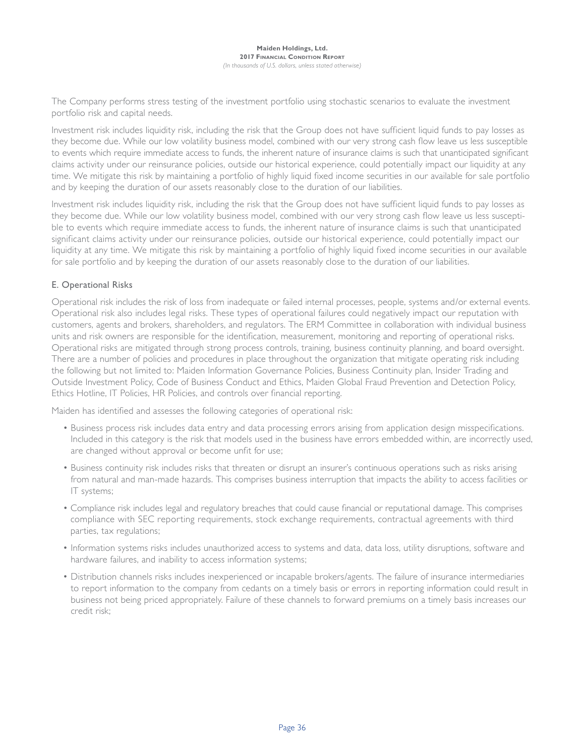The Company performs stress testing of the investment portfolio using stochastic scenarios to evaluate the investment portfolio risk and capital needs.

Investment risk includes liquidity risk, including the risk that the Group does not have sufficient liquid funds to pay losses as they become due. While our low volatility business model, combined with our very strong cash flow leave us less susceptible to events which require immediate access to funds, the inherent nature of insurance claims is such that unanticipated significant claims activity under our reinsurance policies, outside our historical experience, could potentially impact our liquidity at any time. We mitigate this risk by maintaining a portfolio of highly liquid fixed income securities in our available for sale portfolio and by keeping the duration of our assets reasonably close to the duration of our liabilities.

Investment risk includes liquidity risk, including the risk that the Group does not have sufficient liquid funds to pay losses as they become due. While our low volatility business model, combined with our very strong cash flow leave us less susceptible to events which require immediate access to funds, the inherent nature of insurance claims is such that unanticipated significant claims activity under our reinsurance policies, outside our historical experience, could potentially impact our liquidity at any time. We mitigate this risk by maintaining a portfolio of highly liquid fixed income securities in our available for sale portfolio and by keeping the duration of our assets reasonably close to the duration of our liabilities.

## E. Operational Risks

Operational risk includes the risk of loss from inadequate or failed internal processes, people, systems and/or external events. Operational risk also includes legal risks. These types of operational failures could negatively impact our reputation with customers, agents and brokers, shareholders, and regulators. The ERM Committee in collaboration with individual business units and risk owners are responsible for the identification, measurement, monitoring and reporting of operational risks. Operational risks are mitigated through strong process controls, training, business continuity planning, and board oversight. There are a number of policies and procedures in place throughout the organization that mitigate operating risk including the following but not limited to: Maiden Information Governance Policies, Business Continuity plan, Insider Trading and Outside Investment Policy, Code of Business Conduct and Ethics, Maiden Global Fraud Prevention and Detection Policy, Ethics Hotline, IT Policies, HR Policies, and controls over financial reporting.

Maiden has identified and assesses the following categories of operational risk:

- Business process risk includes data entry and data processing errors arising from application design misspecifications. Included in this category is the risk that models used in the business have errors embedded within, are incorrectly used, are changed without approval or become unfit for use;
- Business continuity risk includes risks that threaten or disrupt an insurer's continuous operations such as risks arising from natural and man-made hazards. This comprises business interruption that impacts the ability to access facilities or IT systems;
- Compliance risk includes legal and regulatory breaches that could cause financial or reputational damage. This comprises compliance with SEC reporting requirements, stock exchange requirements, contractual agreements with third parties, tax regulations;
- Information systems risks includes unauthorized access to systems and data, data loss, utility disruptions, software and hardware failures, and inability to access information systems;
- Distribution channels risks includes inexperienced or incapable brokers/agents. The failure of insurance intermediaries to report information to the company from cedants on a timely basis or errors in reporting information could result in business not being priced appropriately. Failure of these channels to forward premiums on a timely basis increases our credit risk;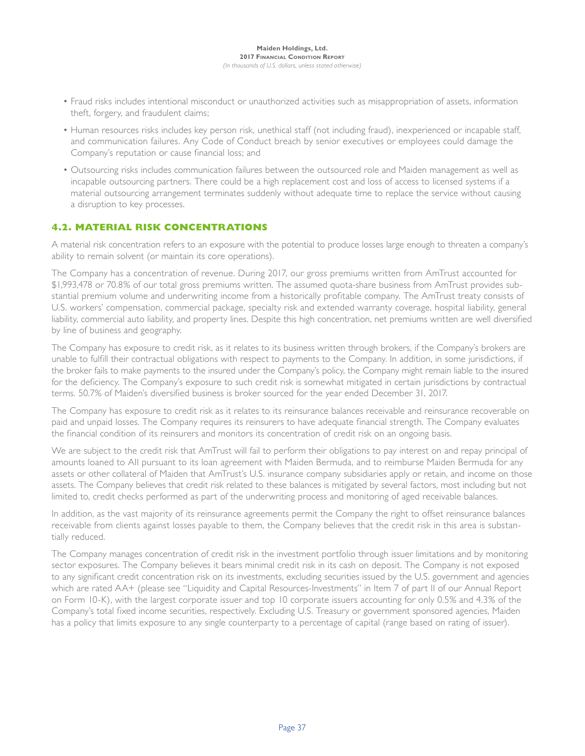- Fraud risks includes intentional misconduct or unauthorized activities such as misappropriation of assets, information theft, forgery, and fraudulent claims;
- Human resources risks includes key person risk, unethical staff (not including fraud), inexperienced or incapable staff, and communication failures. Any Code of Conduct breach by senior executives or employees could damage the Company's reputation or cause financial loss; and
- Outsourcing risks includes communication failures between the outsourced role and Maiden management as well as incapable outsourcing partners. There could be a high replacement cost and loss of access to licensed systems if a material outsourcing arrangement terminates suddenly without adequate time to replace the service without causing a disruption to key processes.

## **4.2. MATERIAL RISK CONCENTRATIONS**

A material risk concentration refers to an exposure with the potential to produce losses large enough to threaten a company's ability to remain solvent (or maintain its core operations).

The Company has a concentration of revenue. During 2017, our gross premiums written from AmTrust accounted for \$1,993,478 or 70.8% of our total gross premiums written. The assumed quota-share business from AmTrust provides substantial premium volume and underwriting income from a historically profitable company. The AmTrust treaty consists of U.S. workers' compensation, commercial package, specialty risk and extended warranty coverage, hospital liability, general liability, commercial auto liability, and property lines. Despite this high concentration, net premiums written are well diversified by line of business and geography.

The Company has exposure to credit risk, as it relates to its business written through brokers, if the Company's brokers are unable to fulfill their contractual obligations with respect to payments to the Company. In addition, in some jurisdictions, if the broker fails to make payments to the insured under the Company's policy, the Company might remain liable to the insured for the deficiency. The Company's exposure to such credit risk is somewhat mitigated in certain jurisdictions by contractual terms. 50.7% of Maiden's diversified business is broker sourced for the year ended December 31, 2017.

The Company has exposure to credit risk as it relates to its reinsurance balances receivable and reinsurance recoverable on paid and unpaid losses. The Company requires its reinsurers to have adequate financial strength. The Company evaluates the financial condition of its reinsurers and monitors its concentration of credit risk on an ongoing basis.

We are subject to the credit risk that AmTrust will fail to perform their obligations to pay interest on and repay principal of amounts loaned to AII pursuant to its loan agreement with Maiden Bermuda, and to reimburse Maiden Bermuda for any assets or other collateral of Maiden that AmTrust's U.S. insurance company subsidiaries apply or retain, and income on those assets. The Company believes that credit risk related to these balances is mitigated by several factors, most including but not limited to, credit checks performed as part of the underwriting process and monitoring of aged receivable balances.

In addition, as the vast majority of its reinsurance agreements permit the Company the right to offset reinsurance balances receivable from clients against losses payable to them, the Company believes that the credit risk in this area is substantially reduced.

The Company manages concentration of credit risk in the investment portfolio through issuer limitations and by monitoring sector exposures. The Company believes it bears minimal credit risk in its cash on deposit. The Company is not exposed to any significant credit concentration risk on its investments, excluding securities issued by the U.S. government and agencies which are rated AA+ (please see "Liquidity and Capital Resources-Investments" in Item 7 of part II of our Annual Report on Form 10-K), with the largest corporate issuer and top 10 corporate issuers accounting for only 0.5% and 4.3% of the Company's total fixed income securities, respectively. Excluding U.S. Treasury or government sponsored agencies, Maiden has a policy that limits exposure to any single counterparty to a percentage of capital (range based on rating of issuer).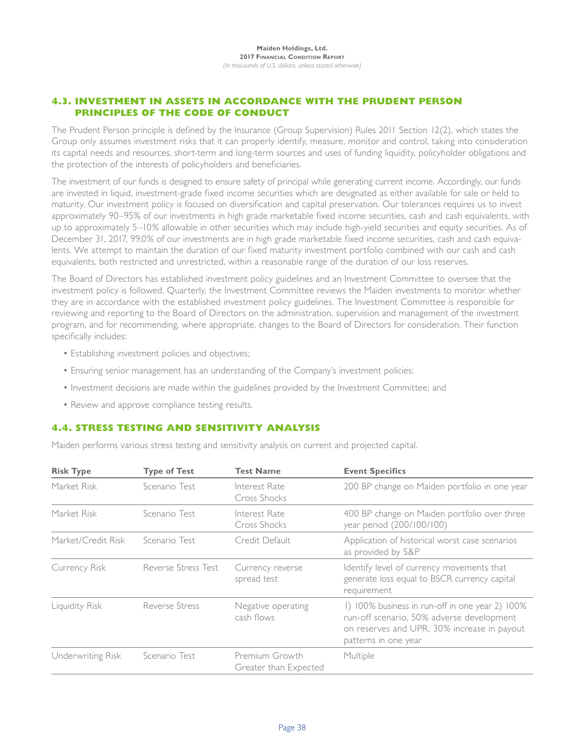## **4.3. INVESTMENT IN ASSETS IN ACCORDANCE WITH THE PRUDENT PERSON PRINCIPLES OF THE CODE OF CONDUCT**

The Prudent Person principle is defined by the Insurance (Group Supervision) Rules 2011 Section 12(2), which states the Group only assumes investment risks that it can properly identify, measure, monitor and control, taking into consideration its capital needs and resources, short-term and long-term sources and uses of funding liquidity, policyholder obligations and the protection of the interests of policyholders and beneficiaries.

The investment of our funds is designed to ensure safety of principal while generating current income. Accordingly, our funds are invested in liquid, investment-grade fixed income securities which are designated as either available for sale or held to maturity. Our investment policy is focused on diversification and capital preservation. Our tolerances requires us to invest approximately 90–95% of our investments in high grade marketable fixed income securities, cash and cash equivalents, with up to approximately 5–10% allowable in other securities which may include high-yield securities and equity securities. As of December 31, 2017, 99.0% of our investments are in high grade marketable fixed income securities, cash and cash equivalents. We attempt to maintain the duration of our fixed maturity investment portfolio combined with our cash and cash equivalents, both restricted and unrestricted, within a reasonable range of the duration of our loss reserves.

The Board of Directors has established investment policy guidelines and an Investment Committee to oversee that the investment policy is followed. Quarterly, the Investment Committee reviews the Maiden investments to monitor whether they are in accordance with the established investment policy guidelines. The Investment Committee is responsible for reviewing and reporting to the Board of Directors on the administration, supervision and management of the investment program, and for recommending, where appropriate, changes to the Board of Directors for consideration. Their function specifically includes:

- Establishing investment policies and objectives;
- Ensuring senior management has an understanding of the Company's investment policies;
- Investment decisions are made within the guidelines provided by the Investment Committee; and
- Review and approve compliance testing results.

## **4.4. STRESS TESTING AND SENSITIVITY ANALYSIS**

Maiden performs various stress testing and sensitivity analysis on current and projected capital.

| <b>Risk Type</b>   | <b>Type of Test</b> | <b>Test Name</b>                        | <b>Event Specifics</b>                                                                                                                                              |
|--------------------|---------------------|-----------------------------------------|---------------------------------------------------------------------------------------------------------------------------------------------------------------------|
| Market Risk        | Scenario Test       | Interest Rate<br>Cross Shocks           | 200 BP change on Maiden portfolio in one year                                                                                                                       |
| Market Risk        | Scenario Test       | Interest Rate<br>Cross Shocks           | 400 BP change on Maiden portfolio over three<br>year period (200/100/100)                                                                                           |
| Market/Credit Risk | Scenario Test       | Credit Default                          | Application of historical worst case scenarios<br>as provided by S&P                                                                                                |
| Currency Risk      | Reverse Stress Test | Currency reverse<br>spread test         | Identify level of currency movements that<br>generate loss equal to BSCR currency capital<br>requirement                                                            |
| Liquidity Risk     | Reverse Stress      | Negative operating<br>cash flows        | 1) 100% business in run-off in one year 2) 100%<br>run-off scenario, 50% adverse development<br>on reserves and UPR, 30% increase in payout<br>patterns in one year |
| Underwriting Risk  | Scenario Test       | Premium Growth<br>Greater than Expected | Multiple                                                                                                                                                            |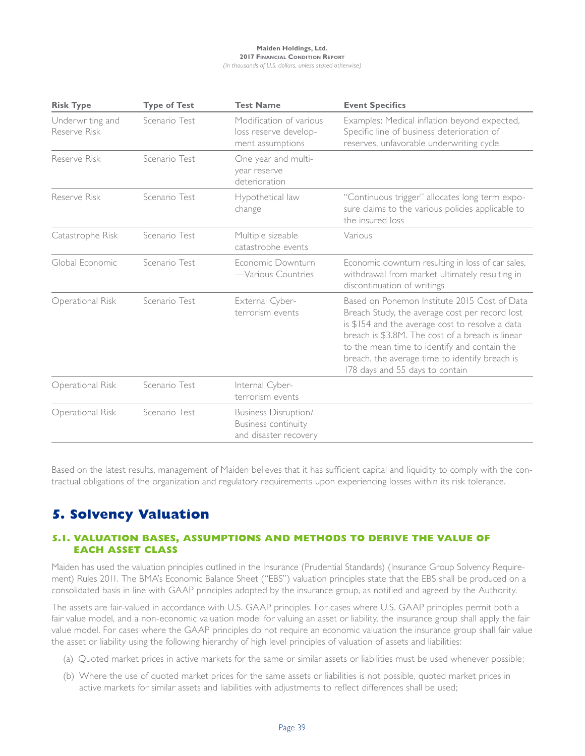## **Maiden Holdings, Ltd.**

**2017 Financial Condition Report** *(In thousands of U.S. dollars, unless stated otherwise)*

| <b>Risk Type</b>                 | <b>Type of Test</b> | <b>Test Name</b>                                                            | <b>Event Specifics</b>                                                                                                                                                                                                                                                                                                                     |
|----------------------------------|---------------------|-----------------------------------------------------------------------------|--------------------------------------------------------------------------------------------------------------------------------------------------------------------------------------------------------------------------------------------------------------------------------------------------------------------------------------------|
| Underwriting and<br>Reserve Risk | Scenario Test       | Modification of various<br>loss reserve develop-<br>ment assumptions        | Examples: Medical inflation beyond expected,<br>Specific line of business deterioration of<br>reserves, unfavorable underwriting cycle                                                                                                                                                                                                     |
| Reserve Risk                     | Scenario Test       | One year and multi-<br>year reserve<br>deterioration                        |                                                                                                                                                                                                                                                                                                                                            |
| Reserve Risk                     | Scenario Test       | Hypothetical law<br>change                                                  | "Continuous trigger" allocates long term expo-<br>sure claims to the various policies applicable to<br>the insured loss                                                                                                                                                                                                                    |
| Catastrophe Risk                 | Scenario Test       | Multiple sizeable<br>catastrophe events                                     | Various                                                                                                                                                                                                                                                                                                                                    |
| Global Economic                  | Scenario Test       | Economic Downturn<br>-Various Countries                                     | Economic downturn resulting in loss of car sales,<br>withdrawal from market ultimately resulting in<br>discontinuation of writings                                                                                                                                                                                                         |
| Operational Risk                 | Scenario Test       | External Cyber-<br>terrorism events                                         | Based on Ponemon Institute 2015 Cost of Data<br>Breach Study, the average cost per record lost<br>is \$154 and the average cost to resolve a data<br>breach is \$3.8M. The cost of a breach is linear<br>to the mean time to identify and contain the<br>breach, the average time to identify breach is<br>178 days and 55 days to contain |
| Operational Risk                 | Scenario Test       | Internal Cyber-<br>terrorism events                                         |                                                                                                                                                                                                                                                                                                                                            |
| Operational Risk                 | Scenario Test       | <b>Business Disruption/</b><br>Business continuity<br>and disaster recovery |                                                                                                                                                                                                                                                                                                                                            |

Based on the latest results, management of Maiden believes that it has sufficient capital and liquidity to comply with the contractual obligations of the organization and regulatory requirements upon experiencing losses within its risk tolerance.

# **5. Solvency Valuation**

## **5.1. VALUATION BASES, ASSUMPTIONS AND METHODS TO DERIVE THE VALUE OF EACH ASSET CLASS**

Maiden has used the valuation principles outlined in the Insurance (Prudential Standards) (Insurance Group Solvency Requirement) Rules 2011. The BMA's Economic Balance Sheet ("EBS") valuation principles state that the EBS shall be produced on a consolidated basis in line with GAAP principles adopted by the insurance group, as notified and agreed by the Authority.

The assets are fair-valued in accordance with U.S. GAAP principles. For cases where U.S. GAAP principles permit both a fair value model, and a non-economic valuation model for valuing an asset or liability, the insurance group shall apply the fair value model. For cases where the GAAP principles do not require an economic valuation the insurance group shall fair value the asset or liability using the following hierarchy of high level principles of valuation of assets and liabilities:

- (a) Quoted market prices in active markets for the same or similar assets or liabilities must be used whenever possible;
- (b) Where the use of quoted market prices for the same assets or liabilities is not possible, quoted market prices in active markets for similar assets and liabilities with adjustments to reflect differences shall be used;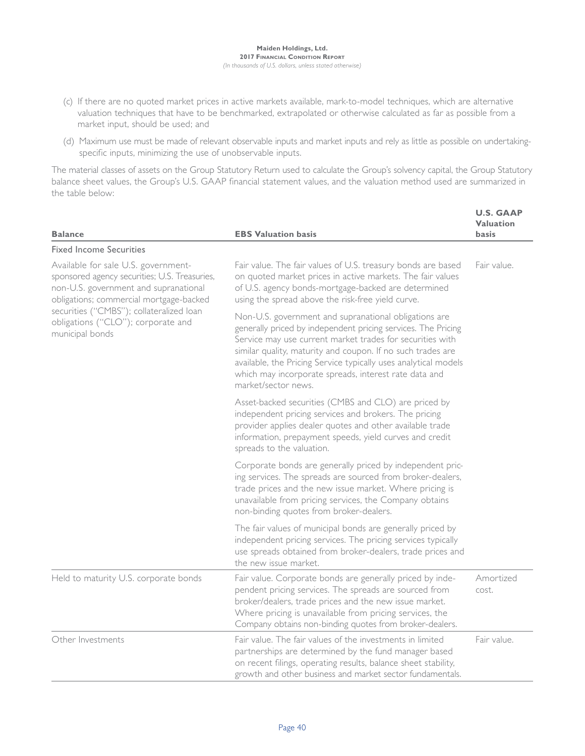- (c) If there are no quoted market prices in active markets available, mark-to-model techniques, which are alternative valuation techniques that have to be benchmarked, extrapolated or otherwise calculated as far as possible from a market input, should be used; and
- (d) Maximum use must be made of relevant observable inputs and market inputs and rely as little as possible on undertakingspecific inputs, minimizing the use of unobservable inputs.

The material classes of assets on the Group Statutory Return used to calculate the Group's solvency capital, the Group Statutory balance sheet values, the Group's U.S. GAAP financial statement values, and the valuation method used are summarized in the table below:

| <b>Balance</b>                                                                                                                                                           | <b>EBS Valuation basis</b>                                                                                                                                                                                                                                                                                                                                                                            | <b>U.S. GAAP</b><br><b>Valuation</b><br><b>basis</b> |
|--------------------------------------------------------------------------------------------------------------------------------------------------------------------------|-------------------------------------------------------------------------------------------------------------------------------------------------------------------------------------------------------------------------------------------------------------------------------------------------------------------------------------------------------------------------------------------------------|------------------------------------------------------|
| <b>Fixed Income Securities</b>                                                                                                                                           |                                                                                                                                                                                                                                                                                                                                                                                                       |                                                      |
| Available for sale U.S. government-<br>sponsored agency securities; U.S. Treasuries,<br>non-U.S. government and supranational<br>obligations; commercial mortgage-backed | Fair value. The fair values of U.S. treasury bonds are based<br>on quoted market prices in active markets. The fair values<br>of U.S. agency bonds-mortgage-backed are determined<br>using the spread above the risk-free yield curve.                                                                                                                                                                | Fair value.                                          |
| securities ("CMBS"); collateralized loan<br>obligations ("CLO"); corporate and<br>municipal bonds                                                                        | Non-U.S. government and supranational obligations are<br>generally priced by independent pricing services. The Pricing<br>Service may use current market trades for securities with<br>similar quality, maturity and coupon. If no such trades are<br>available, the Pricing Service typically uses analytical models<br>which may incorporate spreads, interest rate data and<br>market/sector news. |                                                      |
|                                                                                                                                                                          | Asset-backed securities (CMBS and CLO) are priced by<br>independent pricing services and brokers. The pricing<br>provider applies dealer quotes and other available trade<br>information, prepayment speeds, yield curves and credit<br>spreads to the valuation.                                                                                                                                     |                                                      |
|                                                                                                                                                                          | Corporate bonds are generally priced by independent pric-<br>ing services. The spreads are sourced from broker-dealers,<br>trade prices and the new issue market. Where pricing is<br>unavailable from pricing services, the Company obtains<br>non-binding quotes from broker-dealers.                                                                                                               |                                                      |
|                                                                                                                                                                          | The fair values of municipal bonds are generally priced by<br>independent pricing services. The pricing services typically<br>use spreads obtained from broker-dealers, trade prices and<br>the new issue market.                                                                                                                                                                                     |                                                      |
| Held to maturity U.S. corporate bonds                                                                                                                                    | Fair value. Corporate bonds are generally priced by inde-<br>pendent pricing services. The spreads are sourced from<br>broker/dealers, trade prices and the new issue market.<br>Where pricing is unavailable from pricing services, the<br>Company obtains non-binding quotes from broker-dealers.                                                                                                   | Amortized<br>cost.                                   |
| Other Investments                                                                                                                                                        | Fair value. The fair values of the investments in limited<br>partnerships are determined by the fund manager based<br>on recent filings, operating results, balance sheet stability,<br>growth and other business and market sector fundamentals.                                                                                                                                                     | Fair value.                                          |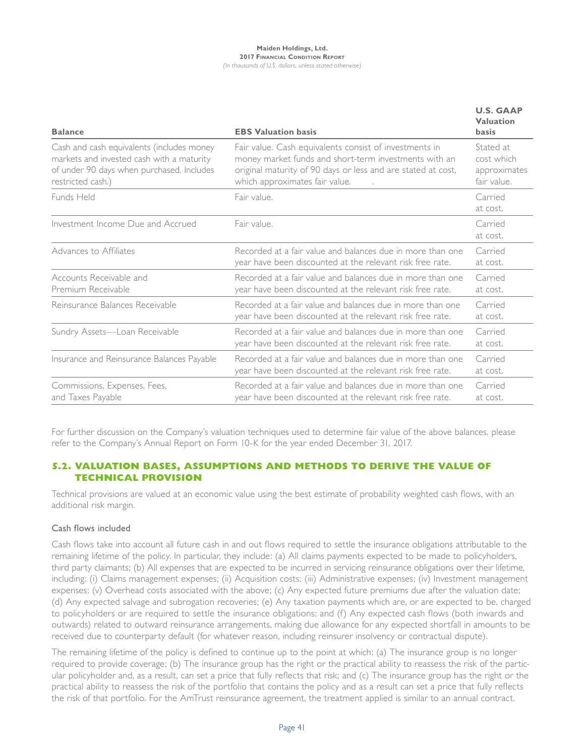| <b>Balance</b>                                                                                                                                           | <b>EBS Valuation basis</b>                                                                                                                                                                                        | <b>U.S. GAAP</b><br><b>Valuation</b><br><b>basis</b>   |
|----------------------------------------------------------------------------------------------------------------------------------------------------------|-------------------------------------------------------------------------------------------------------------------------------------------------------------------------------------------------------------------|--------------------------------------------------------|
| Cash and cash equivalents (includes money<br>markets and invested cash with a maturity<br>of under 90 days when purchased. Includes<br>restricted cash.) | Fair value. Cash equivalents consist of investments in<br>money market funds and short-term investments with an<br>original maturity of 90 days or less and are stated at cost,<br>which approximates fair value. | Stated at<br>cost which<br>approximates<br>fair value. |
| Funds Held                                                                                                                                               | Fair value.                                                                                                                                                                                                       | Carried<br>at cost.                                    |
| Investment Income Due and Accrued                                                                                                                        | Fair value.                                                                                                                                                                                                       | Carried<br>at cost.                                    |
| Advances to Affiliates                                                                                                                                   | Recorded at a fair value and balances due in more than one<br>year have been discounted at the relevant risk free rate.                                                                                           | Carried<br>at cost.                                    |
| Accounts Receivable and<br>Premium Receivable                                                                                                            | Recorded at a fair value and balances due in more than one<br>year have been discounted at the relevant risk free rate.                                                                                           | Carried<br>at cost.                                    |
| Reinsurance Balances Receivable                                                                                                                          | Recorded at a fair value and balances due in more than one<br>year have been discounted at the relevant risk free rate.                                                                                           | Carried<br>at cost.                                    |
| Sundry Assets-Loan Receivable                                                                                                                            | Recorded at a fair value and balances due in more than one<br>year have been discounted at the relevant risk free rate.                                                                                           | Carried<br>at cost.                                    |
| Insurance and Reinsurance Balances Payable                                                                                                               | Recorded at a fair value and balances due in more than one<br>year have been discounted at the relevant risk free rate.                                                                                           | Carried<br>at cost.                                    |
| Commissions, Expenses, Fees,<br>and Taxes Payable                                                                                                        | Recorded at a fair value and balances due in more than one<br>year have been discounted at the relevant risk free rate.                                                                                           | Carried<br>at cost.                                    |

For further discussion on the Company's valuation techniques used to determine fair value of the above balances, please refer to the Company's Annual Report on Form 10-K for the year ended December 31, 2017.

## **5.2. VALUATION BASES, ASSUMPTIONS AND METHODS TO DERIVE THE VALUE OF TECHNICAL PROVISION**

Technical provisions are valued at an economic value using the best estimate of probability weighted cash flows, with an additional risk margin.

## Cash flows included

Cash flows take into account all future cash in and out flows required to settle the insurance obligations attributable to the remaining lifetime of the policy. In particular, they include: (a) All claims payments expected to be made to policyholders, third party claimants; (b) All expenses that are expected to be incurred in servicing reinsurance obligations over their lifetime, including: (i) Claims management expenses; (ii) Acquisition costs; (iii) Administrative expenses; (iv) Investment management expenses; (v) Overhead costs associated with the above; (c) Any expected future premiums due after the valuation date; (d) Any expected salvage and subrogation recoveries; (e) Any taxation payments which are, or are expected to be, charged to policyholders or are required to settle the insurance obligations; and (f) Any expected cash flows (both inwards and outwards) related to outward reinsurance arrangements, making due allowance for any expected shortfall in amounts to be received due to counterparty default (for whatever reason, including reinsurer insolvency or contractual dispute).

The remaining lifetime of the policy is defined to continue up to the point at which: (a) The insurance group is no longer required to provide coverage; (b) The insurance group has the right or the practical ability to reassess the risk of the particular policyholder and, as a result, can set a price that fully reflects that risk; and (c) The insurance group has the right or the practical ability to reassess the risk of the portfolio that contains the policy and as a result can set a price that fully reflects the risk of that portfolio. For the AmTrust reinsurance agreement, the treatment applied is similar to an annual contract.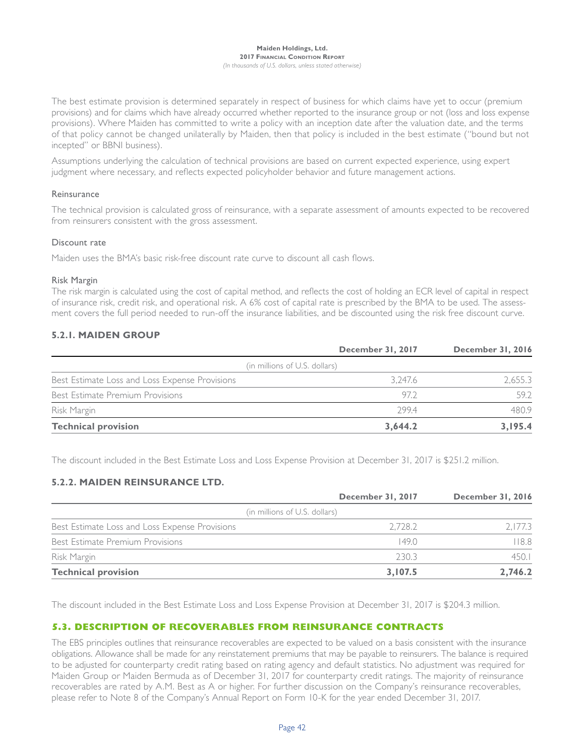The best estimate provision is determined separately in respect of business for which claims have yet to occur (premium provisions) and for claims which have already occurred whether reported to the insurance group or not (loss and loss expense provisions). Where Maiden has committed to write a policy with an inception date after the valuation date, and the terms of that policy cannot be changed unilaterally by Maiden, then that policy is included in the best estimate ("bound but not incepted" or BBNI business).

Assumptions underlying the calculation of technical provisions are based on current expected experience, using expert judgment where necessary, and reflects expected policyholder behavior and future management actions.

#### **Reinsurance**

The technical provision is calculated gross of reinsurance, with a separate assessment of amounts expected to be recovered from reinsurers consistent with the gross assessment.

#### Discount rate

Maiden uses the BMA's basic risk-free discount rate curve to discount all cash flows.

#### Risk Margin

The risk margin is calculated using the cost of capital method, and reflects the cost of holding an ECR level of capital in respect of insurance risk, credit risk, and operational risk. A 6% cost of capital rate is prescribed by the BMA to be used. The assessment covers the full period needed to run-off the insurance liabilities, and be discounted using the risk free discount curve.

## **5.2.1. MAIDEN GROUP**

|                                                | December 31, 2017 | December 31, 2016 |
|------------------------------------------------|-------------------|-------------------|
| (in millions of U.S. dollars)                  |                   |                   |
| Best Estimate Loss and Loss Expense Provisions | 3.247.6           | 2.655.3           |
| Best Estimate Premium Provisions               | 972               | 59.2              |
| Risk Margin                                    | 299.4             | 4809              |
| <b>Technical provision</b>                     | 3,644.2           | 3.195.4           |

The discount included in the Best Estimate Loss and Loss Expense Provision at December 31, 2017 is \$251.2 million.

## **5.2.2. MAIDEN REINSURANCE LTD.**

|                                                | December 31, 2017             | December 31, 2016 |
|------------------------------------------------|-------------------------------|-------------------|
|                                                | (in millions of U.S. dollars) |                   |
| Best Estimate Loss and Loss Expense Provisions | 2.728.2                       | 2.177.3           |
| Best Estimate Premium Provisions               | 149.0                         | 118.8             |
| Risk Margin                                    | 230.3                         | 450.1             |
| <b>Technical provision</b>                     | 3,107.5                       | 2,746.2           |

The discount included in the Best Estimate Loss and Loss Expense Provision at December 31, 2017 is \$204.3 million.

## **5.3. DESCRIPTION OF RECOVERABLES FROM REINSURANCE CONTRACTS**

The EBS principles outlines that reinsurance recoverables are expected to be valued on a basis consistent with the insurance obligations. Allowance shall be made for any reinstatement premiums that may be payable to reinsurers. The balance is required to be adjusted for counterparty credit rating based on rating agency and default statistics. No adjustment was required for Maiden Group or Maiden Bermuda as of December 31, 2017 for counterparty credit ratings. The majority of reinsurance recoverables are rated by A.M. Best as A or higher. For further discussion on the Company's reinsurance recoverables, please refer to Note 8 of the Company's Annual Report on Form 10-K for the year ended December 31, 2017.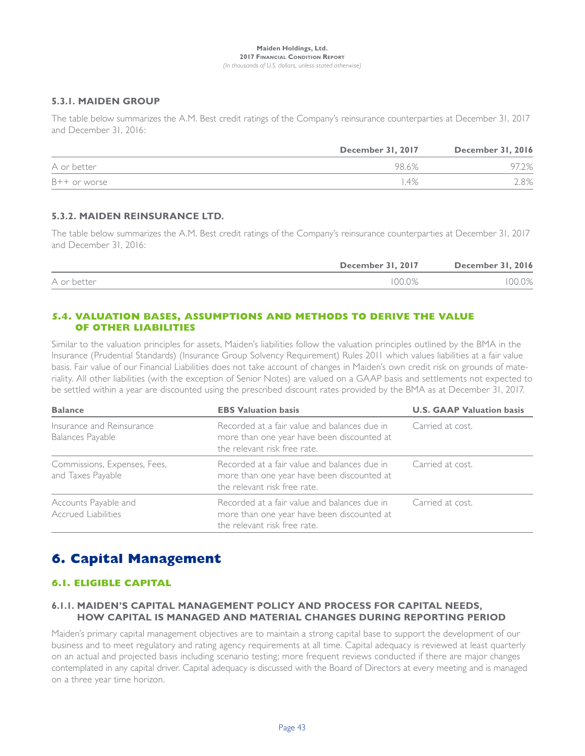## **5.3.1. MAIDEN GROUP**

The table below summarizes the A.M. Best credit ratings of the Company's reinsurance counterparties at December 31, 2017 and December 31, 2016:

|              | <b>December 31, 2017</b> | <b>December 31, 2016</b> |
|--------------|--------------------------|--------------------------|
| A or better  | 98.6%                    | 97.2%                    |
| B++ or worse | $4\%$                    | ` 8%                     |

## **5.3.2. MAIDEN REINSURANCE LTD.**

The table below summarizes the A.M. Best credit ratings of the Company's reinsurance counterparties at December 31, 2017 and December 31, 2016:

|             | December 31, 2017 | <b>December 31, 2016</b> |
|-------------|-------------------|--------------------------|
| A or better | 100.0%            | 100.0%                   |

## **5.4. VALUATION BASES, ASSUMPTIONS AND METHODS TO DERIVE THE VALUE OF OTHER LIABILITIES**

Similar to the valuation principles for assets, Maiden's liabilities follow the valuation principles outlined by the BMA in the Insurance (Prudential Standards) (Insurance Group Solvency Requirement) Rules 2011 which values liabilities at a fair value basis. Fair value of our Financial Liabilities does not take account of changes in Maiden's own credit risk on grounds of materiality. All other liabilities (with the exception of Senior Notes) are valued on a GAAP basis and settlements not expected to be settled within a year are discounted using the prescribed discount rates provided by the BMA as at December 31, 2017.

| <b>Balance</b>                                     | <b>EBS Valuation basis</b>                                                                                                 | <b>U.S. GAAP Valuation basis</b> |  |
|----------------------------------------------------|----------------------------------------------------------------------------------------------------------------------------|----------------------------------|--|
| Insurance and Reinsurance<br>Balances Payable      | Recorded at a fair value and balances due in<br>more than one year have been discounted at<br>the relevant risk free rate. | Carried at cost.                 |  |
| Commissions, Expenses, Fees,<br>and Taxes Payable  | Recorded at a fair value and balances due in<br>more than one year have been discounted at<br>the relevant risk free rate. | Carried at cost.                 |  |
| Accounts Payable and<br><b>Accrued Liabilities</b> | Recorded at a fair value and balances due in<br>more than one year have been discounted at<br>the relevant risk free rate. | Carried at cost.                 |  |

# **6. Capital Management**

## **6.1. ELIGIBLE CAPITAL**

## **6.1.1. MAIDEN'S CAPITAL MANAGEMENT POLICY AND PROCESS FOR CAPITAL NEEDS, HOW CAPITAL IS MANAGED AND MATERIAL CHANGES DURING REPORTING PERIOD**

Maiden's primary capital management objectives are to maintain a strong capital base to support the development of our business and to meet regulatory and rating agency requirements at all time. Capital adequacy is reviewed at least quarterly on an actual and projected basis including scenario testing; more frequent reviews conducted if there are major changes contemplated in any capital driver. Capital adequacy is discussed with the Board of Directors at every meeting and is managed on a three year time horizon.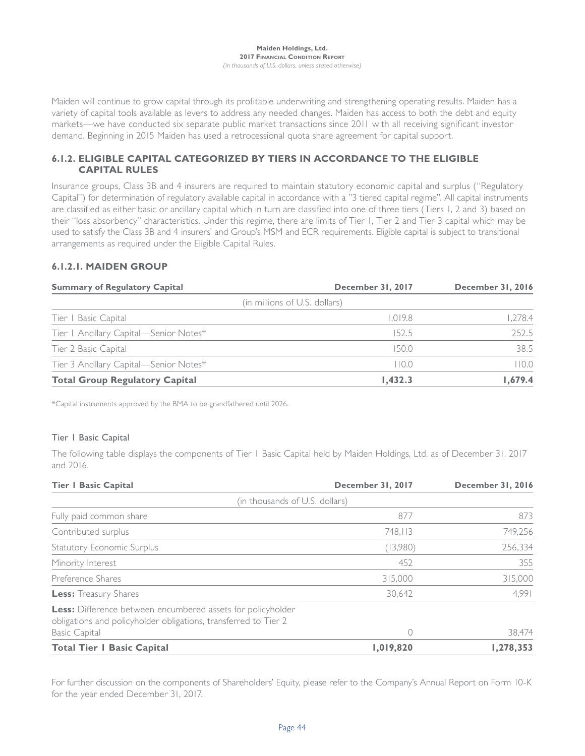Maiden will continue to grow capital through its profitable underwriting and strengthening operating results. Maiden has a variety of capital tools available as levers to address any needed changes. Maiden has access to both the debt and equity markets—we have conducted six separate public market transactions since 2011 with all receiving significant investor demand. Beginning in 2015 Maiden has used a retrocessional quota share agreement for capital support.

## **6.1.2. ELIGIBLE CAPITAL CATEGORIZED BY TIERS IN ACCORDANCE TO THE ELIGIBLE CAPITAL RULES**

Insurance groups, Class 3B and 4 insurers are required to maintain statutory economic capital and surplus ("Regulatory Capital") for determination of regulatory available capital in accordance with a "3 tiered capital regime". All capital instruments are classified as either basic or ancillary capital which in turn are classified into one of three tiers (Tiers 1, 2 and 3) based on their "loss absorbency" characteristics. Under this regime, there are limits of Tier 1, Tier 2 and Tier 3 capital which may be used to satisfy the Class 3B and 4 insurers' and Group's MSM and ECR requirements. Eligible capital is subject to transitional arrangements as required under the Eligible Capital Rules.

## **6.1.2.1. MAIDEN GROUP**

| <b>Summary of Regulatory Capital</b>   | December 31, 2017             | December 31, 2016 |
|----------------------------------------|-------------------------------|-------------------|
|                                        | (in millions of U.S. dollars) |                   |
| Tier   Basic Capital                   | 1.019.8                       | 1,278.4           |
| Tier   Ancillary Capital-Senior Notes* | 152.5                         | 252.5             |
| Tier 2 Basic Capital                   | 150.0                         | 38.5              |
| Tier 3 Ancillary Capital-Senior Notes* | 110.0                         | 110.0             |
| <b>Total Group Regulatory Capital</b>  | 1,432.3                       | 1.679.4           |

\*Capital instruments approved by the BMA to be grandfathered until 2026.

## Tier 1 Basic Capital

The following table displays the components of Tier 1 Basic Capital held by Maiden Holdings, Ltd. as of December 31, 2017 and 2016.

| <b>Tier I Basic Capital</b>                                                                                                           | December 31, 2017 | <b>December 31, 2016</b> |
|---------------------------------------------------------------------------------------------------------------------------------------|-------------------|--------------------------|
| (in thousands of U.S. dollars)                                                                                                        |                   |                          |
| Fully paid common share                                                                                                               | 877               | 873                      |
| Contributed surplus                                                                                                                   | 748.113           | 749,256                  |
| <b>Statutory Economic Surplus</b>                                                                                                     | (13,980)          | 256,334                  |
| Minority Interest                                                                                                                     | 452               | 355                      |
| Preference Shares                                                                                                                     | 315,000           | 315,000                  |
| <b>Less:</b> Treasury Shares                                                                                                          | 30.642            | 4,991                    |
| <b>Less:</b> Difference between encumbered assets for policyholder<br>obligations and policyholder obligations, transferred to Tier 2 |                   |                          |
| <b>Basic Capital</b>                                                                                                                  | 0                 | 38,474                   |
| <b>Total Tier I Basic Capital</b>                                                                                                     | 1,019,820         | 1,278,353                |

For further discussion on the components of Shareholders' Equity, please refer to the Company's Annual Report on Form 10-K for the year ended December 31, 2017.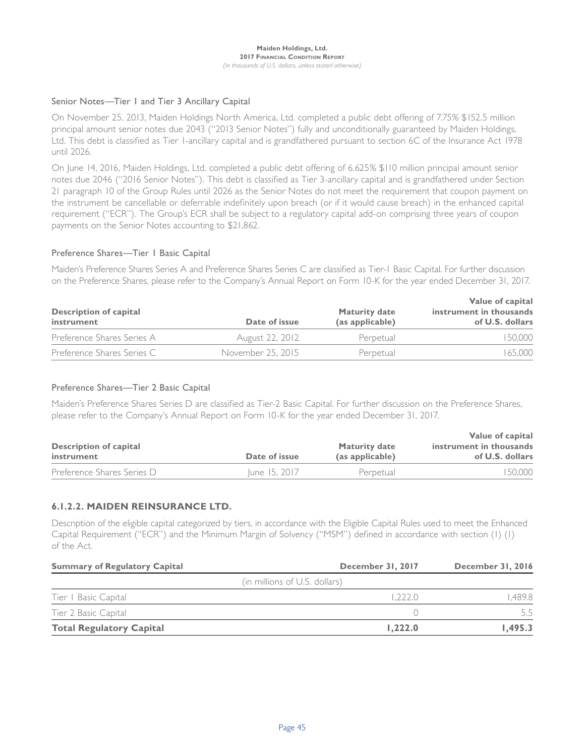## Senior Notes—Tier 1 and Tier 3 Ancillary Capital

On November 25, 2013, Maiden Holdings North America, Ltd. completed a public debt offering of 7.75% \$152.5 million principal amount senior notes due 2043 ("2013 Senior Notes") fully and unconditionally guaranteed by Maiden Holdings, Ltd. This debt is classified as Tier 1-ancillary capital and is grandfathered pursuant to section 6C of the Insurance Act 1978 until 2026.

On June 14, 2016, Maiden Holdings, Ltd. completed a public debt offering of 6.625% \$110 million principal amount senior notes due 2046 ("2016 Senior Notes"). This debt is classified as Tier 3-ancillary capital and is grandfathered under Section 21 paragraph 10 of the Group Rules until 2026 as the Senior Notes do not meet the requirement that coupon payment on the instrument be cancellable or deferrable indefinitely upon breach (or if it would cause breach) in the enhanced capital requirement ("ECR"). The Group's ECR shall be subject to a regulatory capital add-on comprising three years of coupon payments on the Senior Notes accounting to \$21,862.

## Preference Shares—Tier 1 Basic Capital

Maiden's Preference Shares Series A and Preference Shares Series C are classified as Tier-1 Basic Capital. For further discussion on the Preference Shares, please refer to the Company's Annual Report on Form 10-K for the year ended December 31, 2017.

|                            |                   |                      | Value of capital        |
|----------------------------|-------------------|----------------------|-------------------------|
| Description of capital     |                   | <b>Maturity date</b> | instrument in thousands |
| instrument                 | Date of issue     | (as applicable)      | of U.S. dollars         |
| Preference Shares Series A | August 22, 2012   | Perpetual            | 150.000                 |
| Preference Shares Series C | November 25, 2015 | Perpetual            | 165.000                 |

#### Preference Shares—Tier 2 Basic Capital

Maiden's Preference Shares Series D are classified as Tier-2 Basic Capital. For further discussion on the Preference Shares, please refer to the Company's Annual Report on Form 10-K for the year ended December 31, 2017.

|                            |               |                      | Value of capital        |
|----------------------------|---------------|----------------------|-------------------------|
| Description of capital     |               | <b>Maturity date</b> | instrument in thousands |
| instrument                 | Date of issue | (as applicable)      | of U.S. dollars         |
| Preference Shares Series D | June 15, 2017 | Perpetual            | 150.000                 |

## **6.1.2.2. MAIDEN REINSURANCE LTD.**

Description of the eligible capital categorized by tiers, in accordance with the Eligible Capital Rules used to meet the Enhanced Capital Requirement ("ECR") and the Minimum Margin of Solvency ("MSM") defined in accordance with section (1) (1) of the Act.

| <b>Summary of Regulatory Capital</b> | December 31, 2017             | December 31, 2016 |
|--------------------------------------|-------------------------------|-------------------|
|                                      | (in millions of U.S. dollars) |                   |
| Tier   Basic Capital                 | 12220                         | .489.8            |
| Tier 2 Basic Capital                 |                               |                   |
| <b>Total Regulatory Capital</b>      | 1.222.0                       | 1.495.3           |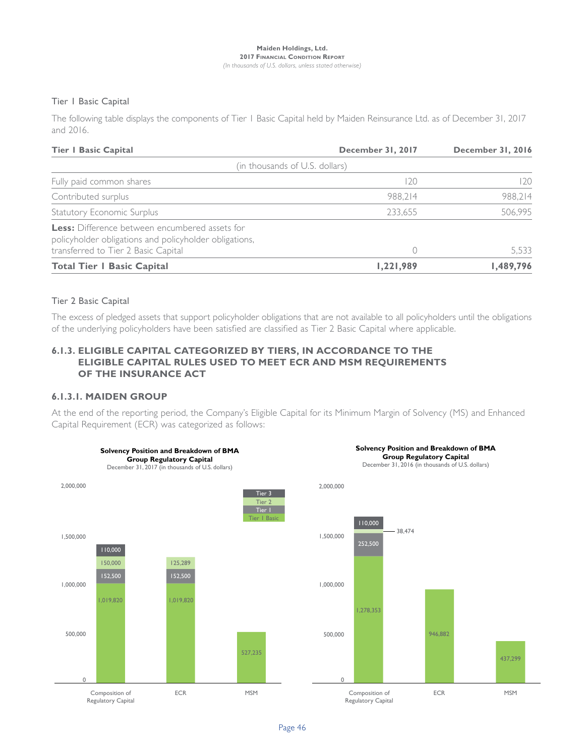## Tier 1 Basic Capital

The following table displays the components of Tier 1 Basic Capital held by Maiden Reinsurance Ltd. as of December 31, 2017 and 2016.

| <b>Tier I Basic Capital</b>                                                                                                                            | December 31, 2017 | December 31, 2016 |
|--------------------------------------------------------------------------------------------------------------------------------------------------------|-------------------|-------------------|
| (in thousands of U.S. dollars)                                                                                                                         |                   |                   |
| Fully paid common shares                                                                                                                               | 20                | 120               |
| Contributed surplus                                                                                                                                    | 988.214           | 988.214           |
| Statutory Economic Surplus                                                                                                                             | 233.655           | 506,995           |
| <b>Less:</b> Difference between encumbered assets for<br>policyholder obligations and policyholder obligations,<br>transferred to Tier 2 Basic Capital |                   | 5.533             |
| <b>Total Tier I Basic Capital</b>                                                                                                                      | 1,221,989         | 1,489,796         |

## Tier 2 Basic Capital

The excess of pledged assets that support policyholder obligations that are not available to all policyholders until the obligations of the underlying policyholders have been satisfied are classified as Tier 2 Basic Capital where applicable.

## **6.1.3. ELIGIBLE CAPITAL CATEGORIZED BY TIERS, IN ACCORDANCE TO THE ELIGIBLE CAPITAL RULES USED TO MEET ECR AND MSM REQUIREMENTS OF THE INSURANCE ACT**

## **6.1.3.1. MAIDEN GROUP**

At the end of the reporting period, the Company's Eligible Capital for its Minimum Margin of Solvency (MS) and Enhanced Capital Requirement (ECR) was categorized as follows:

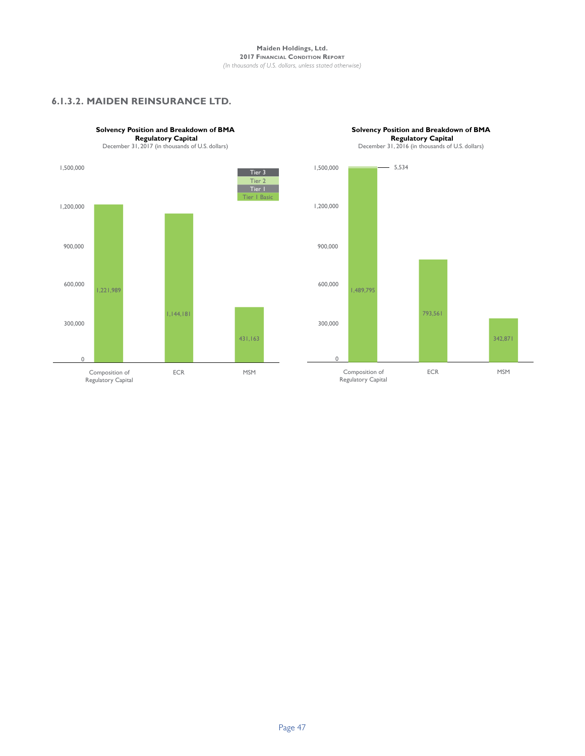## **6.1.3.2. MAIDEN REINSURANCE LTD.**



## **Solvency Position and Breakdown of BMA Regulatory Capital**<br>December 31, 2016 (in thousands of U.S. dollars)

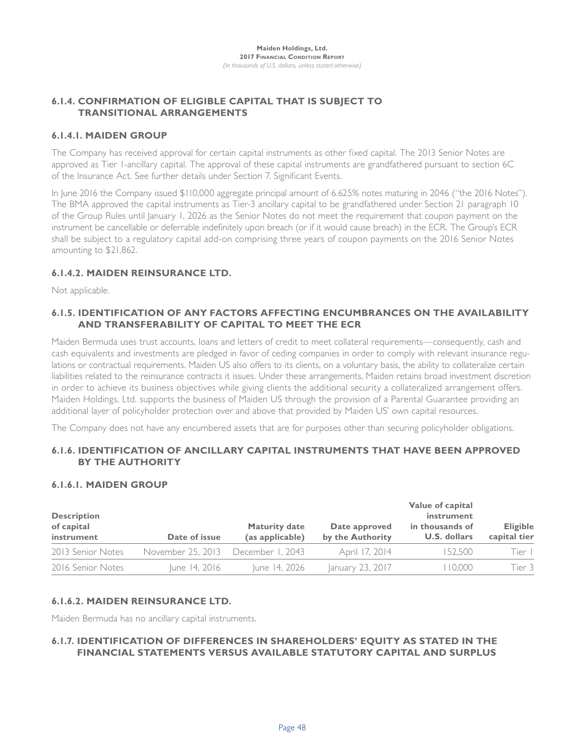## **6.1.4. CONFIRMATION OF ELIGIBLE CAPITAL THAT IS SUBJECT TO TRANSITIONAL ARRANGEMENTS**

## **6.1.4.1. MAIDEN GROUP**

The Company has received approval for certain capital instruments as other fixed capital. The 2013 Senior Notes are approved as Tier 1-ancillary capital. The approval of these capital instruments are grandfathered pursuant to section 6C of the Insurance Act. See further details under Section 7. Significant Events.

In June 2016 the Company issued \$110,000 aggregate principal amount of 6.625% notes maturing in 2046 ("the 2016 Notes"). The BMA approved the capital instruments as Tier-3 ancillary capital to be grandfathered under Section 21 paragraph 10 of the Group Rules until January 1, 2026 as the Senior Notes do not meet the requirement that coupon payment on the instrument be cancellable or deferrable indefinitely upon breach (or if it would cause breach) in the ECR. The Group's ECR shall be subject to a regulatory capital add-on comprising three years of coupon payments on the 2016 Senior Notes amounting to \$21,862.

## **6.1.4.2. MAIDEN REINSURANCE LTD.**

Not applicable.

## **6.1.5. IDENTIFICATION OF ANY FACTORS AFFECTING ENCUMBRANCES ON THE AVAILABILITY AND TRANSFERABILITY OF CAPITAL TO MEET THE ECR**

Maiden Bermuda uses trust accounts, loans and letters of credit to meet collateral requirements—consequently, cash and cash equivalents and investments are pledged in favor of ceding companies in order to comply with relevant insurance regulations or contractual requirements. Maiden US also offers to its clients, on a voluntary basis, the ability to collateralize certain liabilities related to the reinsurance contracts it issues. Under these arrangements, Maiden retains broad investment discretion in order to achieve its business objectives while giving clients the additional security a collateralized arrangement offers. Maiden Holdings, Ltd. supports the business of Maiden US through the provision of a Parental Guarantee providing an additional layer of policyholder protection over and above that provided by Maiden US' own capital resources.

The Company does not have any encumbered assets that are for purposes other than securing policyholder obligations.

## **6.1.6. IDENTIFICATION OF ANCILLARY CAPITAL INSTRUMENTS THAT HAVE BEEN APPROVED BY THE AUTHORITY**

# **6.1.6.1. MAIDEN GROUP**

| <b>Description</b><br>of capital |                   | <b>Maturity date</b> | Value of capital<br>instrument<br>Date approved<br>in thousands of |              |                                 |
|----------------------------------|-------------------|----------------------|--------------------------------------------------------------------|--------------|---------------------------------|
| instrument                       | Date of issue     | (as applicable)      | by the Authority                                                   | U.S. dollars | <b>Eligible</b><br>capital tier |
| 2013 Senior Notes                | November 25, 2013 | December I. 2043     | April 17, 2014                                                     | 152.500      | Tier I                          |
| 2016 Senior Notes                | June 14, 2016     | June 14, 2026        | January 23, 2017                                                   | 110,000      | Tier 3                          |

## **6.1.6.2. MAIDEN REINSURANCE LTD.**

Maiden Bermuda has no ancillary capital instruments.

## **6.1.7. IDENTIFICATION OF DIFFERENCES IN SHAREHOLDERS' EQUITY AS STATED IN THE FINANCIAL STATEMENTS VERSUS AVAILABLE STATUTORY CAPITAL AND SURPLUS**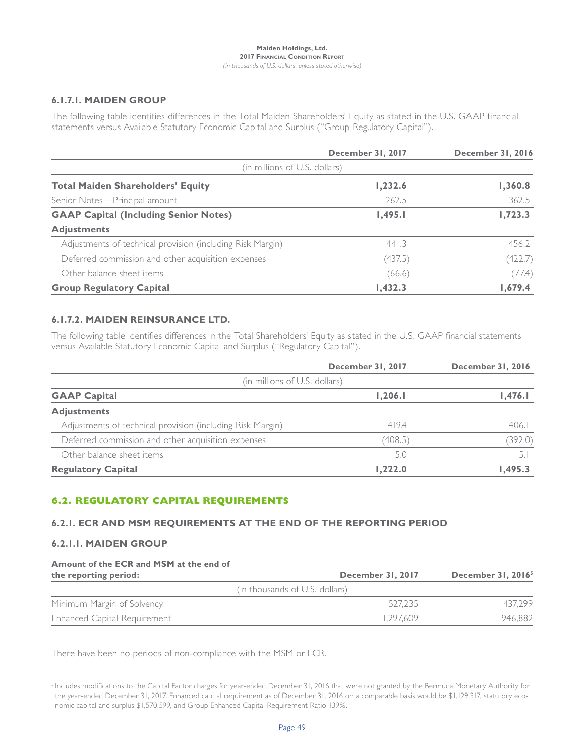## **6.1.7.1. MAIDEN GROUP**

The following table identifies differences in the Total Maiden Shareholders' Equity as stated in the U.S. GAAP financial statements versus Available Statutory Economic Capital and Surplus ("Group Regulatory Capital").

|                                                            | December 31, 2017 | December 31, 2016 |  |
|------------------------------------------------------------|-------------------|-------------------|--|
| (in millions of U.S. dollars)                              |                   |                   |  |
| <b>Total Maiden Shareholders' Equity</b>                   | 1,232.6           | 1,360.8           |  |
| Senior Notes-Principal amount                              | 262.5             | 362.5             |  |
| <b>GAAP Capital (Including Senior Notes)</b>               | 1,495.1           | 1,723.3           |  |
| <b>Adjustments</b>                                         |                   |                   |  |
| Adjustments of technical provision (including Risk Margin) | 441.3             | 456.2             |  |
| Deferred commission and other acquisition expenses         | (437.5)           | (422.7)           |  |
| Other balance sheet items                                  | (66.6)            | (77.4)            |  |
| <b>Group Regulatory Capital</b>                            | 1,432.3           | 1.679.4           |  |

## **6.1.7.2. MAIDEN REINSURANCE LTD.**

The following table identifies differences in the Total Shareholders' Equity as stated in the U.S. GAAP financial statements versus Available Statutory Economic Capital and Surplus ("Regulatory Capital").

|                                                            | December 31, 2017 | December 31, 2016 |  |
|------------------------------------------------------------|-------------------|-------------------|--|
| (in millions of U.S. dollars)                              |                   |                   |  |
| <b>GAAP Capital</b>                                        | 1,206.1           | 1,476.1           |  |
| <b>Adjustments</b>                                         |                   |                   |  |
| Adjustments of technical provision (including Risk Margin) | 419.4             | 406.1             |  |
| Deferred commission and other acquisition expenses         | (408.5)           | (392.0)           |  |
| Other balance sheet items                                  | 5.0               |                   |  |
| <b>Regulatory Capital</b>                                  | 1.222.0           | I.495.3           |  |

## **6.2. REGULATORY CAPITAL REQUIREMENTS**

## **6.2.1. ECR AND MSM REQUIREMENTS AT THE END OF THE REPORTING PERIOD**

## **6.2.1.1. MAIDEN GROUP**

## **Amount of the ECR and MSM at the end of**

| the reporting period:        | <b>December 31, 2017</b>       | December $31, 20165$ |  |
|------------------------------|--------------------------------|----------------------|--|
|                              | (in thousands of U.S. dollars) |                      |  |
| Minimum Margin of Solvency   | 527.235                        | 437.299              |  |
| Enhanced Capital Requirement | 1.297.609                      | 946.882              |  |

There have been no periods of non-compliance with the MSM or ECR.

<sup>5</sup> Includes modifications to the Capital Factor charges for year-ended December 31, 2016 that were not granted by the Bermuda Monetary Authority for the year-ended December 31, 2017. Enhanced capital requirement as of December 31, 2016 on a comparable basis would be \$1,129,317, statutory economic capital and surplus \$1,570,599, and Group Enhanced Capital Requirement Ratio 139%.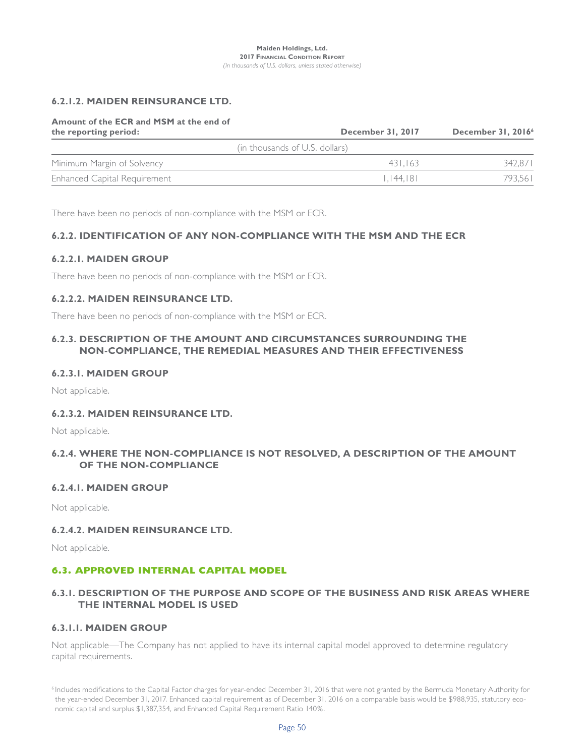## **6.2.1.2. MAIDEN REINSURANCE LTD.**

# **Amount of the ECR and MSM at the end of**

| the reporting period:          | December 31, 2017 | December 31, 2016 <sup>6</sup> |  |
|--------------------------------|-------------------|--------------------------------|--|
| (in thousands of U.S. dollars) |                   |                                |  |
| Minimum Margin of Solvency     | 431.163           | 342.871                        |  |
| Enhanced Capital Requirement   | 1.144.181         | 793.561                        |  |

There have been no periods of non-compliance with the MSM or ECR.

## **6.2.2. IDENTIFICATION OF ANY NON-COMPLIANCE WITH THE MSM AND THE ECR**

## **6.2.2.1. MAIDEN GROUP**

There have been no periods of non-compliance with the MSM or ECR.

## **6.2.2.2. MAIDEN REINSURANCE LTD.**

There have been no periods of non-compliance with the MSM or ECR.

## **6.2.3. DESCRIPTION OF THE AMOUNT AND CIRCUMSTANCES SURROUNDING THE NON-COMPLIANCE, THE REMEDIAL MEASURES AND THEIR EFFECTIVENESS**

## **6.2.3.1. MAIDEN GROUP**

Not applicable.

## **6.2.3.2. MAIDEN REINSURANCE LTD.**

Not applicable.

## **6.2.4. WHERE THE NON-COMPLIANCE IS NOT RESOLVED, A DESCRIPTION OF THE AMOUNT OF THE NON-COMPLIANCE**

## **6.2.4.1. MAIDEN GROUP**

Not applicable.

## **6.2.4.2. MAIDEN REINSURANCE LTD.**

Not applicable.

## **6.3. APPROVED INTERNAL CAPITAL MODEL**

## **6.3.1. DESCRIPTION OF THE PURPOSE AND SCOPE OF THE BUSINESS AND RISK AREAS WHERE THE INTERNAL MODEL IS USED**

## **6.3.1.1. MAIDEN GROUP**

Not applicable—The Company has not applied to have its internal capital model approved to determine regulatory capital requirements.

<sup>6</sup> Includes modifications to the Capital Factor charges for year-ended December 31, 2016 that were not granted by the Bermuda Monetary Authority for the year-ended December 31, 2017. Enhanced capital requirement as of December 31, 2016 on a comparable basis would be \$988,935, statutory economic capital and surplus \$1,387,354, and Enhanced Capital Requirement Ratio 140%.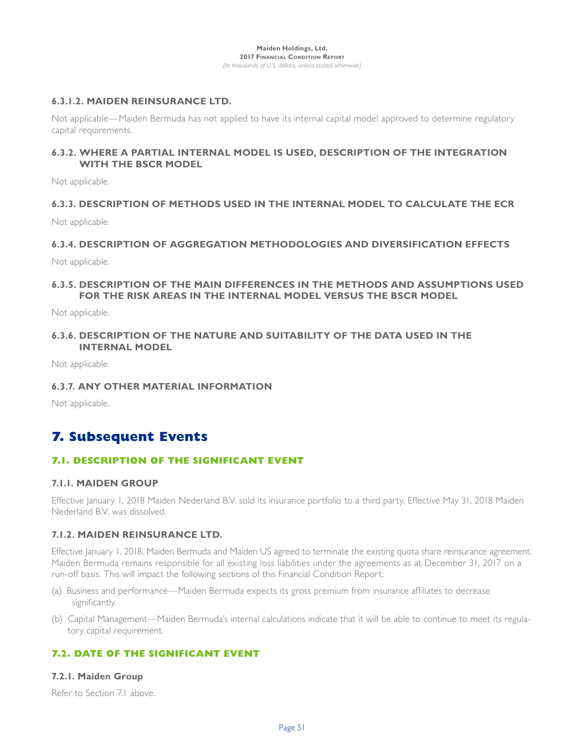## **6.3.1.2. MAIDEN REINSURANCE LTD.**

Not applicable—Maiden Bermuda has not applied to have its internal capital model approved to determine regulatory capital requirements.

## **6.3.2. WHERE A PARTIAL INTERNAL MODEL IS USED, DESCRIPTION OF THE INTEGRATION WITH THE BSCR MODEL**

Not applicable.

## **6.3.3. DESCRIPTION OF METHODS USED IN THE INTERNAL MODEL TO CALCULATE THE ECR**

Not applicable.

## **6.3.4. DESCRIPTION OF AGGREGATION METHODOLOGIES AND DIVERSIFICATION EFFECTS**

Not applicable.

## **6.3.5. DESCRIPTION OF THE MAIN DIFFERENCES IN THE METHODS AND ASSUMPTIONS USED FOR THE RISK AREAS IN THE INTERNAL MODEL VERSUS THE BSCR MODEL**

Not applicable.

## **6.3.6. DESCRIPTION OF THE NATURE AND SUITABILITY OF THE DATA USED IN THE INTERNAL MODEL**

Not applicable.

## **6.3.7. ANY OTHER MATERIAL INFORMATION**

Not applicable.

# **7. Subsequent Events**

## **7.1. DESCRIPTION OF THE SIGNIFICANT EVENT**

## **7.1.1. MAIDEN GROUP**

Effective January 1, 2018 Maiden Nederland B.V. sold its insurance portfolio to a third party. Effective May 31, 2018 Maiden Nederland B.V. was dissolved.

## **7.1.2. MAIDEN REINSURANCE LTD.**

Effective January 1, 2018, Maiden Bermuda and Maiden US agreed to terminate the existing quota share reinsurance agreement. Maiden Bermuda remains responsible for all existing loss liabilities under the agreements as at December 31, 2017 on a run-off basis. This will impact the following sections of this Financial Condition Report:

- (a) Business and performance—Maiden Bermuda expects its gross premium from insurance affiliates to decrease significantly.
- (b) Capital Management—Maiden Bermuda's internal calculations indicate that it will be able to continue to meet its regulatory capital requirement.

## **7.2. DATE OF THE SIGNIFICANT EVENT**

## **7.2.1. Maiden Group**

Refer to Section 7.1 above.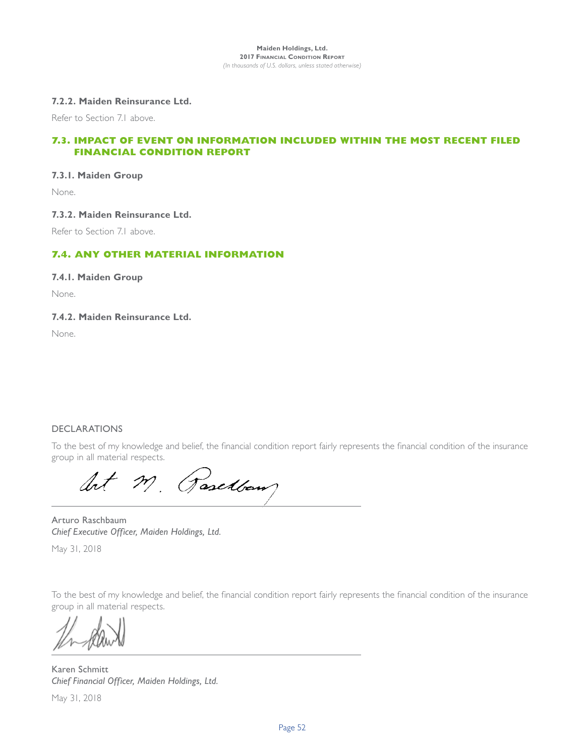## **7.2.2. Maiden Reinsurance Ltd.**

Refer to Section 7.1 above.

## **7.3. IMPACT OF EVENT ON INFORMATION INCLUDED WITHIN THE MOST RECENT FILED FINANCIAL CONDITION REPORT**

## **7.3.1. Maiden Group**

None.

## **7.3.2. Maiden Reinsurance Ltd.**

Refer to Section 7.1 above.

## **7.4. ANY OTHER MATERIAL INFORMATION**

## **7.4.1. Maiden Group**

None.

**7.4.2. Maiden Reinsurance Ltd.**

None.

## DECLARATIONS

To the best of my knowledge and belief, the financial condition report fairly represents the financial condition of the insurance group in all material respects.

Int M. Pasedbam

Arturo Raschbaum *Chief Executive Officer, Maiden Holdings, Ltd.*

May 31, 2018

To the best of my knowledge and belief, the financial condition report fairly represents the financial condition of the insurance group in all material respects.

Karen Schmitt *Chief Financial Officer, Maiden Holdings, Ltd.*

May 31, 2018